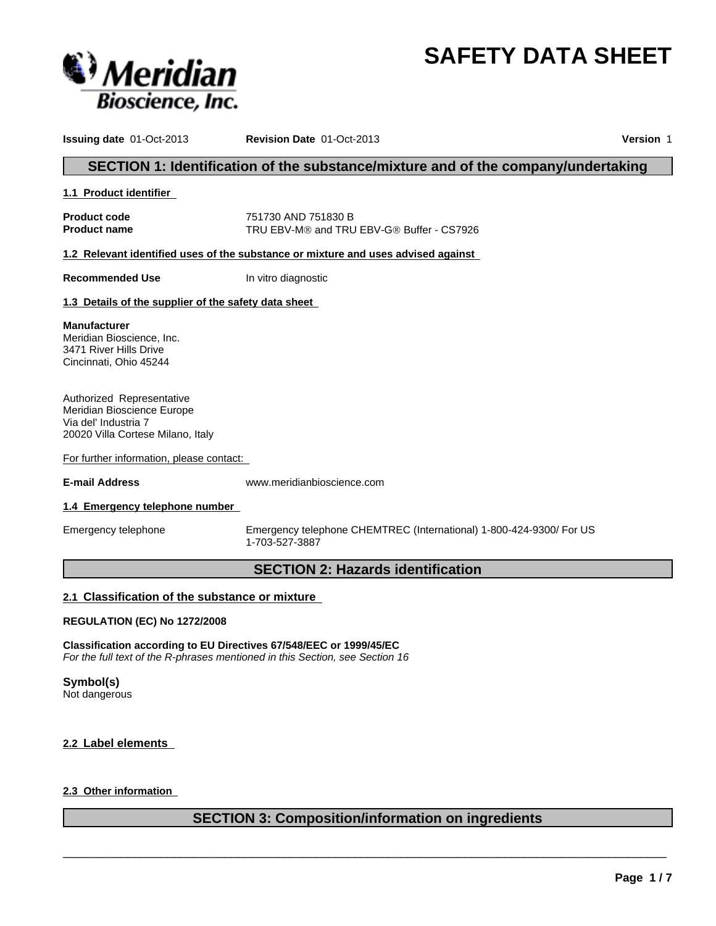



**Issuing date** 01-Oct-2013 **Revision Date** 01-Oct-2013 **Version** 1

# **SECTION 1: Identification of the substance/mixture and of the company/undertaking**

#### **1.1 Product identifier**

**Product code** 751730 AND 751830 B **Product name** TRU EBV-M® and TRU EBV-G® Buffer - CS7926

**1.2 Relevant identified uses of the substance or mixture and uses advised against** 

**Recommended Use** In vitro diagnostic

#### **1.3 Details of the supplier of the safety data sheet**

**Manufacturer** Meridian Bioscience, Inc. 3471 River Hills Drive Cincinnati, Ohio 45244

Authorized Representative Meridian Bioscience Europe Via del' Industria 7 20020 Villa Cortese Milano, Italy

For further information, please contact:

**E-mail Address** www.meridianbioscience.com

#### **1.4 Emergency telephone number**

Emergency telephone Emergency telephone CHEMTREC (International) 1-800-424-9300/ For US 1-703-527-3887

# **SECTION 2: Hazards identification**

#### **2.1 Classification of the substance or mixture**

#### **REGULATION (EC) No 1272/2008**

**Classification according to EU Directives 67/548/EEC or 1999/45/EC** *For the full text of the R-phrases mentioned in this Section, see Section 16*

# **Symbol(s)**

Not dangerous

#### **2.2 Label elements**

### **2.3 Other information**

# **SECTION 3: Composition/information on ingredients**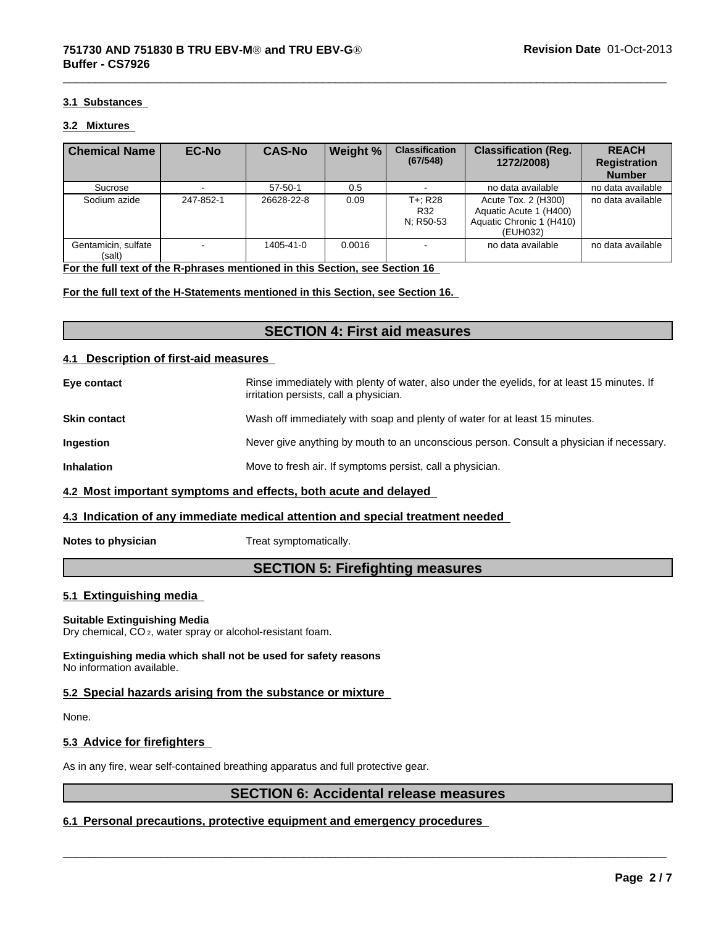#### **3.1 Substances**

#### **3.2 Mixtures**

| <b>Chemical Name</b>          | <b>EC-No</b>             | <b>CAS-No</b> | <b>Weight %</b> | <b>Classification</b><br>(67/548) | <b>Classification (Reg.</b><br>1272/2008)                                             | <b>REACH</b><br><b>Registration</b><br><b>Number</b> |
|-------------------------------|--------------------------|---------------|-----------------|-----------------------------------|---------------------------------------------------------------------------------------|------------------------------------------------------|
| Sucrose                       |                          | $57 - 50 - 1$ | 0.5             |                                   | no data available                                                                     | no data available                                    |
| Sodium azide                  | 247-852-1                | 26628-22-8    | 0.09            | T+: R28<br>R32<br>N; R50-53       | Acute Tox. 2 (H300)<br>Aquatic Acute 1 (H400)<br>Aquatic Chronic 1 (H410)<br>(EUH032) | no data available                                    |
| Gentamicin, sulfate<br>(salt) | $\overline{\phantom{a}}$ | 1405-41-0     | 0.0016          |                                   | no data available                                                                     | no data available                                    |

**For the full text of the R-phrases mentioned in this Section, see Section 16** 

#### **For the full text of the H-Statements mentioned in this Section, see Section 16.**

# **SECTION 4: First aid measures**

#### **4.1 Description of first-aid measures**

**Eye contact Exercise 3 Rinse immediately with plenty of water, also under the eyelids, for at least 15 minutes. If** irritation persists, call a physician. **Skin contact** With soap and plenty of water for at least 15 minutes. **Ingestion** Never give anything by mouth to an unconscious person. Consult a physician if necessary. **Inhalation** Move to fresh air. If symptoms persist, call a physician.

# **4.2 Most important symptoms and effects, both acute and delayed**

#### **4.3 Indication of any immediate medical attention and special treatment needed**

**Notes to physician** Treat symptomatically.

# **SECTION 5: Firefighting measures**

#### **5.1 Extinguishing media**

#### **Suitable Extinguishing Media**

Dry chemical, CO 2, water spray or alcohol-resistant foam.

**Extinguishing media which shall not be used for safety reasons** No information available.

#### **5.2 Special hazards arising from the substance or mixture**

None.

#### **5.3 Advice for firefighters**

As in any fire, wear self-contained breathing apparatus and full protective gear.

# **SECTION 6: Accidental release measures**

 $\overline{\phantom{a}}$  ,  $\overline{\phantom{a}}$  ,  $\overline{\phantom{a}}$  ,  $\overline{\phantom{a}}$  ,  $\overline{\phantom{a}}$  ,  $\overline{\phantom{a}}$  ,  $\overline{\phantom{a}}$  ,  $\overline{\phantom{a}}$  ,  $\overline{\phantom{a}}$  ,  $\overline{\phantom{a}}$  ,  $\overline{\phantom{a}}$  ,  $\overline{\phantom{a}}$  ,  $\overline{\phantom{a}}$  ,  $\overline{\phantom{a}}$  ,  $\overline{\phantom{a}}$  ,  $\overline{\phantom{a}}$ 

#### **6.1 Personal precautions, protective equipment and emergency procedures**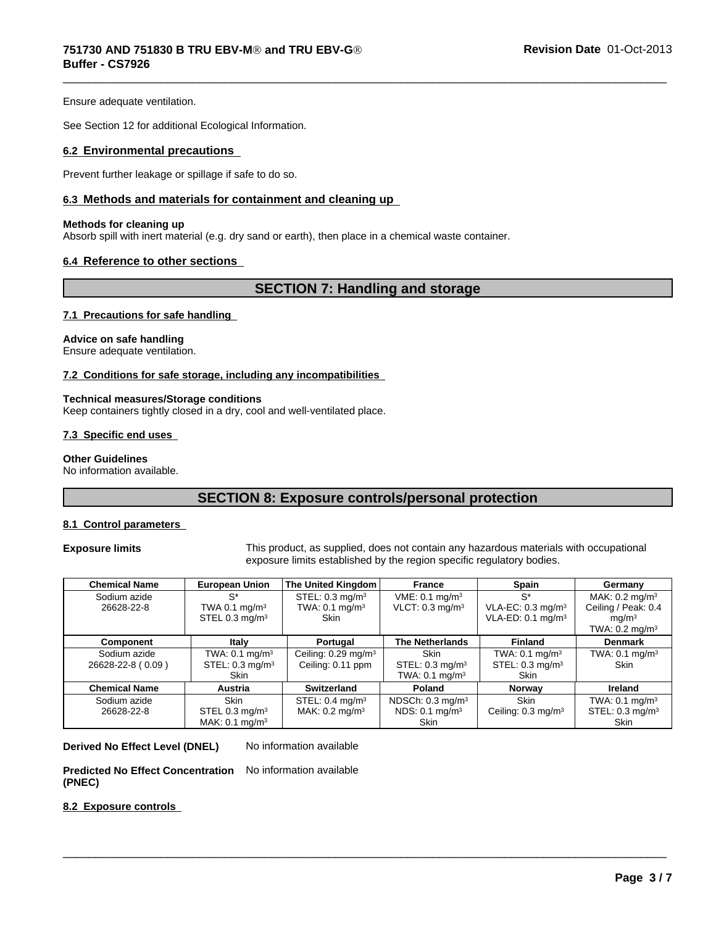Ensure adequate ventilation.

See Section 12 for additional Ecological Information.

#### **6.2 Environmental precautions**

Prevent further leakage or spillage if safe to do so.

#### **6.3 Methods and materials for containment and cleaning up**

#### **Methods for cleaning up**

Absorb spill with inert material (e.g. dry sand or earth), then place in a chemical waste container.

#### **6.4 Reference to other sections**

# **SECTION 7: Handling and storage**

 $\overline{\phantom{a}}$  ,  $\overline{\phantom{a}}$  ,  $\overline{\phantom{a}}$  ,  $\overline{\phantom{a}}$  ,  $\overline{\phantom{a}}$  ,  $\overline{\phantom{a}}$  ,  $\overline{\phantom{a}}$  ,  $\overline{\phantom{a}}$  ,  $\overline{\phantom{a}}$  ,  $\overline{\phantom{a}}$  ,  $\overline{\phantom{a}}$  ,  $\overline{\phantom{a}}$  ,  $\overline{\phantom{a}}$  ,  $\overline{\phantom{a}}$  ,  $\overline{\phantom{a}}$  ,  $\overline{\phantom{a}}$ 

#### **7.1 Precautions for safe handling**

#### **Advice on safe handling**

Ensure adequate ventilation.

#### **7.2 Conditions for safe storage, including any incompatibilities**

#### **Technical measures/Storage conditions**

Keep containers tightly closed in a dry, cool and well-ventilated place.

#### **7.3 Specific end uses**

#### **Other Guidelines**

No information available.

# **SECTION 8: Exposure controls/personal protection**

#### **8.1 Control parameters**

**Exposure limits** This product, as supplied, does not contain any hazardous materials with occupational exposure limits established by the region specific regulatory bodies.

 $\overline{\phantom{a}}$  ,  $\overline{\phantom{a}}$  ,  $\overline{\phantom{a}}$  ,  $\overline{\phantom{a}}$  ,  $\overline{\phantom{a}}$  ,  $\overline{\phantom{a}}$  ,  $\overline{\phantom{a}}$  ,  $\overline{\phantom{a}}$  ,  $\overline{\phantom{a}}$  ,  $\overline{\phantom{a}}$  ,  $\overline{\phantom{a}}$  ,  $\overline{\phantom{a}}$  ,  $\overline{\phantom{a}}$  ,  $\overline{\phantom{a}}$  ,  $\overline{\phantom{a}}$  ,  $\overline{\phantom{a}}$ 

| <b>Chemical Name</b> | <b>European Union</b>      | The United Kingdom                | France                        | <b>Spain</b>                  | Germany                      |
|----------------------|----------------------------|-----------------------------------|-------------------------------|-------------------------------|------------------------------|
| Sodium azide         | $S^*$                      | STEL: $0.3 \text{ mg/m}^3$        | VME: 0.1 mg/m <sup>3</sup>    | $S^*$                         | MAK: $0.2 \text{ mg/m}^3$    |
| 26628-22-8           | TWA 0.1 $mq/m3$            | TWA: $0.1 \text{ mg/m}^3$         | $VLOT: 0.3$ mg/m <sup>3</sup> | VLA-EC: $0.3 \text{ mg/m}^3$  | Ceiling / Peak: 0.4          |
|                      | STEL 0.3 mg/m <sup>3</sup> | <b>Skin</b>                       |                               | VLA-ED: $0.1 \text{ mg/m}^3$  | mq/m <sup>3</sup>            |
|                      |                            |                                   |                               |                               | TWA: $0.2 \text{ mg/m}^3$    |
| Component            | Italy                      | Portugal                          | <b>The Netherlands</b>        | <b>Finland</b>                | <b>Denmark</b>               |
| Sodium azide         | TWA: 0.1 mg/m <sup>3</sup> | Ceiling: $0.29$ mg/m <sup>3</sup> | Skin                          | TWA: $0.1$ mg/m <sup>3</sup>  | TWA: $0.1$ mg/m <sup>3</sup> |
| 26628-22-8 (0.09)    | STEL: $0.3 \text{ mg/m}^3$ | Ceiling: 0.11 ppm                 | STEL: $0.3 \text{ mg/m}^3$    | STEL: $0.3 \text{ mg/m}^3$    | <b>Skin</b>                  |
|                      | <b>Skin</b>                |                                   | TWA: $0.1 \text{ mg/m}^3$     | <b>Skin</b>                   |                              |
| <b>Chemical Name</b> | Austria                    | <b>Switzerland</b>                | Poland                        | Norway                        | Ireland                      |
| Sodium azide         | <b>Skin</b>                | STEL: $0.4 \text{ mg/m}^3$        | NDSCh: $0.3 \text{ mg/m}^3$   | <b>Skin</b>                   | TWA: $0.1$ mg/m <sup>3</sup> |
| 26628-22-8           | STEL 0.3 mg/m <sup>3</sup> | MAK: $0.2 \text{ mg/m}^3$         | NDS: 0.1 mg/m <sup>3</sup>    | Ceiling: $0.3 \text{ mg/m}^3$ | STEL: $0.3 \text{ mg/m}^3$   |
|                      | MAK: $0.1 \text{ mg/m}^3$  |                                   | <b>Skin</b>                   |                               | <b>Skin</b>                  |

**Derived No Effect Level (DNEL)** No information available

**Predicted No Effect Concentration** No information available **(PNEC)**

#### **8.2 Exposure controls**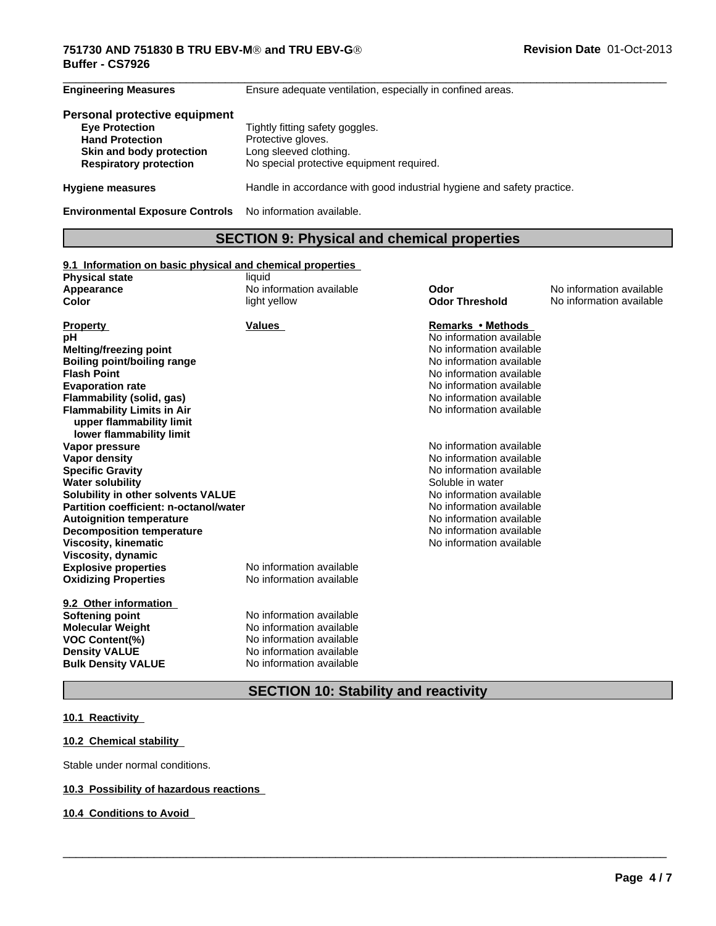#### $\overline{\phantom{a}}$  ,  $\overline{\phantom{a}}$  ,  $\overline{\phantom{a}}$  ,  $\overline{\phantom{a}}$  ,  $\overline{\phantom{a}}$  ,  $\overline{\phantom{a}}$  ,  $\overline{\phantom{a}}$  ,  $\overline{\phantom{a}}$  ,  $\overline{\phantom{a}}$  ,  $\overline{\phantom{a}}$  ,  $\overline{\phantom{a}}$  ,  $\overline{\phantom{a}}$  ,  $\overline{\phantom{a}}$  ,  $\overline{\phantom{a}}$  ,  $\overline{\phantom{a}}$  ,  $\overline{\phantom{a}}$ **751730 AND 751830 B TRU EBV-MÒ and TRU EBV-GÒ Buffer - CS7926**

| <b>Engineering Measures</b>                                                                                                                   | Ensure adequate ventilation, especially in confined areas.                                                                   |
|-----------------------------------------------------------------------------------------------------------------------------------------------|------------------------------------------------------------------------------------------------------------------------------|
| Personal protective equipment<br><b>Eye Protection</b><br><b>Hand Protection</b><br>Skin and body protection<br><b>Respiratory protection</b> | Tightly fitting safety goggles.<br>Protective gloves.<br>Long sleeved clothing.<br>No special protective equipment required. |
| <b>Hygiene measures</b>                                                                                                                       | Handle in accordance with good industrial hygiene and safety practice.                                                       |
| <b>Environmental Exposure Controls</b>                                                                                                        | No information available.                                                                                                    |

# **SECTION 9: Physical and chemical properties**

#### **9.1 Information on basic physical and chemical properties**

| <b>Physical state</b>                  | liquid                   |                          |                          |
|----------------------------------------|--------------------------|--------------------------|--------------------------|
| Appearance                             | No information available | Odor                     | No information available |
| Color                                  | light yellow             | <b>Odor Threshold</b>    | No information available |
|                                        | <b>Values</b>            | Remarks • Methods        |                          |
| <b>Property</b><br>рH                  |                          | No information available |                          |
| <b>Melting/freezing point</b>          |                          | No information available |                          |
| <b>Boiling point/boiling range</b>     |                          | No information available |                          |
| <b>Flash Point</b>                     |                          | No information available |                          |
| <b>Evaporation rate</b>                |                          | No information available |                          |
| Flammability (solid, gas)              |                          | No information available |                          |
| <b>Flammability Limits in Air</b>      |                          | No information available |                          |
| upper flammability limit               |                          |                          |                          |
| lower flammability limit               |                          |                          |                          |
| Vapor pressure                         |                          | No information available |                          |
| Vapor density                          |                          | No information available |                          |
| <b>Specific Gravity</b>                |                          | No information available |                          |
| <b>Water solubility</b>                |                          | Soluble in water         |                          |
| Solubility in other solvents VALUE     |                          | No information available |                          |
| Partition coefficient: n-octanol/water |                          | No information available |                          |
| <b>Autoignition temperature</b>        |                          | No information available |                          |
| <b>Decomposition temperature</b>       |                          | No information available |                          |
| Viscosity, kinematic                   |                          | No information available |                          |
| Viscosity, dynamic                     |                          |                          |                          |
| <b>Explosive properties</b>            | No information available |                          |                          |
| <b>Oxidizing Properties</b>            | No information available |                          |                          |
| 9.2 Other information                  |                          |                          |                          |
| Softening point                        | No information available |                          |                          |
| <b>Molecular Weight</b>                | No information available |                          |                          |
| <b>VOC Content(%)</b>                  | No information available |                          |                          |
| <b>Density VALUE</b>                   | No information available |                          |                          |
| <b>Bulk Density VALUE</b>              | No information available |                          |                          |
|                                        |                          |                          |                          |

**SECTION 10: Stability and reactivity**

 $\overline{\phantom{a}}$  ,  $\overline{\phantom{a}}$  ,  $\overline{\phantom{a}}$  ,  $\overline{\phantom{a}}$  ,  $\overline{\phantom{a}}$  ,  $\overline{\phantom{a}}$  ,  $\overline{\phantom{a}}$  ,  $\overline{\phantom{a}}$  ,  $\overline{\phantom{a}}$  ,  $\overline{\phantom{a}}$  ,  $\overline{\phantom{a}}$  ,  $\overline{\phantom{a}}$  ,  $\overline{\phantom{a}}$  ,  $\overline{\phantom{a}}$  ,  $\overline{\phantom{a}}$  ,  $\overline{\phantom{a}}$ 

# **10.1 Reactivity**

#### **10.2 Chemical stability**

Stable under normal conditions.

# **10.3 Possibility of hazardous reactions**

#### **10.4 Conditions to Avoid**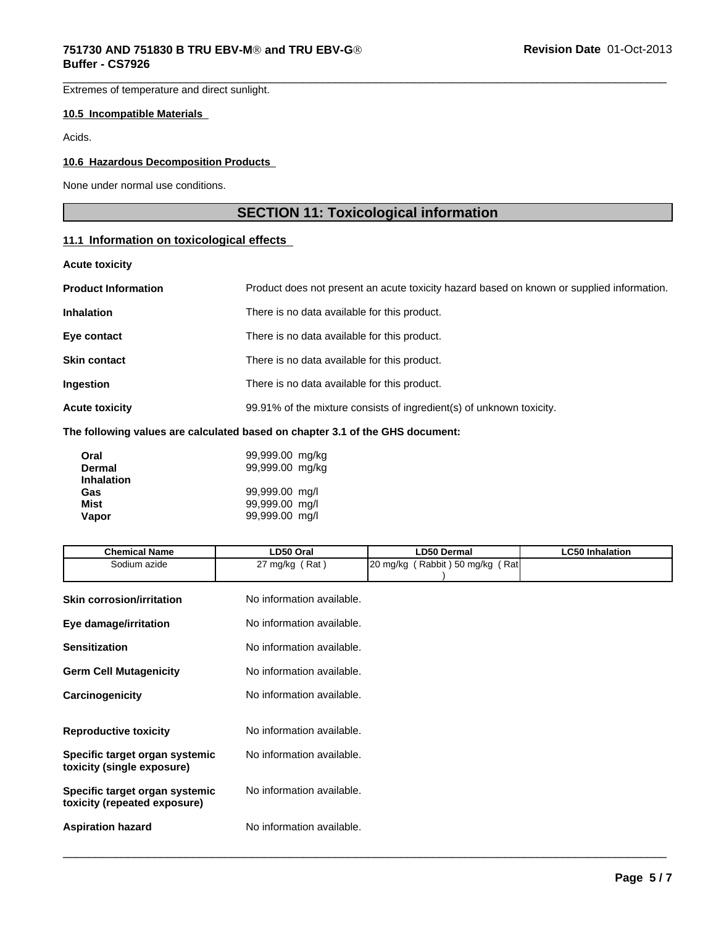Extremes of temperature and direct sunlight.

#### **10.5 Incompatible Materials**

Acids.

# **10.6 Hazardous Decomposition Products**

None under normal use conditions.

# **SECTION 11: Toxicological information**

 $\overline{\phantom{a}}$  ,  $\overline{\phantom{a}}$  ,  $\overline{\phantom{a}}$  ,  $\overline{\phantom{a}}$  ,  $\overline{\phantom{a}}$  ,  $\overline{\phantom{a}}$  ,  $\overline{\phantom{a}}$  ,  $\overline{\phantom{a}}$  ,  $\overline{\phantom{a}}$  ,  $\overline{\phantom{a}}$  ,  $\overline{\phantom{a}}$  ,  $\overline{\phantom{a}}$  ,  $\overline{\phantom{a}}$  ,  $\overline{\phantom{a}}$  ,  $\overline{\phantom{a}}$  ,  $\overline{\phantom{a}}$ 

# **11.1 Information on toxicological effects**

**Acute toxicity**

| <b>Product Information</b> | Product does not present an acute toxicity hazard based on known or supplied information. |
|----------------------------|-------------------------------------------------------------------------------------------|
| <b>Inhalation</b>          | There is no data available for this product.                                              |
| Eye contact                | There is no data available for this product.                                              |
| Skin contact               | There is no data available for this product.                                              |
| Ingestion                  | There is no data available for this product.                                              |
| <b>Acute toxicity</b>      | 99.91% of the mixture consists of ingredient(s) of unknown toxicity.                      |
|                            |                                                                                           |

#### **The following values are calculated based on chapter 3.1 of the GHS document:**

| Oral              | 99,999.00 mg/kg |
|-------------------|-----------------|
| <b>Dermal</b>     | 99,999.00 mg/kg |
| <b>Inhalation</b> |                 |
| Gas               | 99,999.00 mg/l  |
| Mist              | 99,999.00 mg/l  |
| Vapor             | 99,999.00 mg/l  |

| <b>Chemical Name</b>                                           | LD50 Oral                 | <b>LD50 Dermal</b>              | <b>LC50 Inhalation</b> |
|----------------------------------------------------------------|---------------------------|---------------------------------|------------------------|
| Sodium azide                                                   | 27 mg/kg $(Rat)$          | 20 mg/kg (Rabbit) 50 mg/kg (Rat |                        |
| <b>Skin corrosion/irritation</b>                               | No information available. |                                 |                        |
| Eye damage/irritation                                          | No information available. |                                 |                        |
| <b>Sensitization</b>                                           | No information available. |                                 |                        |
| <b>Germ Cell Mutagenicity</b>                                  | No information available. |                                 |                        |
| Carcinogenicity                                                | No information available. |                                 |                        |
| <b>Reproductive toxicity</b>                                   | No information available. |                                 |                        |
| Specific target organ systemic<br>toxicity (single exposure)   | No information available. |                                 |                        |
| Specific target organ systemic<br>toxicity (repeated exposure) | No information available. |                                 |                        |
| <b>Aspiration hazard</b>                                       | No information available. |                                 |                        |
|                                                                |                           |                                 |                        |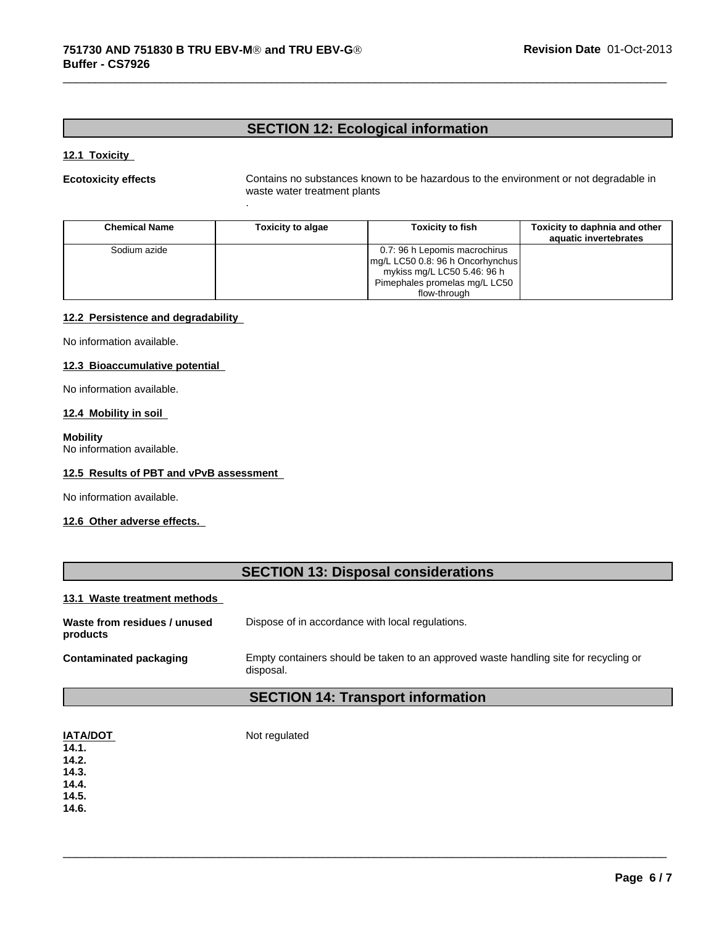.

# **SECTION 12: Ecological information**

#### **12.1 Toxicity**

**Ecotoxicity effects** Contains no substances known to be hazardous to the environment or not degradable in waste water treatment plants

 $\overline{\phantom{a}}$  ,  $\overline{\phantom{a}}$  ,  $\overline{\phantom{a}}$  ,  $\overline{\phantom{a}}$  ,  $\overline{\phantom{a}}$  ,  $\overline{\phantom{a}}$  ,  $\overline{\phantom{a}}$  ,  $\overline{\phantom{a}}$  ,  $\overline{\phantom{a}}$  ,  $\overline{\phantom{a}}$  ,  $\overline{\phantom{a}}$  ,  $\overline{\phantom{a}}$  ,  $\overline{\phantom{a}}$  ,  $\overline{\phantom{a}}$  ,  $\overline{\phantom{a}}$  ,  $\overline{\phantom{a}}$ 

| <b>Chemical Name</b> | Toxicity to algae | <b>Toxicity to fish</b>                                                                                                           | Toxicity to daphnia and other<br>aquatic invertebrates |
|----------------------|-------------------|-----------------------------------------------------------------------------------------------------------------------------------|--------------------------------------------------------|
| Sodium azide         |                   | 0.7: 96 h Lepomis macrochirus<br>mg/L LC50 0.8: 96 h Oncorhynchus<br>mykiss mg/L LC50 5.46: 96 h<br>Pimephales promelas mg/L LC50 |                                                        |
|                      |                   | flow-through                                                                                                                      |                                                        |

#### **12.2 Persistence and degradability**

No information available.

#### **12.3 Bioaccumulative potential**

No information available.

#### **12.4 Mobility in soil**

**Mobility** No information available.

#### **12.5 Results of PBT and vPvB assessment**

No information available.

#### **12.6 Other adverse effects.**

# **SECTION 13: Disposal considerations**

#### **13.1 Waste treatment methods**

| Waste from residues / unused<br>products | Dispose of in accordance with local regulations.                                                  |
|------------------------------------------|---------------------------------------------------------------------------------------------------|
| Contaminated packaging                   | Empty containers should be taken to an approved waste handling site for recycling or<br>disposal. |

# **SECTION 14: Transport information**

| <b>IATA/DOT</b> | Not regulated |
|-----------------|---------------|
| 14.1.           |               |
| 14.2.           |               |
| 14.3.           |               |
| 14.4.           |               |
| 14.5.           |               |
| 14.6.           |               |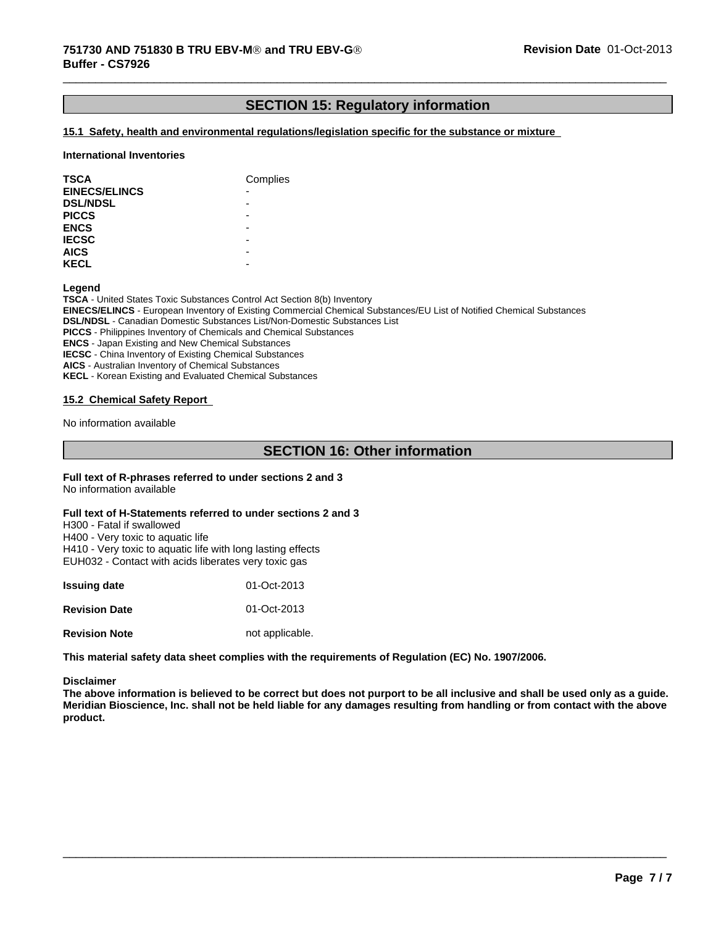# **SECTION 15: Regulatory information**

 $\overline{\phantom{a}}$  ,  $\overline{\phantom{a}}$  ,  $\overline{\phantom{a}}$  ,  $\overline{\phantom{a}}$  ,  $\overline{\phantom{a}}$  ,  $\overline{\phantom{a}}$  ,  $\overline{\phantom{a}}$  ,  $\overline{\phantom{a}}$  ,  $\overline{\phantom{a}}$  ,  $\overline{\phantom{a}}$  ,  $\overline{\phantom{a}}$  ,  $\overline{\phantom{a}}$  ,  $\overline{\phantom{a}}$  ,  $\overline{\phantom{a}}$  ,  $\overline{\phantom{a}}$  ,  $\overline{\phantom{a}}$ 

#### **15.1 Safety, health and environmental regulations/legislation specific for the substance or mixture**

#### **International Inventories**

| <b>TSCA</b>          | Complies |
|----------------------|----------|
| <b>EINECS/ELINCS</b> | ۰        |
| <b>DSL/NDSL</b>      | ۰        |
| <b>PICCS</b>         | ۰        |
| <b>ENCS</b>          | -        |
| <b>IECSC</b>         | -        |
| <b>AICS</b>          | -        |
| <b>KECL</b>          | -        |

**Legend**

**TSCA** - United States Toxic Substances Control Act Section 8(b) Inventory **EINECS/ELINCS** - European Inventory of Existing Commercial Chemical Substances/EU List of Notified Chemical Substances **DSL/NDSL** - Canadian Domestic Substances List/Non-Domestic Substances List **PICCS** - Philippines Inventory of Chemicals and Chemical Substances **ENCS** - Japan Existing and New Chemical Substances **IECSC** - China Inventory of Existing Chemical Substances **AICS** - Australian Inventory of Chemical Substances **KECL** - Korean Existing and Evaluated Chemical Substances

#### **15.2 Chemical Safety Report**

No information available

# **SECTION 16: Other information**

**Full text of R-phrases referred to under sections 2 and 3** No information available

#### **Full text of H-Statements referred to under sections 2 and 3**

H300 - Fatal if swallowed H400 - Very toxic to aquatic life H410 - Very toxic to aquatic life with long lasting effects EUH032 - Contact with acids liberates very toxic gas

| <b>Issuing date</b>  | 01-Oct-2013     |
|----------------------|-----------------|
| <b>Revision Date</b> | 01-Oct-2013     |
| <b>Revision Note</b> | not applicable. |

**This material safety data sheet complies with the requirements of Regulation (EC) No. 1907/2006.**

#### **Disclaimer**

**The above information is believed to be correct but does not purport to be all inclusive and shall be used only as a guide. Meridian Bioscience, Inc. shall not be held liable for any damages resulting from handling or from contact with the above product.**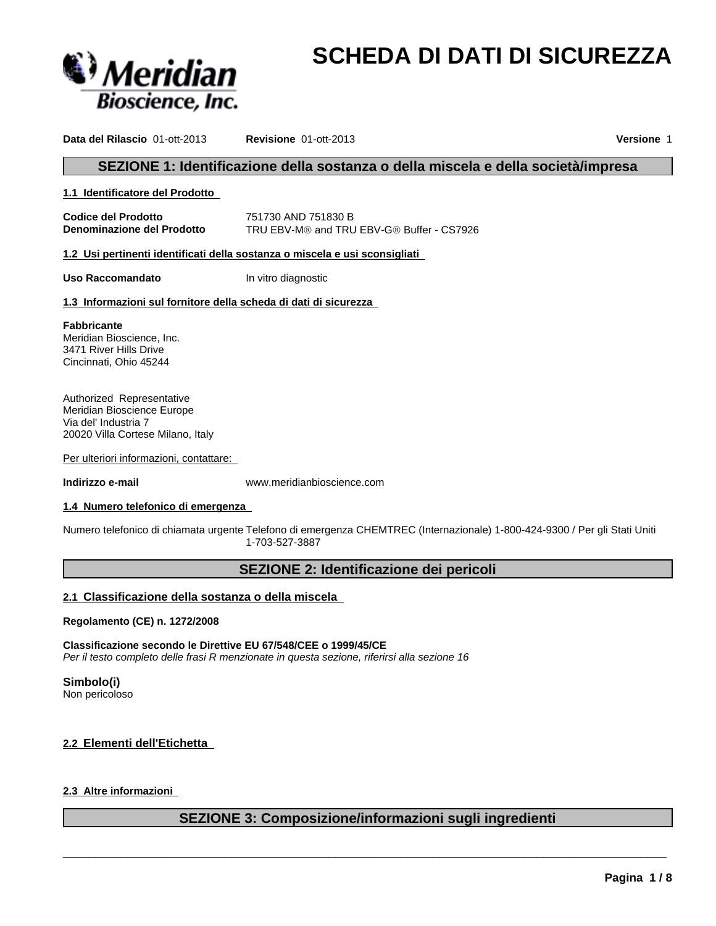

# **SCHEDA DI DATI DI SICUREZZA**

**Data del Rilascio** 01-ott-2013 **Revisione** 01-ott-2013 **Versione** 1

# **SEZIONE 1: Identificazione della sostanza o della miscela e della società/impresa**

#### **1.1 Identificatore del Prodotto**

**Codice del Prodotto** 751730 AND 751830 B **Denominazione del Prodotto** TRU EBV-M® and TRU EBV-G® Buffer - CS7926

**1.2 Usi pertinenti identificati della sostanza o miscela e usi sconsigliati** 

**Uso Raccomandato In vitro diagnostic** 

#### **1.3 Informazioni sul fornitore della scheda di dati di sicurezza**

**Fabbricante** Meridian Bioscience, Inc. 3471 River Hills Drive Cincinnati, Ohio 45244

Authorized Representative Meridian Bioscience Europe Via del' Industria 7 20020 Villa Cortese Milano, Italy

Per ulteriori informazioni, contattare:

**Indirizzo e-mail** www.meridianbioscience.com

#### **1.4 Numero telefonico di emergenza**

Numero telefonico di chiamata urgente Telefono di emergenza CHEMTREC (Internazionale) 1-800-424-9300 / Per gli Stati Uniti 1-703-527-3887

# **SEZIONE 2: Identificazione dei pericoli**

#### **2.1 Classificazione della sostanza o della miscela**

**Regolamento (CE) n. 1272/2008**

**Classificazione secondo le Direttive EU 67/548/CEE o 1999/45/CE** *Per il testo completo delle frasi R menzionate in questa sezione, riferirsi alla sezione 16*

#### **Simbolo(i)**

Non pericoloso

#### **2.2 Elementi dell'Etichetta**

#### **2.3 Altre informazioni**

# **SEZIONE 3: Composizione/informazioni sugli ingredienti**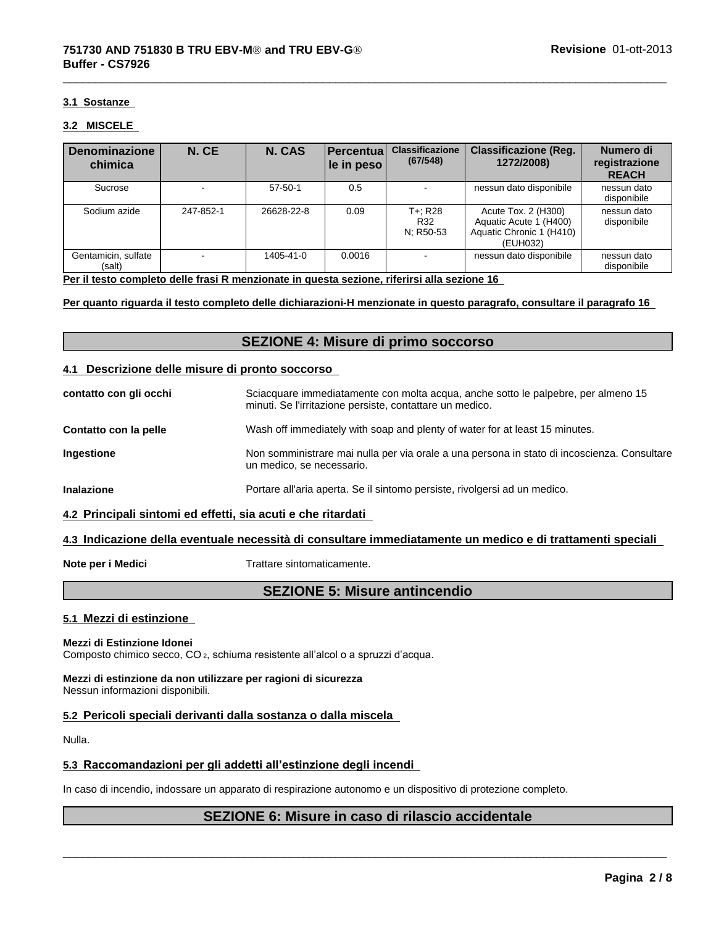#### **3.1 Sostanze**

#### **3.2 MISCELE**

| <b>Denominazione</b><br>chimica | N. CE     | N. CAS        | <b>Percentual</b><br>$ $ le in peso $ $ | <b>Classificazione</b><br>(67/548) | <b>Classificazione (Reg.</b><br>1272/2008)                                            | Numero di<br>registrazione<br><b>REACH</b> |
|---------------------------------|-----------|---------------|-----------------------------------------|------------------------------------|---------------------------------------------------------------------------------------|--------------------------------------------|
| Sucrose                         |           | $57 - 50 - 1$ | 0.5                                     |                                    | nessun dato disponibile                                                               | nessun dato<br>disponibile                 |
| Sodium azide                    | 247-852-1 | 26628-22-8    | 0.09                                    | T+: R28<br>R32<br>N; R50-53        | Acute Tox. 2 (H300)<br>Aquatic Acute 1 (H400)<br>Aquatic Chronic 1 (H410)<br>(EUH032) | nessun dato<br>disponibile                 |
| Gentamicin, sulfate<br>(salt)   |           | 1405-41-0     | 0.0016                                  |                                    | nessun dato disponibile                                                               | nessun dato<br>disponibile                 |

 $\overline{\phantom{a}}$  ,  $\overline{\phantom{a}}$  ,  $\overline{\phantom{a}}$  ,  $\overline{\phantom{a}}$  ,  $\overline{\phantom{a}}$  ,  $\overline{\phantom{a}}$  ,  $\overline{\phantom{a}}$  ,  $\overline{\phantom{a}}$  ,  $\overline{\phantom{a}}$  ,  $\overline{\phantom{a}}$  ,  $\overline{\phantom{a}}$  ,  $\overline{\phantom{a}}$  ,  $\overline{\phantom{a}}$  ,  $\overline{\phantom{a}}$  ,  $\overline{\phantom{a}}$  ,  $\overline{\phantom{a}}$ 

**Per il testo completo delle frasi R menzionate in questa sezione, riferirsi alla sezione 16** 

**Per quanto riguarda il testo completo delle dichiarazioni-H menzionate in questo paragrafo, consultare il paragrafo 16** 

# **SEZIONE 4: Misure di primo soccorso**

#### **4.1 Descrizione delle misure di pronto soccorso**

| contatto con gli occhi | Sciacquare immediatamente con molta acqua, anche sotto le palpebre, per almeno 15<br>minuti. Se l'irritazione persiste, contattare un medico. |
|------------------------|-----------------------------------------------------------------------------------------------------------------------------------------------|
| Contatto con la pelle  | Wash off immediately with soap and plenty of water for at least 15 minutes.                                                                   |
| Ingestione             | Non somministrare mai nulla per via orale a una persona in stato di incoscienza. Consultare<br>un medico, se necessario.                      |
| <b>Inalazione</b>      | Portare all'aria aperta. Se il sintomo persiste, rivolgersi ad un medico.                                                                     |
|                        |                                                                                                                                               |

#### **4.2 Principali sintomi ed effetti, sia acuti e che ritardati**

#### **4.3 Indicazione della eventuale necessità di consultare immediatamente un medico e di trattamenti speciali**

**Note per i Medici** Trattare sintomaticamente.

# **SEZIONE 5: Misure antincendio**

#### **5.1 Mezzi di estinzione**

#### **Mezzi di Estinzione Idonei**

Composto chimico secco, CO<sub>2</sub>, schiuma resistente all'alcol o a spruzzi d'acqua.

#### **Mezzi di estinzione da non utilizzare per ragioni di sicurezza** Nessun informazioni disponibili.

#### **5.2 Pericoli speciali derivanti dalla sostanza o dalla miscela**

Nulla.

#### **5.3 Raccomandazioni per gli addetti all'estinzione degli incendi**

In caso di incendio, indossare un apparato di respirazione autonomo e un dispositivo di protezione completo.

# **SEZIONE 6: Misure in caso di rilascio accidentale**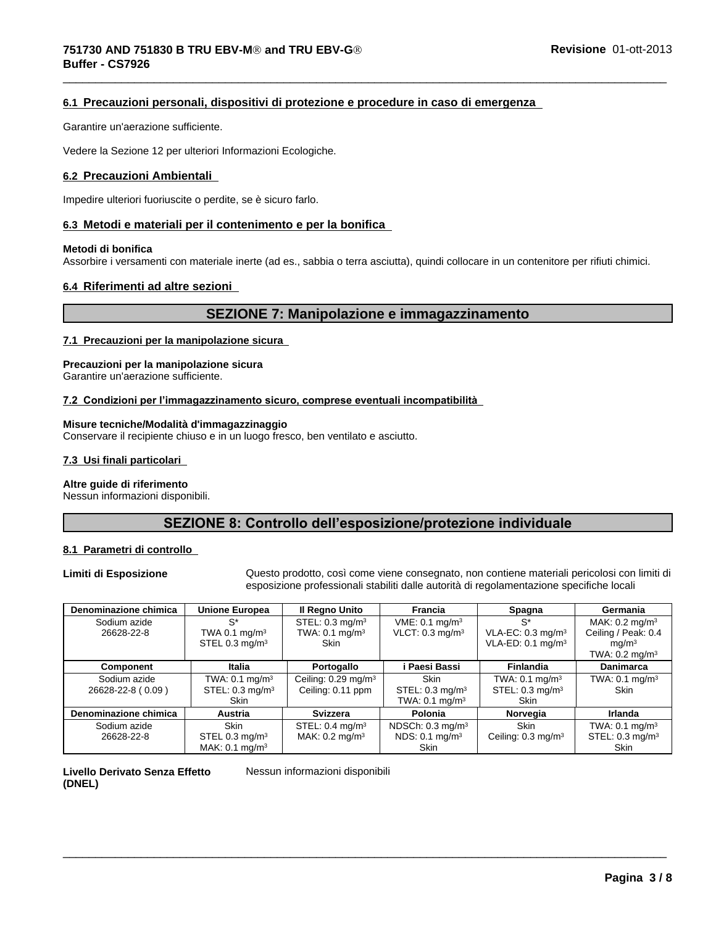### **6.1 Precauzioni personali, dispositivi di protezione e procedure in caso di emergenza**

Garantire un'aerazione sufficiente.

Vedere la Sezione 12 per ulteriori Informazioni Ecologiche.

#### **6.2 Precauzioni Ambientali**

Impedire ulteriori fuoriuscite o perdite, se è sicuro farlo.

#### **6.3 Metodi e materiali per il contenimento e per la bonifica**

#### **Metodi di bonifica**

Assorbire i versamenti con materiale inerte (ad es., sabbia o terra asciutta), quindi collocare in un contenitore per rifiuti chimici.

#### **6.4 Riferimenti ad altre sezioni**

# **SEZIONE 7: Manipolazione e immagazzinamento**

 $\overline{\phantom{a}}$  ,  $\overline{\phantom{a}}$  ,  $\overline{\phantom{a}}$  ,  $\overline{\phantom{a}}$  ,  $\overline{\phantom{a}}$  ,  $\overline{\phantom{a}}$  ,  $\overline{\phantom{a}}$  ,  $\overline{\phantom{a}}$  ,  $\overline{\phantom{a}}$  ,  $\overline{\phantom{a}}$  ,  $\overline{\phantom{a}}$  ,  $\overline{\phantom{a}}$  ,  $\overline{\phantom{a}}$  ,  $\overline{\phantom{a}}$  ,  $\overline{\phantom{a}}$  ,  $\overline{\phantom{a}}$ 

#### **7.1 Precauzioni per la manipolazione sicura**

# **Precauzioni per la manipolazione sicura**

Garantire un'aerazione sufficiente.

#### **7.2Condizioniperl'immagazzinamentosicuro,compreseeventualiincompatibilità**

#### **Misure tecniche/Modalità d'immagazzinaggio**

Conservare il recipiente chiuso e in un luogo fresco, ben ventilato e asciutto.

#### **7.3 Usi finali particolari**

#### **Altre guide di riferimento**

Nessun informazioni disponibili.

# SEZIONE 8: Controllo dell'esposizione/protezione individuale

#### **8.1 Parametri di controllo**

**Limiti di Esposizione** Questo prodotto, così come viene consegnato, non contiene materiali pericolosi con limiti di esposizione professionali stabiliti dalle autorità di regolamentazione specifiche locali

 $\overline{\phantom{a}}$  ,  $\overline{\phantom{a}}$  ,  $\overline{\phantom{a}}$  ,  $\overline{\phantom{a}}$  ,  $\overline{\phantom{a}}$  ,  $\overline{\phantom{a}}$  ,  $\overline{\phantom{a}}$  ,  $\overline{\phantom{a}}$  ,  $\overline{\phantom{a}}$  ,  $\overline{\phantom{a}}$  ,  $\overline{\phantom{a}}$  ,  $\overline{\phantom{a}}$  ,  $\overline{\phantom{a}}$  ,  $\overline{\phantom{a}}$  ,  $\overline{\phantom{a}}$  ,  $\overline{\phantom{a}}$ 

| Denominazione chimica | <b>Unione Europea</b>        | Il Regno Unito                  | Francia                       | Spagna                        | Germania                     |
|-----------------------|------------------------------|---------------------------------|-------------------------------|-------------------------------|------------------------------|
| Sodium azide          | $S^*$                        | STEL: 0.3 mg/m <sup>3</sup>     | VME: 0.1 mg/m <sup>3</sup>    | $S^*$                         | MAK: $0.2$ mg/m <sup>3</sup> |
| 26628-22-8            | TWA 0.1 $mq/m3$              | TWA: $0.1 \text{ mg/m}^3$       | $VLOT: 0.3$ mg/m <sup>3</sup> | VLA-EC: $0.3 \text{ mg/m}^3$  | Ceiling / Peak: 0.4          |
|                       | STEL $0.3 \text{ mg/m}^3$    | <b>Skin</b>                     |                               | VLA-ED: $0.1 \text{ mg/m}^3$  | mq/m <sup>3</sup>            |
|                       |                              |                                 |                               |                               | TWA: $0.2 \text{ mg/m}^3$    |
| Component             | Italia                       | Portogallo                      | i Paesi Bassi                 | <b>Finlandia</b>              | <b>Danimarca</b>             |
| Sodium azide          | TWA: $0.1 \text{ mg/m}^3$    | Ceiling: 0.29 mg/m <sup>3</sup> | <b>Skin</b>                   | TWA: $0.1$ mg/m <sup>3</sup>  | TWA: $0.1$ mg/m <sup>3</sup> |
| 26628-22-8 (0.09)     | STEL: $0.3 \text{ mg/m}^3$   | Ceiling: 0.11 ppm               | STEL: $0.3 \text{ mg/m}^3$    | STEL: $0.3 \text{ mg/m}^3$    | <b>Skin</b>                  |
|                       | <b>Skin</b>                  |                                 | TWA: $0.1 \text{ mg/m}^3$     | Skin                          |                              |
| Denominazione chimica | <b>Austria</b>               | <b>Svizzera</b>                 | Polonia                       | Norvegia                      | Irlanda                      |
| Sodium azide          | <b>Skin</b>                  | STEL: $0.4 \text{ mg/m}^3$      | NDSCh: $0.3 \text{ mg/m}^3$   | <b>Skin</b>                   | TWA: $0.1 \text{ mg/m}^3$    |
| 26628-22-8            | STEL 0.3 mg/m <sup>3</sup>   | MAK: $0.2 \text{ mg/m}^3$       | NDS: 0.1 mg/m <sup>3</sup>    | Ceiling: $0.3 \text{ mg/m}^3$ | STEL: $0.3 \text{ mg/m}^3$   |
|                       | MAK: $0.1$ mg/m <sup>3</sup> |                                 | Skin                          |                               | <b>Skin</b>                  |

#### **Livello Derivato Senza Effetto (DNEL)**

Nessun informazioni disponibili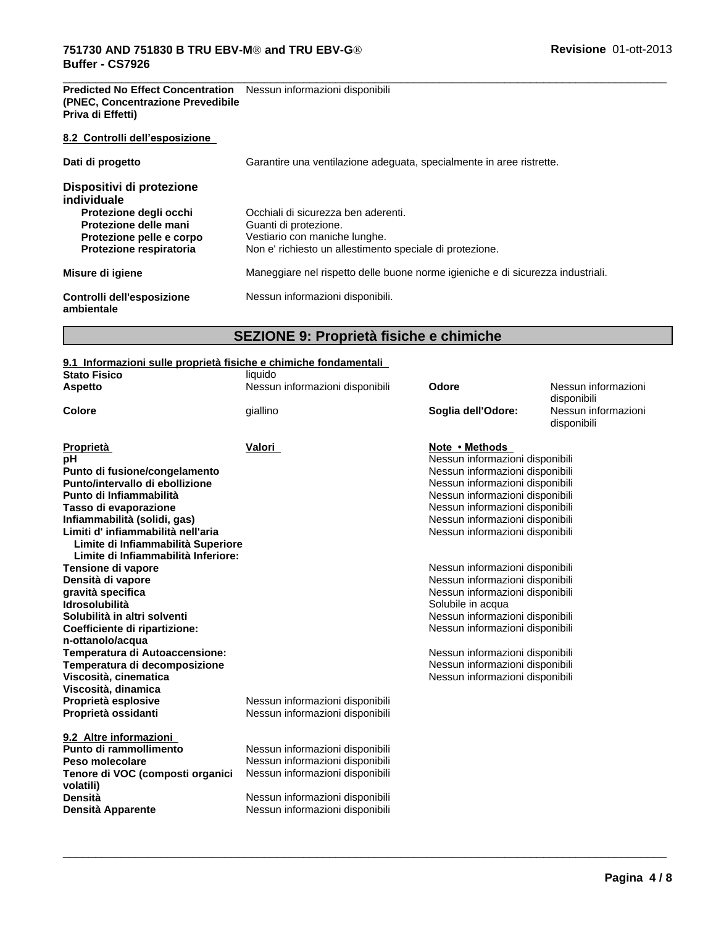#### **Predicted No Effect Concentration** Nessun informazioni disponibili **(PNEC, Concentrazione Prevedibile Priva di Effetti)**

#### **8.2 Controlli dell'esposizione**

| Dati di progetto                                                                                                                                   | Garantire una ventilazione adeguata, specialmente in aree ristrette.                                                                                      |  |  |
|----------------------------------------------------------------------------------------------------------------------------------------------------|-----------------------------------------------------------------------------------------------------------------------------------------------------------|--|--|
| Dispositivi di protezione<br>individuale<br>Protezione degli occhi<br>Protezione delle mani<br>Protezione pelle e corpo<br>Protezione respiratoria | Occhiali di sicurezza ben aderenti.<br>Guanti di protezione.<br>Vestiario con maniche lunghe.<br>Non e' richiesto un allestimento speciale di protezione. |  |  |
| Misure di igiene                                                                                                                                   | Maneggiare nel rispetto delle buone norme igieniche e di sicurezza industriali.                                                                           |  |  |
| Controlli dell'esposizione<br>ambientale                                                                                                           | Nessun informazioni disponibili.                                                                                                                          |  |  |

# **SEZIONE 9: Proprietà fisiche e chimiche**

 $\overline{\phantom{a}}$  ,  $\overline{\phantom{a}}$  ,  $\overline{\phantom{a}}$  ,  $\overline{\phantom{a}}$  ,  $\overline{\phantom{a}}$  ,  $\overline{\phantom{a}}$  ,  $\overline{\phantom{a}}$  ,  $\overline{\phantom{a}}$  ,  $\overline{\phantom{a}}$  ,  $\overline{\phantom{a}}$  ,  $\overline{\phantom{a}}$  ,  $\overline{\phantom{a}}$  ,  $\overline{\phantom{a}}$  ,  $\overline{\phantom{a}}$  ,  $\overline{\phantom{a}}$  ,  $\overline{\phantom{a}}$ 

## **9.1 Informazioni sulle proprietà fisiche e chimiche fondamentali**

| <b>Stato Fisico</b>                        | liquido                         |                                                                    |                                    |
|--------------------------------------------|---------------------------------|--------------------------------------------------------------------|------------------------------------|
| <b>Aspetto</b>                             | Nessun informazioni disponibili | Odore                                                              | Nessun informazioni<br>disponibili |
| Colore                                     | giallino                        | Soglia dell'Odore:                                                 | Nessun informazioni<br>disponibili |
| Proprietà                                  | Valori                          | Note • Methods                                                     |                                    |
| рH                                         |                                 | Nessun informazioni disponibili                                    |                                    |
| Punto di fusione/congelamento              |                                 | Nessun informazioni disponibili                                    |                                    |
| Punto/intervallo di ebollizione            |                                 | Nessun informazioni disponibili                                    |                                    |
| Punto di Infiammabilità                    |                                 | Nessun informazioni disponibili                                    |                                    |
| Tasso di evaporazione                      |                                 | Nessun informazioni disponibili                                    |                                    |
| Infiammabilità (solidi, gas)               |                                 | Nessun informazioni disponibili                                    |                                    |
| Limiti d'infiammabilità nell'aria          |                                 | Nessun informazioni disponibili                                    |                                    |
| Limite di Infiammabilità Superiore         |                                 |                                                                    |                                    |
| Limite di Infiammabilità Inferiore:        |                                 |                                                                    |                                    |
| Tensione di vapore                         |                                 | Nessun informazioni disponibili                                    |                                    |
| Densità di vapore                          |                                 | Nessun informazioni disponibili                                    |                                    |
| gravità specifica<br><b>Idrosolubilità</b> |                                 | Nessun informazioni disponibili                                    |                                    |
| Solubilità in altri solventi               |                                 | Solubile in acqua                                                  |                                    |
| Coefficiente di ripartizione:              |                                 | Nessun informazioni disponibili<br>Nessun informazioni disponibili |                                    |
| n-ottanolo/acqua                           |                                 |                                                                    |                                    |
| Temperatura di Autoaccensione:             |                                 | Nessun informazioni disponibili                                    |                                    |
| Temperatura di decomposizione              |                                 | Nessun informazioni disponibili                                    |                                    |
| Viscosità, cinematica                      |                                 | Nessun informazioni disponibili                                    |                                    |
| Viscosità, dinamica                        |                                 |                                                                    |                                    |
| Proprietà esplosive                        | Nessun informazioni disponibili |                                                                    |                                    |
| Proprietà ossidanti                        | Nessun informazioni disponibili |                                                                    |                                    |
|                                            |                                 |                                                                    |                                    |
| 9.2 Altre informazioni                     |                                 |                                                                    |                                    |
| Punto di rammollimento                     | Nessun informazioni disponibili |                                                                    |                                    |
| Peso molecolare                            | Nessun informazioni disponibili |                                                                    |                                    |
| Tenore di VOC (composti organici           | Nessun informazioni disponibili |                                                                    |                                    |
| volatili)                                  |                                 |                                                                    |                                    |
| Densità                                    | Nessun informazioni disponibili |                                                                    |                                    |
| Densità Apparente                          | Nessun informazioni disponibili |                                                                    |                                    |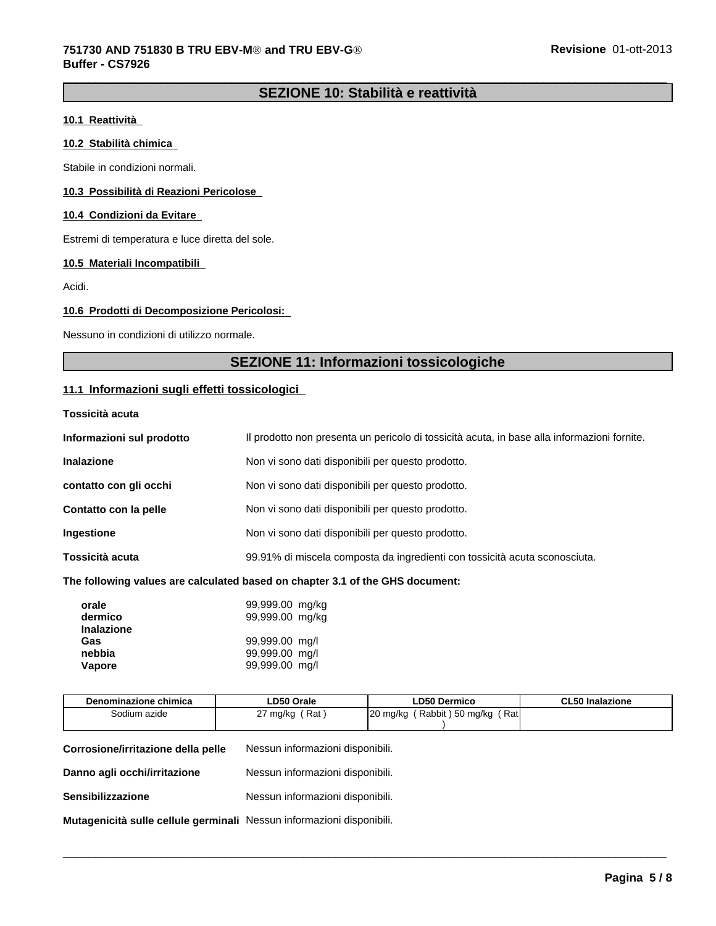# **SEZIONE 10: Stabilità e reattività**

#### **10.1 Reattività**

#### **10.2 Stabilità chimica**

Stabile in condizioni normali.

#### **10.3 Possibilità di Reazioni Pericolose**

#### **10.4 Condizioni da Evitare**

Estremi di temperatura e luce diretta del sole.

#### **10.5 Materiali Incompatibili**

Acidi.

#### **10.6 Prodotti di Decomposizione Pericolosi:**

Nessuno in condizioni di utilizzo normale.

# **SEZIONE 11: Informazioni tossicologiche**

#### **11.1 Informazioni sugli effetti tossicologici**

#### **Tossicità acuta**

| Informazioni sul prodotto | Il prodotto non presenta un pericolo di tossicità acuta, in base alla informazioni fornite. |
|---------------------------|---------------------------------------------------------------------------------------------|
| <b>Inalazione</b>         | Non vi sono dati disponibili per questo prodotto.                                           |
| contatto con gli occhi    | Non vi sono dati disponibili per questo prodotto.                                           |
| Contatto con la pelle     | Non vi sono dati disponibili per questo prodotto.                                           |
| <b>Ingestione</b>         | Non vi sono dati disponibili per questo prodotto.                                           |
| Tossicità acuta           | 99.91% di miscela composta da ingredienti con tossicità acuta sconosciuta.                  |
|                           |                                                                                             |

#### **The following values are calculated based on chapter 3.1 of the GHS document:**

| orale<br>dermico<br><b>Inalazione</b> | 99,999.00 mg/kg<br>99,999.00 mg/kg |
|---------------------------------------|------------------------------------|
| Gas                                   | 99,999.00 mg/l                     |
| nebbia                                | 99,999.00 mg/l                     |
| Vapore                                | 99,999.00 mg/l                     |

| Denominazione chimica                                                 | LD50 Orale                       | <b>LD50 Dermico</b>             | <b>CL50 Inalazione</b> |  |
|-----------------------------------------------------------------------|----------------------------------|---------------------------------|------------------------|--|
| Sodium azide                                                          | 27 mg/kg $(Rat)$                 | 20 mg/kg (Rabbit) 50 mg/kg (Rat |                        |  |
|                                                                       |                                  |                                 |                        |  |
| Corrosione/irritazione della pelle                                    | Nessun informazioni disponibili. |                                 |                        |  |
| Danno agli occhi/irritazione                                          | Nessun informazioni disponibili. |                                 |                        |  |
| Sensibilizzazione                                                     | Nessun informazioni disponibili. |                                 |                        |  |
| Mutagenicità sulle cellule germinali Nessun informazioni disponibili. |                                  |                                 |                        |  |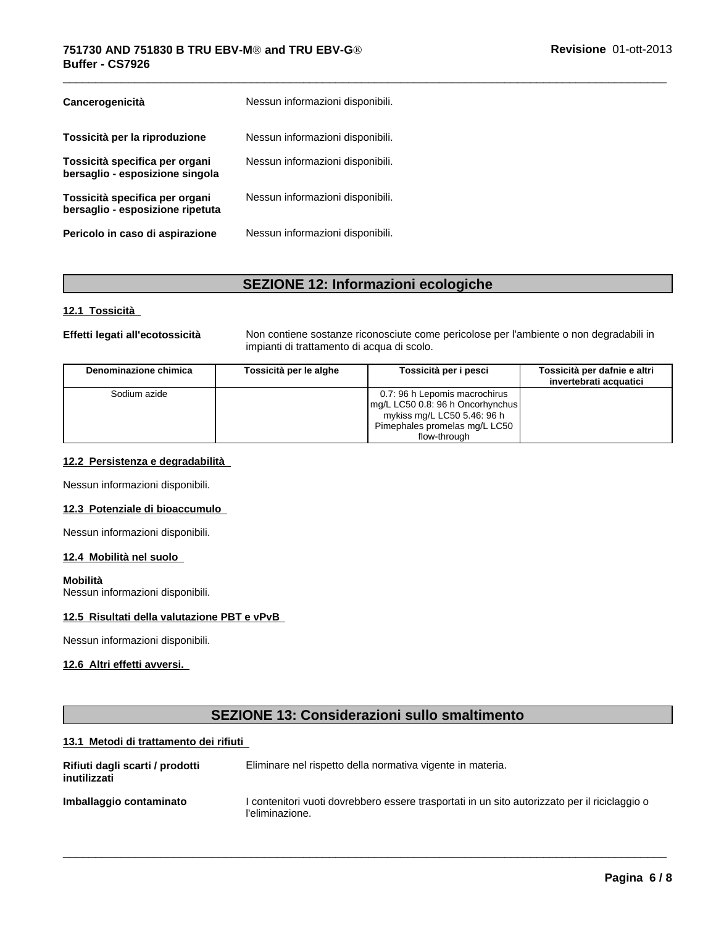| Cancerogenicità                                                    | Nessun informazioni disponibili. |
|--------------------------------------------------------------------|----------------------------------|
| Tossicità per la riproduzione                                      | Nessun informazioni disponibili. |
| Tossicità specifica per organi<br>bersaglio - esposizione singola  | Nessun informazioni disponibili. |
| Tossicità specifica per organi<br>bersaglio - esposizione ripetuta | Nessun informazioni disponibili. |
| Pericolo in caso di aspirazione                                    | Nessun informazioni disponibili. |

# **SEZIONE 12: Informazioni ecologiche**

### **12.1 Tossicità**

**Effetti legati all'ecotossicità** Non contiene sostanze riconosciute come pericolose per l'ambiente o non degradabili in impianti di trattamento di acqua di scolo.

 $\overline{\phantom{a}}$  ,  $\overline{\phantom{a}}$  ,  $\overline{\phantom{a}}$  ,  $\overline{\phantom{a}}$  ,  $\overline{\phantom{a}}$  ,  $\overline{\phantom{a}}$  ,  $\overline{\phantom{a}}$  ,  $\overline{\phantom{a}}$  ,  $\overline{\phantom{a}}$  ,  $\overline{\phantom{a}}$  ,  $\overline{\phantom{a}}$  ,  $\overline{\phantom{a}}$  ,  $\overline{\phantom{a}}$  ,  $\overline{\phantom{a}}$  ,  $\overline{\phantom{a}}$  ,  $\overline{\phantom{a}}$ 

| Denominazione chimica | Tossicità per le alghe | Tossicità per i pesci                                                                                                                               | Tossicità per dafnie e altri<br>invertebrati acquatici |
|-----------------------|------------------------|-----------------------------------------------------------------------------------------------------------------------------------------------------|--------------------------------------------------------|
| Sodium azide          |                        | 0.7: 96 h Lepomis macrochirus<br>$mg/L$ LC50 0.8: 96 h Oncorhynchus<br>mykiss mg/L LC50 5.46: 96 h<br>Pimephales promelas mg/L LC50<br>flow-through |                                                        |

#### **12.2 Persistenza e degradabilità**

Nessun informazioni disponibili.

#### **12.3 Potenziale di bioaccumulo**

Nessun informazioni disponibili.

#### **12.4 Mobilità nel suolo**

#### **Mobilità**

Nessun informazioni disponibili.

#### **12.5 Risultati della valutazione PBT e vPvB**

Nessun informazioni disponibili.

### **12.6 Altri effetti avversi.**

| <b>SEZIONE 13: Considerazioni sullo smaltimento</b> |                                                                                                                  |  |  |  |
|-----------------------------------------------------|------------------------------------------------------------------------------------------------------------------|--|--|--|
| 13.1 Metodi di trattamento dei rifiuti              |                                                                                                                  |  |  |  |
| Rifiuti dagli scarti / prodotti<br>inutilizzati     | Eliminare nel rispetto della normativa vigente in materia.                                                       |  |  |  |
| Imballaggio contaminato                             | l contenitori vuoti dovrebbero essere trasportati in un sito autorizzato per il riciclaggio o<br>l'eliminazione. |  |  |  |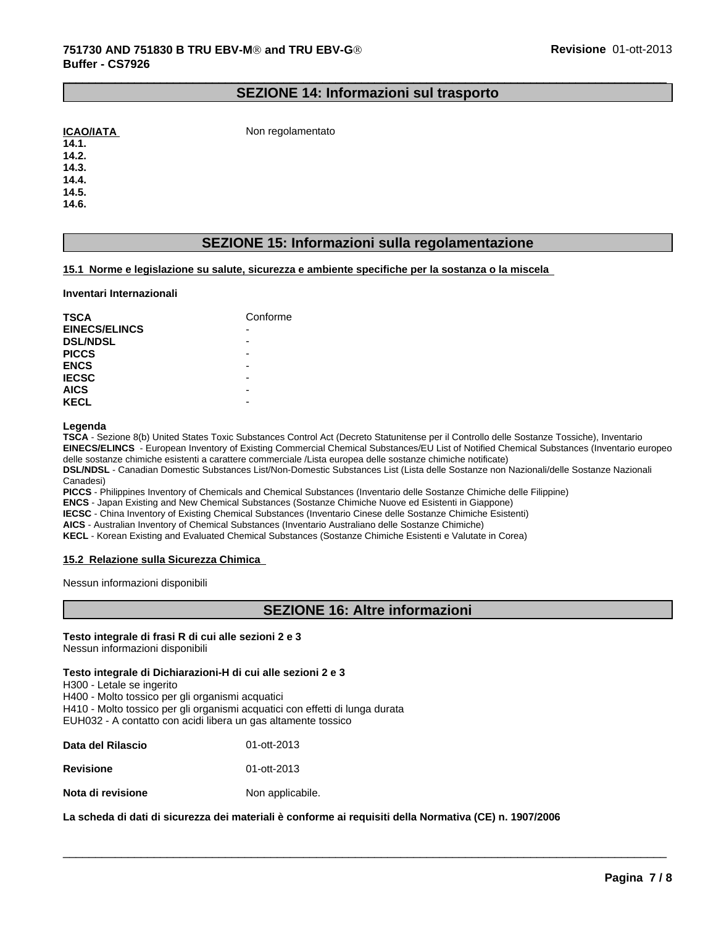### **SEZIONE 14: Informazioni sul trasporto**

 $\_$  ,  $\_$  ,  $\_$  ,  $\_$  ,  $\_$  ,  $\_$  ,  $\_$  ,  $\_$  ,  $\_$  ,  $\_$  ,  $\_$  ,  $\_$  ,  $\_$  ,  $\_$  ,  $\_$  ,  $\_$  ,  $\_$  ,  $\_$  ,  $\_$  ,  $\_$  ,  $\_$  ,  $\_$  ,  $\_$  ,  $\_$  ,  $\_$  ,  $\_$  ,  $\_$  ,  $\_$  ,  $\_$  ,  $\_$  ,  $\_$  ,  $\_$  ,  $\_$  ,  $\_$  ,  $\_$  ,  $\_$  ,  $\_$  ,

**ICAO/IATA** Non regolamentato

**14.1. 14.2.**

**14.3.**

**14.4.**

**14.5.**

**14.6.**

# **SEZIONE 15: Informazioni sulla regolamentazione**

#### **15.1 Norme e legislazione su salute, sicurezza e ambiente specifiche per la sostanza o la miscela**

#### **Inventari Internazionali**

| <b>TSCA</b>          | Conforme |
|----------------------|----------|
| <b>EINECS/ELINCS</b> | -        |
| <b>DSL/NDSL</b>      | -        |
| <b>PICCS</b>         | -        |
| <b>ENCS</b>          | -        |
| <b>IECSC</b>         | -        |
| <b>AICS</b>          | -        |
| <b>KECL</b>          | -        |

#### **Legenda**

**TSCA** - Sezione 8(b) United States Toxic Substances Control Act (Decreto Statunitense per il Controllo delle Sostanze Tossiche), Inventario **EINECS/ELINCS** - European Inventory of Existing Commercial Chemical Substances/EU List of Notified Chemical Substances (Inventario europeo delle sostanze chimiche esistenti a carattere commerciale /Lista europea delle sostanze chimiche notificate)

**DSL/NDSL** - Canadian Domestic Substances List/Non-Domestic Substances List (Lista delle Sostanze non Nazionali/delle Sostanze Nazionali Canadesi)

**PICCS** - Philippines Inventory of Chemicals and Chemical Substances (Inventario delle Sostanze Chimiche delle Filippine)

**ENCS** - Japan Existing and New Chemical Substances (Sostanze Chimiche Nuove ed Esistenti in Giappone)

**IECSC** - China Inventory of Existing Chemical Substances (Inventario Cinese delle Sostanze Chimiche Esistenti)

**AICS** - Australian Inventory of Chemical Substances (Inventario Australiano delle Sostanze Chimiche)

**KECL** - Korean Existing and Evaluated Chemical Substances (Sostanze Chimiche Esistenti e Valutate in Corea)

#### **15.2 Relazione sulla Sicurezza Chimica**

Nessun informazioni disponibili

# **SEZIONE 16: Altre informazioni**

 $\overline{\phantom{a}}$  ,  $\overline{\phantom{a}}$  ,  $\overline{\phantom{a}}$  ,  $\overline{\phantom{a}}$  ,  $\overline{\phantom{a}}$  ,  $\overline{\phantom{a}}$  ,  $\overline{\phantom{a}}$  ,  $\overline{\phantom{a}}$  ,  $\overline{\phantom{a}}$  ,  $\overline{\phantom{a}}$  ,  $\overline{\phantom{a}}$  ,  $\overline{\phantom{a}}$  ,  $\overline{\phantom{a}}$  ,  $\overline{\phantom{a}}$  ,  $\overline{\phantom{a}}$  ,  $\overline{\phantom{a}}$ 

# **Testo integrale di frasi R di cui alle sezioni 2 e 3**

Nessun informazioni disponibili

#### **Testo integrale di Dichiarazioni-H di cui alle sezioni 2 e 3**

H300 - Letale se ingerito

H400 - Molto tossico per gli organismi acquatici H410 - Molto tossico per gli organismi acquatici con effetti di lunga durata

EUH032 - A contatto con acidi libera un gas altamente tossico

| Data del Rilascio | 01-ott-2013      |
|-------------------|------------------|
| <b>Revisione</b>  | 01-ott-2013      |
| Nota di revisione | Non applicabile. |

**La scheda di dati di sicurezza dei materiali è conforme ai requisitidella Normativa (CE) n. 1907/2006**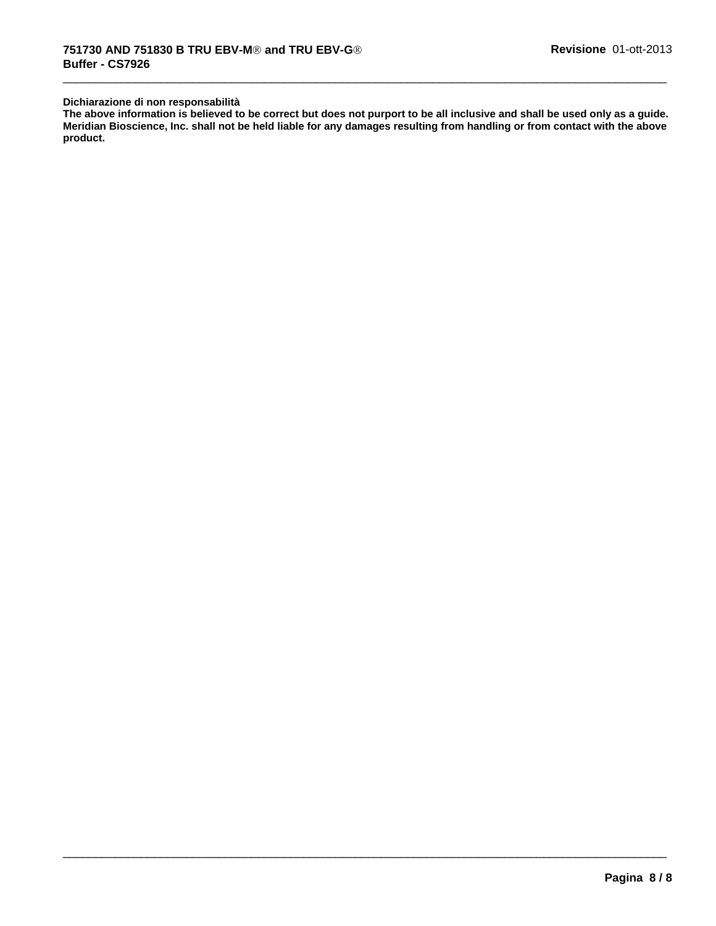#### **Dichiarazione di non responsabilità**

**The above information is believed to be correct but does not purport to be all inclusive and shall be used only as a guide. Meridian Bioscience, Inc. shall not be held liable for any damages resulting from handling or from contact with the above product.**

 $\overline{\phantom{a}}$  ,  $\overline{\phantom{a}}$  ,  $\overline{\phantom{a}}$  ,  $\overline{\phantom{a}}$  ,  $\overline{\phantom{a}}$  ,  $\overline{\phantom{a}}$  ,  $\overline{\phantom{a}}$  ,  $\overline{\phantom{a}}$  ,  $\overline{\phantom{a}}$  ,  $\overline{\phantom{a}}$  ,  $\overline{\phantom{a}}$  ,  $\overline{\phantom{a}}$  ,  $\overline{\phantom{a}}$  ,  $\overline{\phantom{a}}$  ,  $\overline{\phantom{a}}$  ,  $\overline{\phantom{a}}$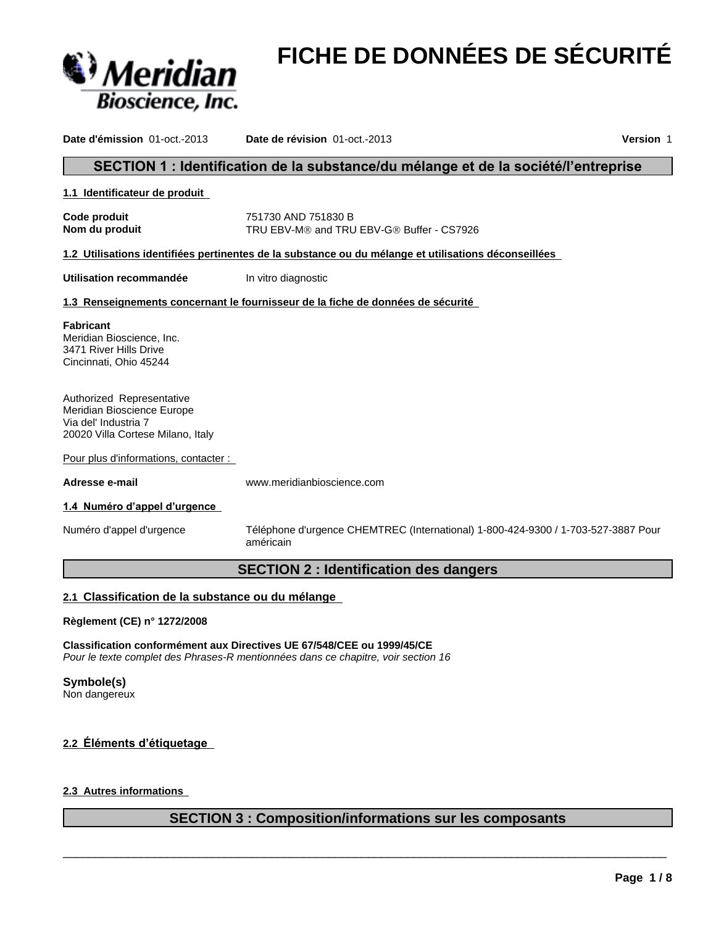

# **FICHE DE DONNÉES DE SÉCURITÉ**

**Date d'émission** 01-oct.-2013 **Date de révision** 01-oct.-2013 **Version** 1 SECTION 1 : Identification de la substance/du mélange et de la société/l'entreprise **1.1 Identificateur de produit Code produit** 751730 AND 751830 B **Nom du produit** TRU EBV-M<sup>®</sup> and TRU EBV-G<sup>®</sup> Buffer - CS7926 **1.2 Utilisations identifiées pertinentes de la substance ou du mélange et utilisations déconseillées Utilisation recommandée** In vitro diagnostic **1.3 Renseignements concernant le fournisseur de la fiche de données de sécurité** Pour plus d'informations, contacter : **Adresse e-mail** www.meridianbioscience.com 1.4 Numéro d'appel d'urgence Numéro d'appel d'urgence Téléphone d'urgence CHEMTREC (International) 1-800-424-9300 / 1-703-527-3887 Pour américain **SECTION 2 : Identification des dangers 2.1 Classification de la substance ou du mélange Règlement (CE) n° 1272/2008 Classification conformément aux Directives UE 67/548/CEE ou 1999/45/CE Fabricant** Meridian Bioscience, Inc. 3471 River Hills Drive Cincinnati, Ohio 45244 Authorized Representative Meridian Bioscience Europe Via del' Industria 7 20020 Villa Cortese Milano, Italy

*Pour le texte complet des Phrases-R mentionnées dans ce chapitre, voir section 16*

**Symbole(s)**

Non dangereux

# 2.2 Éléments d'étiquetage

# **2.3 Autres informations**

# **SECTION 3 : Composition/informations sur les composants**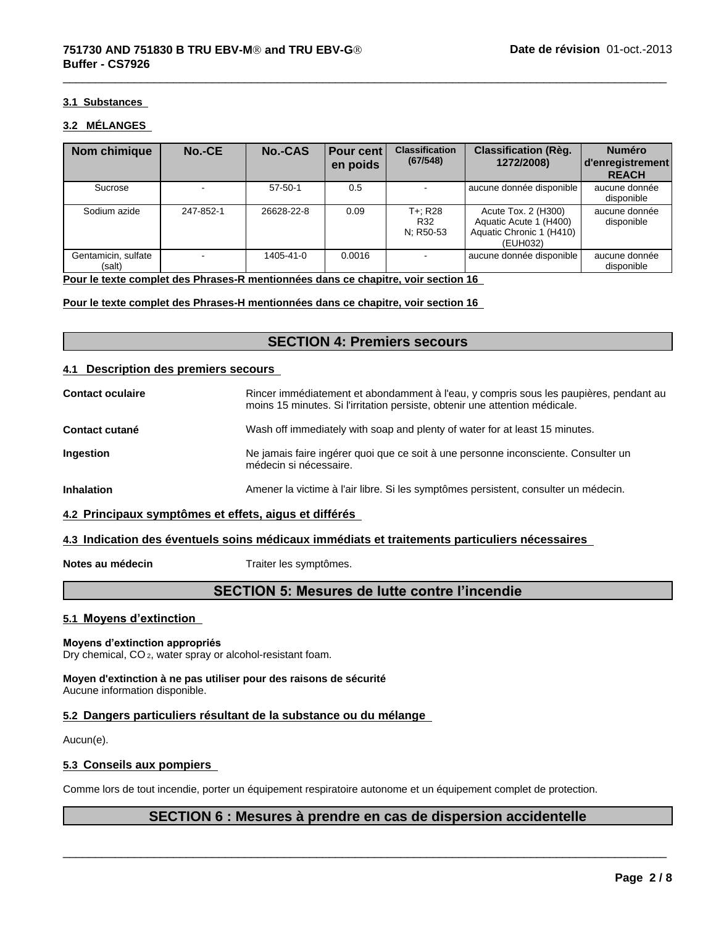#### **3.1 Substances**

#### **3.2 MÉLANGES**

| Nom chimique                  | No.-CE    | <b>No.-CAS</b> | <b>Pour cent</b><br>en poids | <b>Classification</b><br>(67/548) | <b>Classification (Règ.</b><br>1272/2008)                                             | <b>Numéro</b><br>  d'enregistrement  <br><b>REACH</b> |
|-------------------------------|-----------|----------------|------------------------------|-----------------------------------|---------------------------------------------------------------------------------------|-------------------------------------------------------|
| Sucrose                       | ۰         | $57 - 50 - 1$  | 0.5                          |                                   | aucune donnée disponible                                                              | aucune donnée<br>disponible                           |
| Sodium azide                  | 247-852-1 | 26628-22-8     | 0.09                         | T+: R28<br>R32<br>N; R50-53       | Acute Tox. 2 (H300)<br>Aquatic Acute 1 (H400)<br>Aquatic Chronic 1 (H410)<br>(EUH032) | aucune donnée<br>disponible                           |
| Gentamicin, sulfate<br>(salt) | -         | 1405-41-0      | 0.0016                       |                                   | aucune donnée disponible                                                              | aucune donnée<br>disponible                           |

 $\overline{\phantom{a}}$  ,  $\overline{\phantom{a}}$  ,  $\overline{\phantom{a}}$  ,  $\overline{\phantom{a}}$  ,  $\overline{\phantom{a}}$  ,  $\overline{\phantom{a}}$  ,  $\overline{\phantom{a}}$  ,  $\overline{\phantom{a}}$  ,  $\overline{\phantom{a}}$  ,  $\overline{\phantom{a}}$  ,  $\overline{\phantom{a}}$  ,  $\overline{\phantom{a}}$  ,  $\overline{\phantom{a}}$  ,  $\overline{\phantom{a}}$  ,  $\overline{\phantom{a}}$  ,  $\overline{\phantom{a}}$ 

**Pour le texte complet des Phrases-R mentionnées dans ce chapitre, voir section 16**

**Pour le texte complet des Phrases-H mentionnées dans ce chapitre, voir section 16**

# **SECTION 4: Premiers secours**

#### **4.1 Description des premiers secours**

| <b>Contact oculaire</b> | Rincer immédiatement et abondamment à l'eau, y compris sous les paupières, pendant au<br>moins 15 minutes. Si l'irritation persiste, obtenir une attention médicale. |
|-------------------------|----------------------------------------------------------------------------------------------------------------------------------------------------------------------|
| Contact cutané          | Wash off immediately with soap and plenty of water for at least 15 minutes.                                                                                          |
| Ingestion               | Ne jamais faire ingérer quoi que ce soit à une personne inconsciente. Consulter un<br>médecin si nécessaire.                                                         |
| Inhalation              | Amener la victime à l'air libre. Si les symptômes persistent, consulter un médecin.                                                                                  |
|                         |                                                                                                                                                                      |

#### **4.2 Principaux symptômes et effets, aigus et différés**

#### **4.3 Indication des éventuels soins médicaux immédiats et traitements particuliers nécessaires**

**Notes au médecin** Traiter les symptômes.

# **SECTION 5: Mesures de lutte contre l'incendie**

#### **5.1 Moyens d'extinction**

#### **Moyens d'extinction appropriés**

Dry chemical, CO 2, water spray or alcohol-resistant foam.

#### **Moyen d'extinction à ne pas utiliser pour des raisons de sécurité** Aucune information disponible.

# **5.2 Dangers particuliers résultant de la substance ou du mélange**

Aucun(e).

#### **5.3 Conseils aux pompiers**

Comme lors de toutincendie, porter un équipement respiratoire autonome et un équipement complet de protection.

# **SECTION 6 : Mesures à prendre en cas de dispersion accidentelle**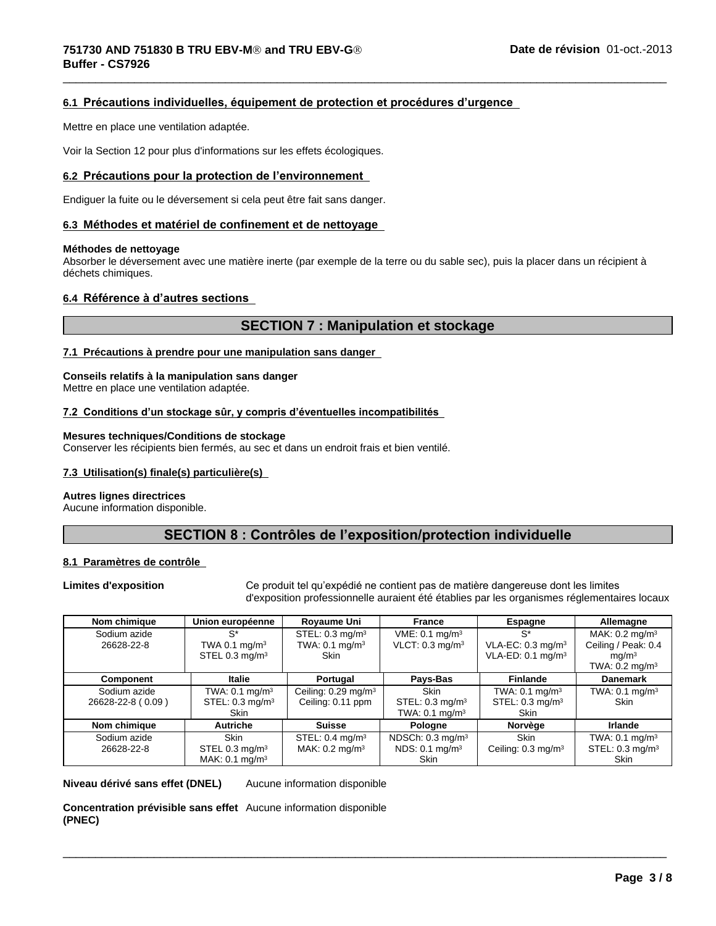#### **6.1 Précautionsindividuelles,équipementdeprotectionetprocéduresd'urgence**

Mettre en place une ventilation adaptée.

Voir la Section 12 pour plus d'informations sur les effets écologiques.

#### **6.2 Précautionspourlaprotectiondel'environnement**

Endiguer la fuite ou le déversement si cela peut être fait sans danger.

#### **6.3 Méthodes et matérielde confinement et de nettoyage**

#### **Méthodes de nettoyage**

Absorber le déversement avec une matière inerte (par exemple de la terre ou du sable sec), puis la placer dans un récipient à déchets chimiques.

#### **6.4 Référenceàd'autressections**

# **SECTION 7 : Manipulation et stockage**

 $\overline{\phantom{a}}$  ,  $\overline{\phantom{a}}$  ,  $\overline{\phantom{a}}$  ,  $\overline{\phantom{a}}$  ,  $\overline{\phantom{a}}$  ,  $\overline{\phantom{a}}$  ,  $\overline{\phantom{a}}$  ,  $\overline{\phantom{a}}$  ,  $\overline{\phantom{a}}$  ,  $\overline{\phantom{a}}$  ,  $\overline{\phantom{a}}$  ,  $\overline{\phantom{a}}$  ,  $\overline{\phantom{a}}$  ,  $\overline{\phantom{a}}$  ,  $\overline{\phantom{a}}$  ,  $\overline{\phantom{a}}$ 

#### **7.1 Précautions à prendre pour une manipulation sans danger**

#### **Conseils relatifs à la manipulation sans danger**

Mettre en place une ventilation adaptée.

#### **7.2Conditionsd'unstockagesûr,ycomprisd'éventuellesincompatibilités**

#### **Mesures techniques/Conditions de stockage**

Conserver les récipients bien fermés, au sec et dans un endroit frais et bien ventilé.

#### **7.3 Utilisation(s) finale(s) particulière(s)**

#### **Autres lignes directrices**

Aucune information disponible.

# SECTION 8 : Contrôles de l'exposition/protection individuelle

#### **8.1 Paramètres de contrôle**

Limites d'exposition **Ceproduittel qu'expédié ne contient pas de matière dangereuse dont les limites** d'exposition professionnelle auraient été établies par les organismes réglementaires locaux

 $\overline{\phantom{a}}$  ,  $\overline{\phantom{a}}$  ,  $\overline{\phantom{a}}$  ,  $\overline{\phantom{a}}$  ,  $\overline{\phantom{a}}$  ,  $\overline{\phantom{a}}$  ,  $\overline{\phantom{a}}$  ,  $\overline{\phantom{a}}$  ,  $\overline{\phantom{a}}$  ,  $\overline{\phantom{a}}$  ,  $\overline{\phantom{a}}$  ,  $\overline{\phantom{a}}$  ,  $\overline{\phantom{a}}$  ,  $\overline{\phantom{a}}$  ,  $\overline{\phantom{a}}$  ,  $\overline{\phantom{a}}$ 

| Nom chimique      | Union européenne           | Royaume Uni                     | France                        | <b>Espagne</b>                | Allemagne                    |
|-------------------|----------------------------|---------------------------------|-------------------------------|-------------------------------|------------------------------|
| Sodium azide      | $S^*$                      | STEL: $0.3 \text{ mg/m}^3$      | $VME: 0.1$ mg/m <sup>3</sup>  | $S^*$                         | MAK: $0.2 \text{ mg/m}^3$    |
| 26628-22-8        | TWA 0.1 $mq/m3$            | TWA: $0.1 \text{ mg/m}^3$       | $VLCT: 0.3$ mg/m <sup>3</sup> | VLA-EC: $0.3 \text{ mg/m}^3$  | Ceiling / Peak: 0.4          |
|                   | STEL 0.3 mg/m <sup>3</sup> | <b>Skin</b>                     |                               | VLA-ED: 0.1 mg/m <sup>3</sup> | mq/m <sup>3</sup>            |
|                   |                            |                                 |                               |                               | TWA: $0.2 \text{ mg/m}^3$    |
| Component         | Italie                     | Portugal                        | Pays-Bas                      | <b>Finlande</b>               | <b>Danemark</b>              |
| Sodium azide      | TWA: $0.1 \text{ mg/m}^3$  | Ceiling: 0.29 mg/m <sup>3</sup> | Skin                          | TWA: $0.1$ mg/m <sup>3</sup>  | TWA: $0.1$ mg/m <sup>3</sup> |
| 26628-22-8 (0.09) | STEL: $0.3 \text{ mg/m}^3$ | Ceiling: 0.11 ppm               | STEL: $0.3 \text{ mg/m}^3$    | STEL: $0.3 \text{ mg/m}^3$    | <b>Skin</b>                  |
|                   | Skin                       |                                 | TWA: $0.1 \text{ mg/m}^3$     | <b>Skin</b>                   |                              |
| Nom chimique      | Autriche                   | <b>Suisse</b>                   | Pologne                       | Norvège                       | <b>Irlande</b>               |
| Sodium azide      | <b>Skin</b>                | STEL: $0.4 \text{ mg/m}^3$      | NDSCh: $0.3 \text{ mg/m}^3$   | <b>Skin</b>                   | TWA: $0.1$ mg/m <sup>3</sup> |
| 26628-22-8        | STEL 0.3 mg/ $m3$          | MAK: $0.2 \text{ mg/m}^3$       | NDS: 0.1 mg/m <sup>3</sup>    | Ceiling: $0.3 \text{ mg/m}^3$ | STEL: $0.3 \text{ mg/m}^3$   |
|                   | MAK: $0.1 \text{ mg/m}^3$  |                                 | Skin                          |                               | <b>Skin</b>                  |

**Niveau dérivé sans effet (DNEL)** Aucune information disponible

**Concentration prévisible sans effet** Aucune information disponible**(PNEC)**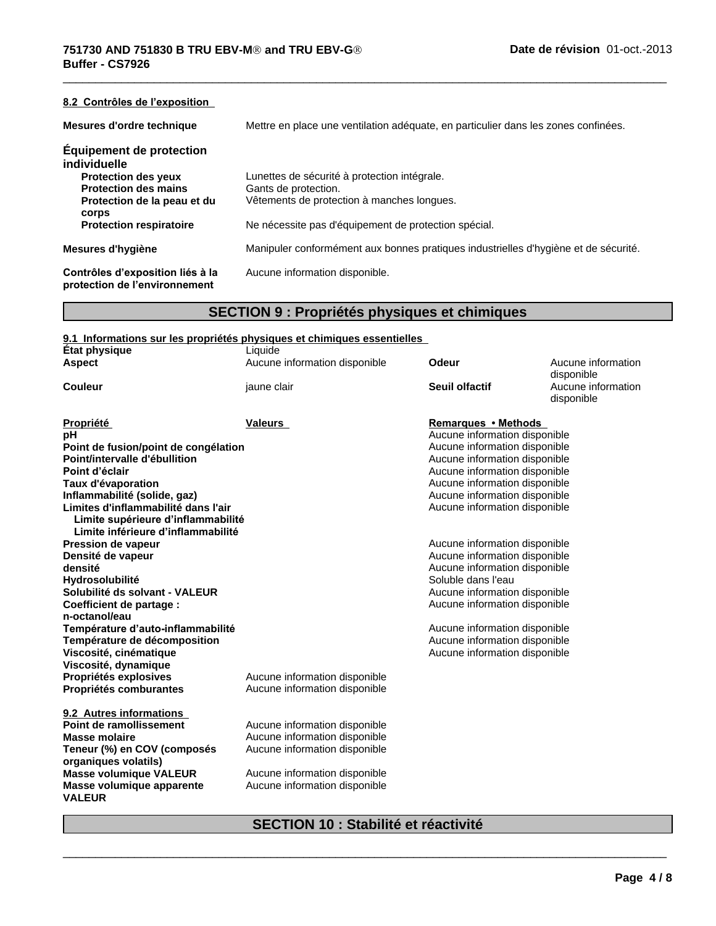| 8.2 Contrôles de l'exposition                                     |                                                                                     |
|-------------------------------------------------------------------|-------------------------------------------------------------------------------------|
| Mesures d'ordre technique                                         | Mettre en place une ventilation adéquate, en particulier dans les zones confinées.  |
| <b>Equipement de protection</b><br>individuelle                   |                                                                                     |
| <b>Protection des yeux</b>                                        | Lunettes de sécurité à protection intégrale.                                        |
| <b>Protection des mains</b>                                       | Gants de protection.                                                                |
| Protection de la peau et du<br><b>corps</b>                       | Vêtements de protection à manches longues.                                          |
| <b>Protection respiratoire</b>                                    | Ne nécessite pas d'équipement de protection spécial.                                |
| Mesures d'hygiène                                                 | Manipuler conformément aux bonnes pratiques industrielles d'hygiène et de sécurité. |
| Contrôles d'exposition liés à la<br>protection de l'environnement | Aucune information disponible.                                                      |

 $\overline{\phantom{a}}$  ,  $\overline{\phantom{a}}$  ,  $\overline{\phantom{a}}$  ,  $\overline{\phantom{a}}$  ,  $\overline{\phantom{a}}$  ,  $\overline{\phantom{a}}$  ,  $\overline{\phantom{a}}$  ,  $\overline{\phantom{a}}$  ,  $\overline{\phantom{a}}$  ,  $\overline{\phantom{a}}$  ,  $\overline{\phantom{a}}$  ,  $\overline{\phantom{a}}$  ,  $\overline{\phantom{a}}$  ,  $\overline{\phantom{a}}$  ,  $\overline{\phantom{a}}$  ,  $\overline{\phantom{a}}$ 

# **SECTION 9 : Propriétés physiques et chimiques**

# **9.1 Informations sur les propriétés physiques et chimiques essentielles**

| <b>État physique</b>                                                                                            | Liquide                       |                               |                                  |
|-----------------------------------------------------------------------------------------------------------------|-------------------------------|-------------------------------|----------------------------------|
| <b>Aspect</b>                                                                                                   | Aucune information disponible | Odeur                         | Aucune information<br>disponible |
| <b>Couleur</b>                                                                                                  | jaune clair                   | Seuil olfactif                | Aucune information<br>disponible |
| Propriété                                                                                                       | <b>Valeurs</b>                | Remarques • Methods           |                                  |
| рH                                                                                                              |                               | Aucune information disponible |                                  |
| Point de fusion/point de congélation                                                                            |                               | Aucune information disponible |                                  |
| Point/intervalle d'ébullition                                                                                   |                               | Aucune information disponible |                                  |
| Point d'éclair                                                                                                  |                               | Aucune information disponible |                                  |
| Taux d'évaporation                                                                                              |                               | Aucune information disponible |                                  |
| Inflammabilité (solide, gaz)                                                                                    |                               | Aucune information disponible |                                  |
| Limites d'inflammabilité dans l'air<br>Limite supérieure d'inflammabilité<br>Limite inférieure d'inflammabilité |                               | Aucune information disponible |                                  |
| <b>Pression de vapeur</b>                                                                                       |                               | Aucune information disponible |                                  |
| Densité de vapeur                                                                                               |                               | Aucune information disponible |                                  |
| densité                                                                                                         |                               | Aucune information disponible |                                  |
| <b>Hydrosolubilité</b>                                                                                          |                               | Soluble dans l'eau            |                                  |
| Solubilité ds solvant - VALEUR                                                                                  |                               | Aucune information disponible |                                  |
| <b>Coefficient de partage:</b>                                                                                  |                               | Aucune information disponible |                                  |
| n-octanol/eau                                                                                                   |                               |                               |                                  |
| Température d'auto-inflammabilité                                                                               |                               | Aucune information disponible |                                  |
| Température de décomposition                                                                                    |                               | Aucune information disponible |                                  |
| Viscosité, cinématique                                                                                          |                               | Aucune information disponible |                                  |
| Viscosité, dynamique                                                                                            |                               |                               |                                  |
| Propriétés explosives                                                                                           | Aucune information disponible |                               |                                  |
| Propriétés comburantes                                                                                          | Aucune information disponible |                               |                                  |
| 9.2 Autres informations                                                                                         |                               |                               |                                  |
| Point de ramollissement                                                                                         | Aucune information disponible |                               |                                  |
| <b>Masse molaire</b>                                                                                            | Aucune information disponible |                               |                                  |
| Teneur (%) en COV (composés<br>organiques volatils)                                                             | Aucune information disponible |                               |                                  |
| <b>Masse volumique VALEUR</b>                                                                                   | Aucune information disponible |                               |                                  |
| Masse volumique apparente                                                                                       | Aucune information disponible |                               |                                  |
| <b>VALEUR</b>                                                                                                   |                               |                               |                                  |

# **SECTION 10 : Stabilité et réactivité**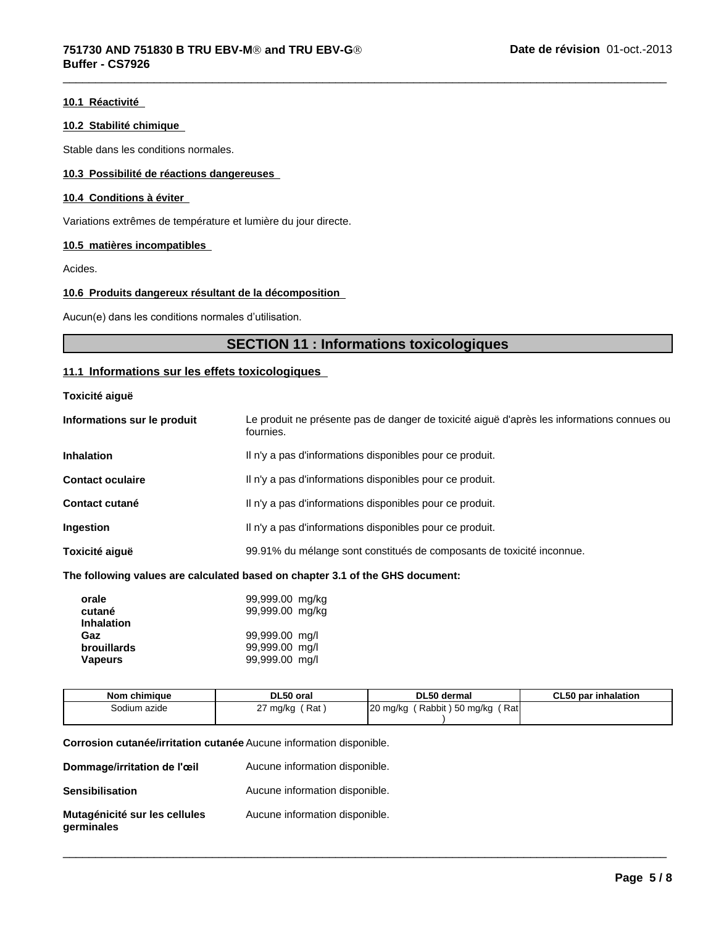#### **10.1 Réactivité**

#### **10.2 Stabilité chimique**

Stable dans les conditions normales.

#### **10.3 Possibilité de réactions dangereuses**

#### **10.4 Conditions à éviter**

Variations extrêmes de température et lumière du jour directe.

#### **10.5 matières incompatibles**

Acides.

#### **10.6 Produits dangereux résultant de la décomposition**

Aucun(e) dans les conditions normales d'utilisation.

# **SECTION 11 : Informations toxicologiques**

 $\overline{\phantom{a}}$  ,  $\overline{\phantom{a}}$  ,  $\overline{\phantom{a}}$  ,  $\overline{\phantom{a}}$  ,  $\overline{\phantom{a}}$  ,  $\overline{\phantom{a}}$  ,  $\overline{\phantom{a}}$  ,  $\overline{\phantom{a}}$  ,  $\overline{\phantom{a}}$  ,  $\overline{\phantom{a}}$  ,  $\overline{\phantom{a}}$  ,  $\overline{\phantom{a}}$  ,  $\overline{\phantom{a}}$  ,  $\overline{\phantom{a}}$  ,  $\overline{\phantom{a}}$  ,  $\overline{\phantom{a}}$ 

#### **11.1 Informations sur les effets toxicologiques**

**Toxicité aiguë**

| Informations sur le produit | Le produit ne présente pas de danger de toxicité aiguë d'après les informations connues ou<br>fournies. |
|-----------------------------|---------------------------------------------------------------------------------------------------------|
| <b>Inhalation</b>           | Il n'y a pas d'informations disponibles pour ce produit.                                                |
| <b>Contact oculaire</b>     | Il n'y a pas d'informations disponibles pour ce produit.                                                |
| <b>Contact cutané</b>       | Il n'y a pas d'informations disponibles pour ce produit.                                                |
| Ingestion                   | Il n'y a pas d'informations disponibles pour ce produit.                                                |
| Toxicité aiquë              | 99.91% du mélange sont constitués de composants de toxicité inconnue.                                   |
|                             |                                                                                                         |

#### **The following values are calculated based on chapter 3.1 of the GHS document:**

| orale              | 99,999.00 mg/kg |
|--------------------|-----------------|
| cutané             | 99,999.00 mg/kg |
| <b>Inhalation</b>  |                 |
| Gaz                | 99,999.00 mg/l  |
| <b>brouillards</b> | 99,999.00 mg/l  |
| <b>Vapeurs</b>     | 99,999.00 mg/l  |

| Nom chimique | DL50 oral                      | DL50 dermal                                               | CL50<br><b>∵inhalation</b><br>par |
|--------------|--------------------------------|-----------------------------------------------------------|-----------------------------------|
| Sodium azide | ∵Rat ,<br>mg/kg<br>-<br>$\sim$ | <b>Ratl</b><br>$\sim$<br>) 50 mg/kg<br>Rabbit<br>20 mg/kg |                                   |
|              |                                |                                                           |                                   |

 $\overline{\phantom{a}}$  ,  $\overline{\phantom{a}}$  ,  $\overline{\phantom{a}}$  ,  $\overline{\phantom{a}}$  ,  $\overline{\phantom{a}}$  ,  $\overline{\phantom{a}}$  ,  $\overline{\phantom{a}}$  ,  $\overline{\phantom{a}}$  ,  $\overline{\phantom{a}}$  ,  $\overline{\phantom{a}}$  ,  $\overline{\phantom{a}}$  ,  $\overline{\phantom{a}}$  ,  $\overline{\phantom{a}}$  ,  $\overline{\phantom{a}}$  ,  $\overline{\phantom{a}}$  ,  $\overline{\phantom{a}}$ 

**Corrosion cutanée/irritation cutanée** Aucune information disponible.

| Dommage/irritation de l'œil                 | Aucune information disponible. |
|---------------------------------------------|--------------------------------|
| <b>Sensibilisation</b>                      | Aucune information disponible. |
| Mutagénicité sur les cellules<br>germinales | Aucune information disponible. |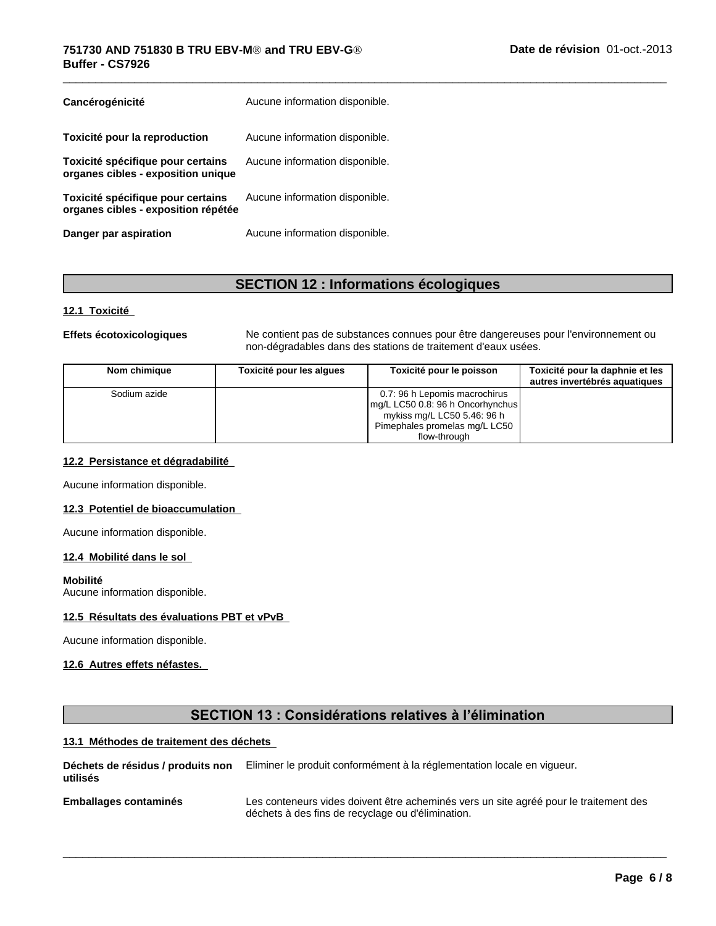| Cancérogénicité                                                          | Aucune information disponible. |
|--------------------------------------------------------------------------|--------------------------------|
| Toxicité pour la reproduction                                            | Aucune information disponible. |
| Toxicité spécifique pour certains<br>organes cibles - exposition unique  | Aucune information disponible. |
| Toxicité spécifique pour certains<br>organes cibles - exposition répétée | Aucune information disponible. |
| Danger par aspiration                                                    | Aucune information disponible. |

# **SECTION 12 : Informations écologiques**

#### **12.1 Toxicité**

**Effets écotoxicologiques** Ne contient pas de substances connues pour être dangereuses pour l'environnement ou non-dégradables dans des stations de traitement d'eaux usées.

 $\overline{\phantom{a}}$  ,  $\overline{\phantom{a}}$  ,  $\overline{\phantom{a}}$  ,  $\overline{\phantom{a}}$  ,  $\overline{\phantom{a}}$  ,  $\overline{\phantom{a}}$  ,  $\overline{\phantom{a}}$  ,  $\overline{\phantom{a}}$  ,  $\overline{\phantom{a}}$  ,  $\overline{\phantom{a}}$  ,  $\overline{\phantom{a}}$  ,  $\overline{\phantom{a}}$  ,  $\overline{\phantom{a}}$  ,  $\overline{\phantom{a}}$  ,  $\overline{\phantom{a}}$  ,  $\overline{\phantom{a}}$ 

| Nom chimique | Toxicité pour les alques | Toxicité pour le poisson                                                                                                                            | Toxicité pour la daphnie et les<br>autres invertébrés aquatiques |
|--------------|--------------------------|-----------------------------------------------------------------------------------------------------------------------------------------------------|------------------------------------------------------------------|
| Sodium azide |                          | 0.7: 96 h Lepomis macrochirus<br>mg/L LC50 0.8: 96 h Oncorhynchus  <br>mykiss mg/L LC50 5.46: 96 h<br>Pimephales promelas mg/L LC50<br>flow-through |                                                                  |

#### **12.2 Persistance et dégradabilité**

Aucune information disponible.

#### **12.3 Potentiel de bioaccumulation**

Aucune information disponible.

#### **12.4 Mobilité dans le sol**

**Mobilité**

Aucune information disponible.

#### **12.5 Résultats des évaluations PBT et vPvB**

Aucune information disponible.

#### **12.6 Autres effets néfastes.**

# **SECTION 13: Considérations relatives à l'élimination**

# **13.1 Méthodes de traitement des déchets**

**Déchets de résidus / produits non** Eliminer le produit conformément à la réglementation locale en vigueur. **utilisés**

**Emballages contaminés**

Les conteneurs vides doivent être acheminés vers un site agréé pour le traitement des déchets à des fins de recyclage ou d'élimination.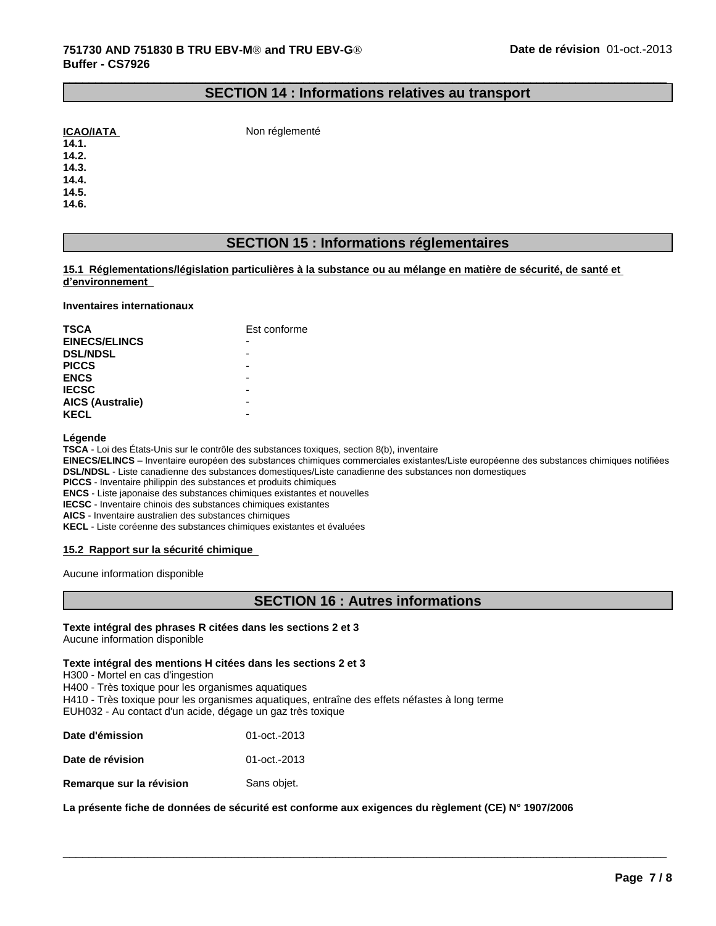## **SECTION 14 : Informations relatives au transport**

 $\_$  ,  $\_$  ,  $\_$  ,  $\_$  ,  $\_$  ,  $\_$  ,  $\_$  ,  $\_$  ,  $\_$  ,  $\_$  ,  $\_$  ,  $\_$  ,  $\_$  ,  $\_$  ,  $\_$  ,  $\_$  ,  $\_$  ,  $\_$  ,  $\_$  ,  $\_$  ,  $\_$  ,  $\_$  ,  $\_$  ,  $\_$  ,  $\_$  ,  $\_$  ,  $\_$  ,  $\_$  ,  $\_$  ,  $\_$  ,  $\_$  ,  $\_$  ,  $\_$  ,  $\_$  ,  $\_$  ,  $\_$  ,  $\_$  ,

| <b>ICAO/IATA</b> |
|------------------|
|                  |

**Non réglementé** 

**14.2.**

**14.3.**

**14.4. 14.5.**

**14.6.**

# **SECTION 15 : Informations réglementaires**

#### **15.1 Réglementations/législation particulières à la substance ou au mélange en matière de sécurité, de santé et d'environnement**

#### **Inventaires internationaux**

| <b>TSCA</b>             | Est conforme |
|-------------------------|--------------|
| <b>EINECS/ELINCS</b>    |              |
| <b>DSL/NDSL</b>         |              |
| <b>PICCS</b>            |              |
| <b>ENCS</b>             |              |
| <b>IECSC</b>            |              |
| <b>AICS (Australie)</b> |              |
| <b>KECL</b>             | -            |

#### **Légende**

TSCA - Loi des États-Unis sur le contrôle des substances toxiques, section 8(b), inventaire

EINECS/ELINCS - Inventaire européen des substances chimiques commerciales existantes/Liste européenne des substances chimiques notifiées **DSL/NDSL** - Liste canadienne des substances domestiques/Liste canadienne des substances non domestiques

**PICCS** - Inventaire philippin des substances et produits chimiques

**ENCS** - Liste japonaise des substances chimiques existantes et nouvelles

**IECSC** - Inventaire chinois des substances chimiques existantes

**AICS** - Inventaire australien des substances chimiques

**KECL** - Liste coréenne des substances chimiques existantes et évaluées

#### **15.2 Rapport sur la sécurité chimique**

Aucune information disponible

# **SECTION 16 : Autres informations**

 $\overline{\phantom{a}}$  ,  $\overline{\phantom{a}}$  ,  $\overline{\phantom{a}}$  ,  $\overline{\phantom{a}}$  ,  $\overline{\phantom{a}}$  ,  $\overline{\phantom{a}}$  ,  $\overline{\phantom{a}}$  ,  $\overline{\phantom{a}}$  ,  $\overline{\phantom{a}}$  ,  $\overline{\phantom{a}}$  ,  $\overline{\phantom{a}}$  ,  $\overline{\phantom{a}}$  ,  $\overline{\phantom{a}}$  ,  $\overline{\phantom{a}}$  ,  $\overline{\phantom{a}}$  ,  $\overline{\phantom{a}}$ 

#### **Texte intégral des phrases R citées dans les sections 2 et 3** Aucune information disponible

# **Texte intégral des mentions H citéesdans les sections 2 et 3**

H300 - Mortel en cas d'ingestion

H400 - Très toxique pour les organismes aquatiques

H410 - Très toxique pour les organismes aquatiques, entraîne des effets néfastes à long terme

EUH032 - Au contact d'un acide, dégage un gaz très toxique

| Date d'émission  | 01-oct.-2013 |
|------------------|--------------|
| Date de révision | 01-oct.-2013 |

**Remarque sur la révision** Sans objet.

**La présente fiche de données de sécurité est conforme aux exigences du règlement (CE) N° 1907/2006**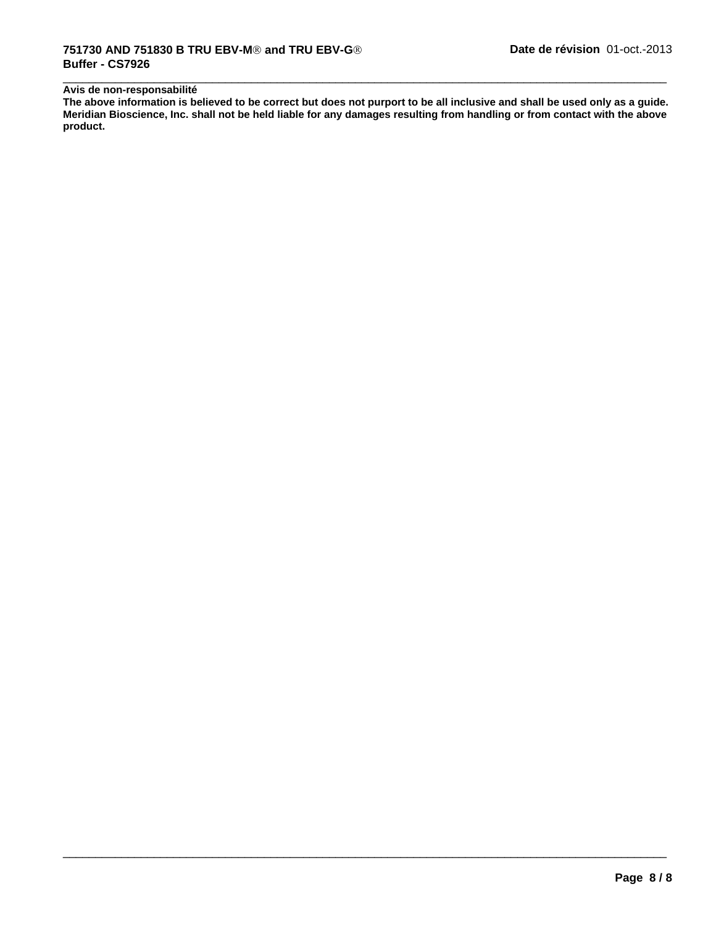#### **Avis de non-responsabilité**

**The above information is believed to be correct but does not purport to be all inclusive and shall be used only as a guide. Meridian Bioscience, Inc. shall not be held liable for any damages resulting from handling or from contact with the above product.**

 $\overline{\phantom{a}}$  ,  $\overline{\phantom{a}}$  ,  $\overline{\phantom{a}}$  ,  $\overline{\phantom{a}}$  ,  $\overline{\phantom{a}}$  ,  $\overline{\phantom{a}}$  ,  $\overline{\phantom{a}}$  ,  $\overline{\phantom{a}}$  ,  $\overline{\phantom{a}}$  ,  $\overline{\phantom{a}}$  ,  $\overline{\phantom{a}}$  ,  $\overline{\phantom{a}}$  ,  $\overline{\phantom{a}}$  ,  $\overline{\phantom{a}}$  ,  $\overline{\phantom{a}}$  ,  $\overline{\phantom{a}}$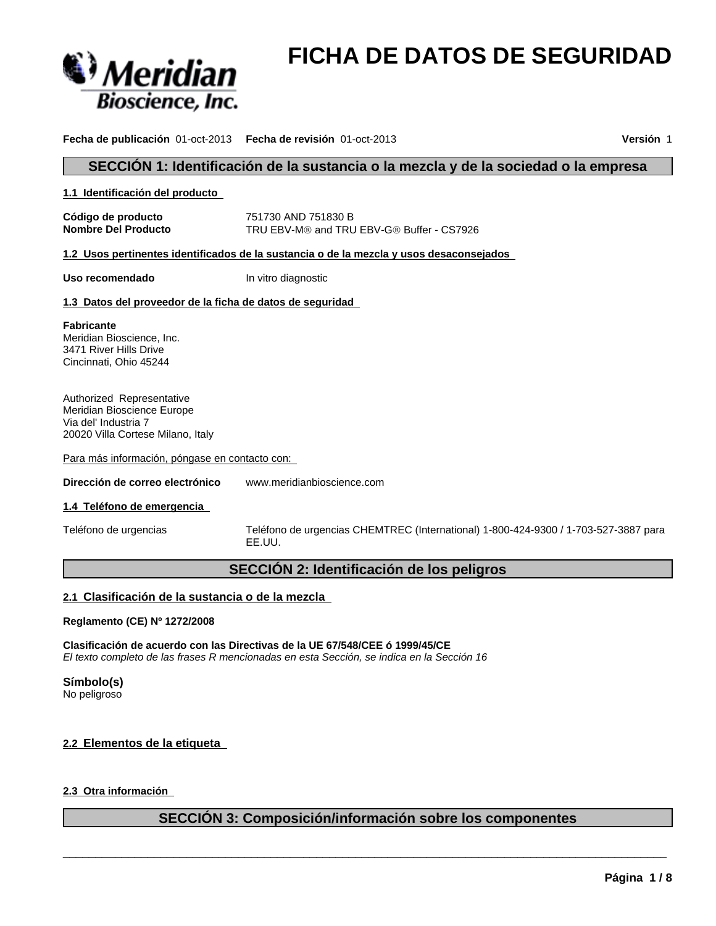

# **FICHA DE DATOS DE SEGURIDAD**

**Fecha de publicación** 01-oct-2013 **Fecha de revisión** 01-oct-2013 **Versión** 1

# **SECCIÓN 1: Identificación de la sustancia o la mezcla y de la sociedad o la empresa**

**1.1 Identificación del producto**

**Código de producto** 751730 AND 751830 B **Nombre Del Producto** TRU EBV-M<sup>®</sup> and TRU EBV-G<sup>®</sup> Buffer - CS7926

**1.2 Usos pertinentes identificados de la sustancia o de la mezcla y usos desaconsejados** 

**Uso recomendado** In vitro diagnostic

#### **1.3 Datos del proveedor de la ficha de datos de seguridad**

**Fabricante** Meridian Bioscience, Inc. 3471 River Hills Drive Cincinnati, Ohio 45244

Authorized Representative Meridian Bioscience Europe Via del' Industria 7 20020 Villa Cortese Milano, Italy

Para más información, póngase en contacto con:

#### **Dirección de correo electrónico** www.meridianbioscience.com

#### **1.4 Teléfono de emergencia**

Teléfono de urgencias Teléfono de urgencias CHEMTREC (International) 1-800-424-9300 / 1-703-527-3887 para EE.UU.

# **SECCIÓN 2: Identificación de los peligros**

#### **2.1 Clasificación de la sustancia o de la mezcla**

#### **Reglamento (CE) Nº 1272/2008**

**Clasificación de acuerdo con las Directivas de la UE 67/548/CEE ó 1999/45/CE** *El texto completo de las frases R mencionadas en esta Sección, se indica en la Sección 16*

**Símbolo(s)**

No peligroso

#### **2.2 Elementos de la etiqueta**

# **2.3 Otra información**

# **SECCIÓN 3: Composición/información sobre los componentes**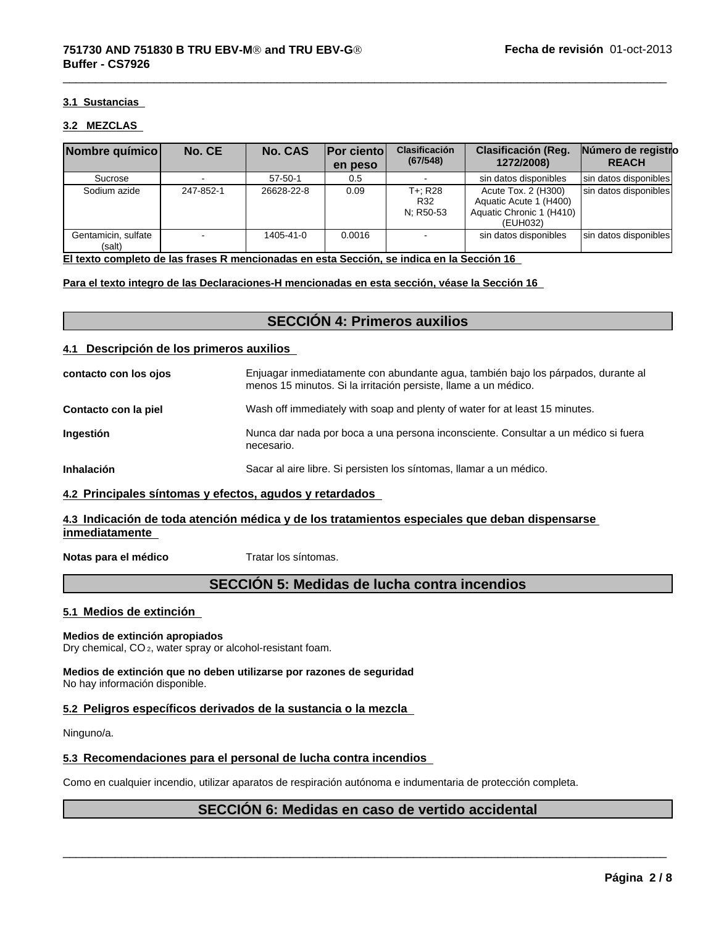#### **3.1 Sustancias**

#### **3.2 MEZCLAS**

| Nombre químico                | No. CE    | <b>No. CAS</b> | <b>Por ciento</b><br>en peso | <b>Clasificación</b><br>(67/548) | <b>Clasificación (Reg.</b><br>1272/2008)                                              | Número de registro<br><b>REACH</b> |
|-------------------------------|-----------|----------------|------------------------------|----------------------------------|---------------------------------------------------------------------------------------|------------------------------------|
| Sucrose                       |           | $57 - 50 - 1$  | 0.5                          |                                  | sin datos disponibles                                                                 | sin datos disponibles              |
| Sodium azide                  | 247-852-1 | 26628-22-8     | 0.09                         | T+: R28<br>R32<br>N: R50-53      | Acute Tox. 2 (H300)<br>Aquatic Acute 1 (H400)<br>Aquatic Chronic 1 (H410)<br>(EUH032) | sin datos disponibles              |
| Gentamicin, sulfate<br>(salt) |           | 1405-41-0      | 0.0016                       |                                  | sin datos disponibles                                                                 | sin datos disponibles              |

 $\overline{\phantom{a}}$  ,  $\overline{\phantom{a}}$  ,  $\overline{\phantom{a}}$  ,  $\overline{\phantom{a}}$  ,  $\overline{\phantom{a}}$  ,  $\overline{\phantom{a}}$  ,  $\overline{\phantom{a}}$  ,  $\overline{\phantom{a}}$  ,  $\overline{\phantom{a}}$  ,  $\overline{\phantom{a}}$  ,  $\overline{\phantom{a}}$  ,  $\overline{\phantom{a}}$  ,  $\overline{\phantom{a}}$  ,  $\overline{\phantom{a}}$  ,  $\overline{\phantom{a}}$  ,  $\overline{\phantom{a}}$ 

**El texto completo de las frases R mencionadas en esta Sección, se indica en la Sección 16**

**Para el texto integro de las Declaraciones-H mencionadas en esta sección, véase la Sección 16**

# **SECCIÓN 4: Primeros auxilios**

#### **4.1 Descripción de los primeros auxilios**

| contacto con los ojos | Enjuagar inmediatamente con abundante agua, también bajo los párpados, durante al<br>menos 15 minutos. Si la irritación persiste, llame a un médico. |
|-----------------------|------------------------------------------------------------------------------------------------------------------------------------------------------|
| Contacto con la piel  | Wash off immediately with soap and plenty of water for at least 15 minutes.                                                                          |
| <b>Ingestión</b>      | Nunca dar nada por boca a una persona inconsciente. Consultar a un médico si fuera<br>necesario.                                                     |
| <b>Inhalación</b>     | Sacar al aire libre. Si persisten los síntomas, llamar a un médico.                                                                                  |

#### **4.2 Principales síntomas y efectos, agudos y retardados**

#### **4.3 Indicación de toda atención médica y de los tratamientos especiales que deban dispensarse inmediatamente**

**Notas para el médico** Tratar los síntomas.

# **SECCIÓN 5: Medidas de lucha contra incendios**

#### **5.1 Medios de extinción**

#### **Medios de extinción apropiados**

Dry chemical, CO 2, water spray or alcohol-resistant foam.

**Medios de extinción que no deben utilizarse por razones de seguridad** No hay información disponible.

### **5.2 Peligros específicos derivados de la sustancia o la mezcla**

Ninguno/a.

#### **5.3 Recomendaciones para el personal de lucha contra incendios**

Como en cualquier incendio, utilizar aparatos de respiración autónoma e indumentaria de protección completa.

# **SECCIÓN 6: Medidas en caso de vertido accidental**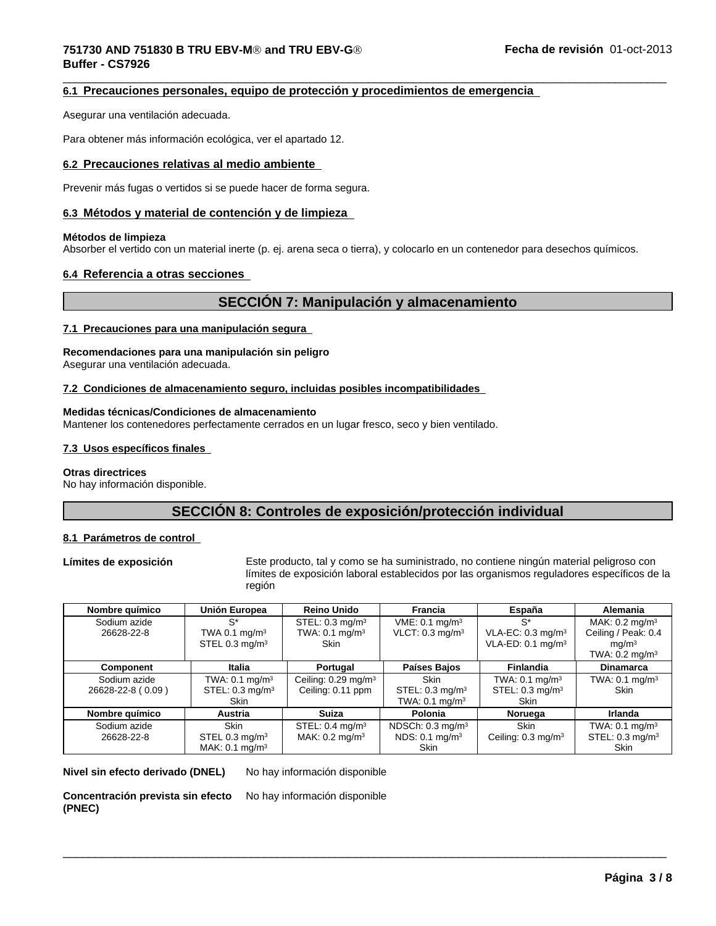#### $\overline{\phantom{a}}$  ,  $\overline{\phantom{a}}$  ,  $\overline{\phantom{a}}$  ,  $\overline{\phantom{a}}$  ,  $\overline{\phantom{a}}$  ,  $\overline{\phantom{a}}$  ,  $\overline{\phantom{a}}$  ,  $\overline{\phantom{a}}$  ,  $\overline{\phantom{a}}$  ,  $\overline{\phantom{a}}$  ,  $\overline{\phantom{a}}$  ,  $\overline{\phantom{a}}$  ,  $\overline{\phantom{a}}$  ,  $\overline{\phantom{a}}$  ,  $\overline{\phantom{a}}$  ,  $\overline{\phantom{a}}$ **751730 AND 751830 B TRU EBV-MÒ and TRU EBV-GÒ Buffer - CS7926**

#### **6.1 Precauciones personales, equipo de protección y procedimientos de emergencia**

Asegurar una ventilación adecuada.

Para obtener más información ecológica, ver el apartado 12.

#### **6.2 Precauciones relativas al medio ambiente**

Prevenir más fugas o vertidos si se puede hacer de forma segura.

#### **6.3 Métodos y material de contención y de limpieza**

#### **Métodos de limpieza**

Absorber el vertido con un material inerte (p. ej. arena seca o tierra), y colocarlo en un contenedor para desechos químicos.

#### **6.4 Referencia a otras secciones**

# **SECCIÓN 7: Manipulación y almacenamiento**

#### **7.1 Precauciones para una manipulación segura**

#### **Recomendaciones para una manipulación sin peligro**

Asegurar una ventilación adecuada.

#### **7.2 Condiciones de almacenamiento seguro, incluidas posibles incompatibilidades**

#### **Medidas técnicas/Condiciones de almacenamiento**

Mantener los contenedores perfectamente cerrados en un lugar fresco, seco y bien ventilado.

#### **7.3 Usos específicos finales**

#### **Otras directrices**

No hay información disponible.

# **SECCIÓN 8: Controles de exposición/protección individual**

#### **8.1 Parámetros de control**

**Límites de exposición** Este producto, tal y como se ha suministrado, no contiene ningún material peligroso con límites de exposición laboral establecidos por las organismos reguladores específicos de la región

 $\overline{\phantom{a}}$  ,  $\overline{\phantom{a}}$  ,  $\overline{\phantom{a}}$  ,  $\overline{\phantom{a}}$  ,  $\overline{\phantom{a}}$  ,  $\overline{\phantom{a}}$  ,  $\overline{\phantom{a}}$  ,  $\overline{\phantom{a}}$  ,  $\overline{\phantom{a}}$  ,  $\overline{\phantom{a}}$  ,  $\overline{\phantom{a}}$  ,  $\overline{\phantom{a}}$  ,  $\overline{\phantom{a}}$  ,  $\overline{\phantom{a}}$  ,  $\overline{\phantom{a}}$  ,  $\overline{\phantom{a}}$ 

| Nombre químico    | Unión Europea                | <b>Reino Unido</b>              | <b>Francia</b>               | España                        | Alemania                     |
|-------------------|------------------------------|---------------------------------|------------------------------|-------------------------------|------------------------------|
| Sodium azide      | $S^*$                        | STEL: $0.3 \text{ mg/m}^3$      | $VME: 0.1$ mg/m <sup>3</sup> | S*                            | MAK: $0.2 \text{ mg/m}^3$    |
| 26628-22-8        | TWA 0.1 $mq/m3$              | TWA: $0.1 \text{ mg/m}^3$       | VLCT: $0.3 \text{ mg/m}^3$   | VLA-EC: $0.3 \text{ mg/m}^3$  | Ceiling / Peak: 0.4          |
|                   | STEL 0.3 mg/ $m3$            | <b>Skin</b>                     |                              | VLA-ED: $0.1 \text{ mg/m}^3$  | ma/m <sup>3</sup>            |
|                   |                              |                                 |                              |                               | TWA: $0.2 \text{ mg/m}^3$    |
| Component         | Italia                       | Portugal                        | Países Bajos                 | <b>Finlandia</b>              | <b>Dinamarca</b>             |
| Sodium azide      | TWA: $0.1 \text{ mg/m}^3$    | Ceiling: 0.29 mg/m <sup>3</sup> | Skin                         | TWA: $0.1$ mg/m <sup>3</sup>  | TWA: $0.1$ mg/m <sup>3</sup> |
| 26628-22-8 (0.09) | STEL: $0.3 \text{ mg/m}^3$   | Ceiling: 0.11 ppm               | STEL: $0.3 \text{ mg/m}^3$   | STEL: $0.3 \text{ mg/m}^3$    | <b>Skin</b>                  |
|                   | <b>Skin</b>                  |                                 | TWA: $0.1 \text{ mg/m}^3$    | <b>Skin</b>                   |                              |
| Nombre químico    | <b>Austria</b>               | <b>Suiza</b>                    | Polonia                      | Noruega                       | Irlanda                      |
| Sodium azide      | <b>Skin</b>                  | STEL: $0.4 \text{ mg/m}^3$      | NDSCh: $0.3 \text{ mg/m}^3$  | <b>Skin</b>                   | TWA: $0.1$ mg/m <sup>3</sup> |
| 26628-22-8        | STEL 0.3 mg/m <sup>3</sup>   | MAK: $0.2 \text{ mg/m}^3$       | NDS: 0.1 mg/m <sup>3</sup>   | Ceiling: $0.3 \text{ mg/m}^3$ | STEL: $0.3 \text{ mg/m}^3$   |
|                   | MAK: $0.1$ mg/m <sup>3</sup> |                                 | Skin                         |                               | <b>Skin</b>                  |

**Nivel sin efecto derivado (DNEL)** No hay información disponible

**Concentración prevista sin efecto (PNEC)** No hay información disponible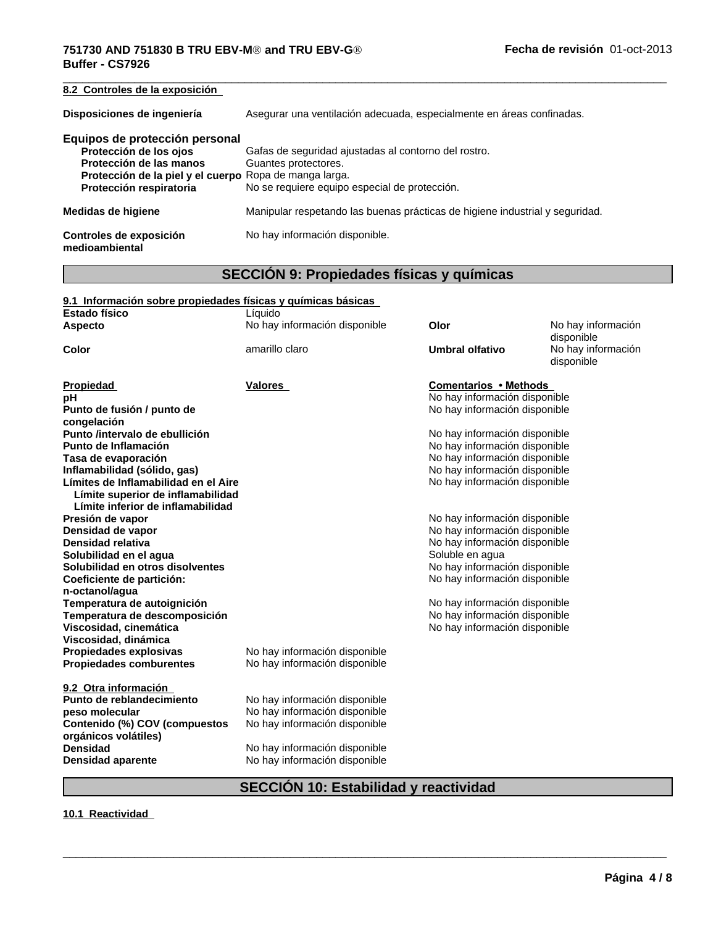# **751730 AND 751830 B TRU EBV-MÒ and TRU EBV-GÒ Buffer - CS7926**

 $\overline{\phantom{a}}$  ,  $\overline{\phantom{a}}$  ,  $\overline{\phantom{a}}$  ,  $\overline{\phantom{a}}$  ,  $\overline{\phantom{a}}$  ,  $\overline{\phantom{a}}$  ,  $\overline{\phantom{a}}$  ,  $\overline{\phantom{a}}$  ,  $\overline{\phantom{a}}$  ,  $\overline{\phantom{a}}$  ,  $\overline{\phantom{a}}$  ,  $\overline{\phantom{a}}$  ,  $\overline{\phantom{a}}$  ,  $\overline{\phantom{a}}$  ,  $\overline{\phantom{a}}$  ,  $\overline{\phantom{a}}$ **8.2 Controles de la exposición Disposiciones de ingeniería** Asegurar una ventilación adecuada, especialmente en áreas confinadas. **Equipos de protección personal Protección de los ojos** Gafas de seguridad ajustadas al contorno del rostro.<br>**Protección de las manos** Guantes protectores. **Protección de las manos Protección de la piel y el cuerpo** Ropa de manga larga. No se requiere equipo especial de protección. **Medidas de higiene** Manipular respetando las buenas prácticas de higiene industrial y seguridad. **Controles de exposición medioambiental** No hay información disponible.

# **SECCIÓN 9: Propiedades físicas y químicas**

| 9.1 Información sobre propiedades físicas y químicas básicas |                               |                               |                                  |
|--------------------------------------------------------------|-------------------------------|-------------------------------|----------------------------------|
| <b>Estado físico</b>                                         | Líquido                       |                               |                                  |
| <b>Aspecto</b>                                               | No hay información disponible | Olor                          | No hay información<br>disponible |
| Color                                                        | amarillo claro                | <b>Umbral olfativo</b>        | No hay información<br>disponible |
| Propiedad                                                    | Valores                       | <b>Comentarios • Methods</b>  |                                  |
| рH                                                           |                               | No hay información disponible |                                  |
| Punto de fusión / punto de                                   |                               | No hay información disponible |                                  |
| congelación                                                  |                               |                               |                                  |
| Punto /intervalo de ebullición                               |                               | No hay información disponible |                                  |
| Punto de Inflamación                                         |                               | No hay información disponible |                                  |
| Tasa de evaporación                                          |                               | No hay información disponible |                                  |
| Inflamabilidad (sólido, gas)                                 |                               | No hay información disponible |                                  |
| Límites de Inflamabilidad en el Aire                         |                               | No hay información disponible |                                  |
| Límite superior de inflamabilidad                            |                               |                               |                                  |
| Límite inferior de inflamabilidad                            |                               |                               |                                  |
| Presión de vapor                                             |                               | No hay información disponible |                                  |
| Densidad de vapor                                            |                               | No hay información disponible |                                  |
| Densidad relativa                                            |                               | No hay información disponible |                                  |
| Solubilidad en el aqua                                       |                               | Soluble en agua               |                                  |
| Solubilidad en otros disolventes                             |                               | No hay información disponible |                                  |
| Coeficiente de partición:                                    |                               | No hay información disponible |                                  |
| n-octanol/agua                                               |                               |                               |                                  |
| Temperatura de autoignición                                  |                               | No hay información disponible |                                  |
| Temperatura de descomposición                                |                               | No hay información disponible |                                  |
| Viscosidad, cinemática                                       |                               | No hay información disponible |                                  |
| Viscosidad, dinámica                                         |                               |                               |                                  |
| Propiedades explosivas                                       | No hay información disponible |                               |                                  |
| <b>Propiedades comburentes</b>                               | No hay información disponible |                               |                                  |
|                                                              |                               |                               |                                  |
| 9.2 Otra información                                         |                               |                               |                                  |
| Punto de reblandecimiento                                    | No hay información disponible |                               |                                  |
| peso molecular                                               | No hay información disponible |                               |                                  |
| Contenido (%) COV (compuestos                                | No hay información disponible |                               |                                  |
| orgánicos volátiles)                                         |                               |                               |                                  |
| <b>Densidad</b>                                              | No hay información disponible |                               |                                  |
| <b>Densidad aparente</b>                                     | No hay información disponible |                               |                                  |
|                                                              |                               |                               |                                  |

# **SECCIÓN 10: Estabilidad y reactividad**

 $\overline{\phantom{a}}$  ,  $\overline{\phantom{a}}$  ,  $\overline{\phantom{a}}$  ,  $\overline{\phantom{a}}$  ,  $\overline{\phantom{a}}$  ,  $\overline{\phantom{a}}$  ,  $\overline{\phantom{a}}$  ,  $\overline{\phantom{a}}$  ,  $\overline{\phantom{a}}$  ,  $\overline{\phantom{a}}$  ,  $\overline{\phantom{a}}$  ,  $\overline{\phantom{a}}$  ,  $\overline{\phantom{a}}$  ,  $\overline{\phantom{a}}$  ,  $\overline{\phantom{a}}$  ,  $\overline{\phantom{a}}$ 

# **10.1 Reactividad**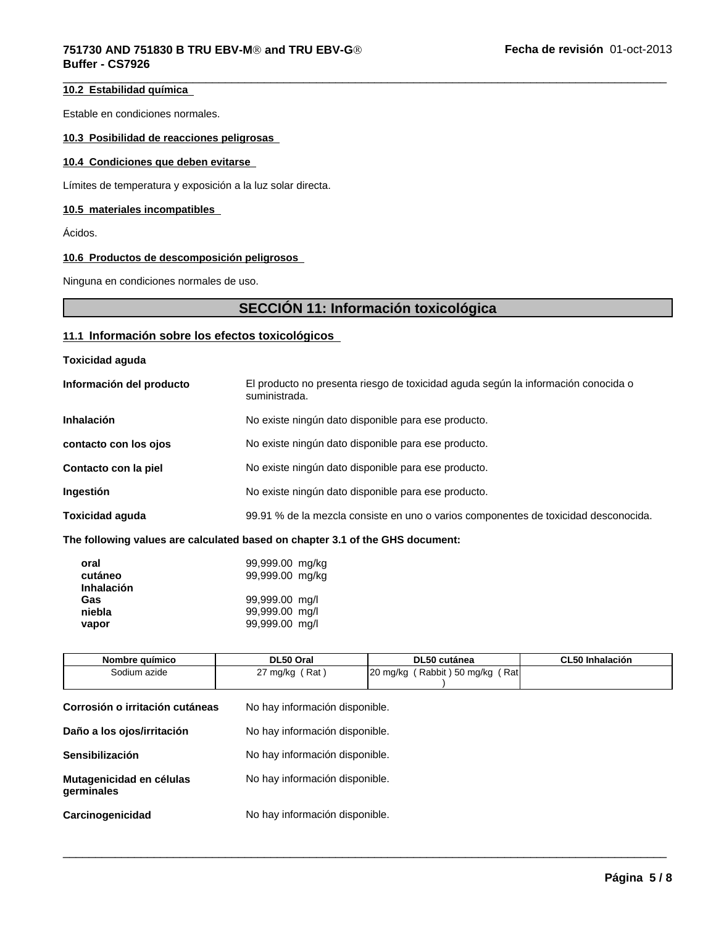# **10.2 Estabilidad química**

Estable en condiciones normales.

#### **10.3 Posibilidad de reacciones peligrosas**

#### **10.4 Condiciones que deben evitarse**

Límites de temperatura y exposición a la luz solar directa.

#### **10.5 materiales incompatibles**

Ácidos.

#### **10.6 Productos de descomposición peligrosos**

Ninguna en condiciones normales de uso.

# **SECCIÓN 11: Información toxicológica**

 $\overline{\phantom{a}}$  ,  $\overline{\phantom{a}}$  ,  $\overline{\phantom{a}}$  ,  $\overline{\phantom{a}}$  ,  $\overline{\phantom{a}}$  ,  $\overline{\phantom{a}}$  ,  $\overline{\phantom{a}}$  ,  $\overline{\phantom{a}}$  ,  $\overline{\phantom{a}}$  ,  $\overline{\phantom{a}}$  ,  $\overline{\phantom{a}}$  ,  $\overline{\phantom{a}}$  ,  $\overline{\phantom{a}}$  ,  $\overline{\phantom{a}}$  ,  $\overline{\phantom{a}}$  ,  $\overline{\phantom{a}}$ 

### **11.1 Información sobre los efectos toxicológicos**

| <b>Toxicidad aguda</b> |  |
|------------------------|--|
|------------------------|--|

| Información del producto | El producto no presenta riesgo de toxicidad aguda según la información conocida o<br>suministrada. |
|--------------------------|----------------------------------------------------------------------------------------------------|
| <b>Inhalación</b>        | No existe ningún dato disponible para ese producto.                                                |
| contacto con los ojos    | No existe ningún dato disponible para ese producto.                                                |
| Contacto con la piel     | No existe ningún dato disponible para ese producto.                                                |
| <b>Ingestión</b>         | No existe ningún dato disponible para ese producto.                                                |
| <b>Toxicidad aguda</b>   | 99.91 % de la mezcla consiste en uno o varios componentes de toxicidad desconocida.                |

#### **The following values are calculated based on chapter 3.1 of the GHS document:**

| oral<br>cutáneo<br><b>Inhalación</b> | 99,999.00 mg/kg<br>99,999.00 mg/kg |
|--------------------------------------|------------------------------------|
| Gas                                  | 99,999.00 mg/l                     |
| niebla                               | 99,999.00 mg/l                     |
| vapor                                | 99,999.00 mg/l                     |

| Nombre químico                         | DL50 Oral                      | DL50 cutánea                    | <b>CL50 Inhalación</b> |  |  |
|----------------------------------------|--------------------------------|---------------------------------|------------------------|--|--|
| Sodium azide                           | 27 mg/kg $(Rat)$               | 20 mg/kg (Rabbit) 50 mg/kg (Rat |                        |  |  |
|                                        |                                |                                 |                        |  |  |
| Corrosión o irritación cutáneas        |                                | No hay información disponible.  |                        |  |  |
| Daño a los ojos/irritación             |                                | No hay información disponible.  |                        |  |  |
| Sensibilización                        |                                | No hay información disponible.  |                        |  |  |
| Mutagenicidad en células<br>germinales |                                | No hay información disponible.  |                        |  |  |
| Carcinogenicidad                       | No hay información disponible. |                                 |                        |  |  |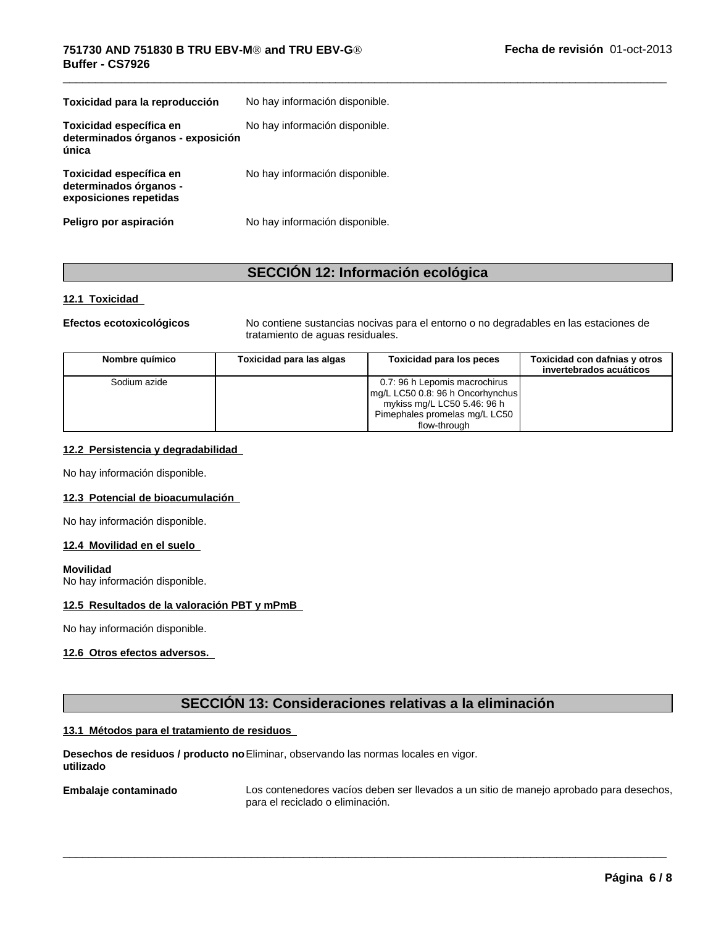| Toxicidad para la reproducción                                              | No hay información disponible. |
|-----------------------------------------------------------------------------|--------------------------------|
| Toxicidad específica en<br>determinados órganos - exposición<br>única       | No hay información disponible. |
| Toxicidad específica en<br>determinados órganos -<br>exposiciones repetidas | No hay información disponible. |
| Peligro por aspiración                                                      | No hay información disponible. |

# **SECCIÓN 12: Información ecológica**

#### **12.1 Toxicidad**

**Efectos ecotoxicológicos** No contiene sustancias nocivas para el entorno o no degradables en las estaciones de tratamiento de aguas residuales.

| Nombre químico | Toxicidad para las algas | Toxicidad para los peces                                                                                                                          | Toxicidad con dafnias y otros<br>invertebrados acuáticos |  |
|----------------|--------------------------|---------------------------------------------------------------------------------------------------------------------------------------------------|----------------------------------------------------------|--|
| Sodium azide   |                          | 0.7: 96 h Lepomis macrochirus<br>mg/L LC50 0.8: 96 h Oncorhynchus<br>mykiss mg/L LC50 5.46: 96 h<br>Pimephales promelas mg/L LC50<br>flow-through |                                                          |  |

#### **12.2 Persistencia y degradabilidad**

No hay información disponible.

#### **12.3 Potencial de bioacumulación**

No hay información disponible.

#### **12.4 Movilidad en el suelo**

#### **Movilidad**

No hay información disponible.

#### **12.5 Resultados de la valoración PBT y mPmB**

No hay información disponible.

#### **12.6 Otros efectos adversos.**

# **SECCIÓN 13: Consideraciones relativas a la eliminación**

#### **13.1 Métodos para el tratamiento de residuos**

**Desechos de residuos / producto no** Eliminar, observando las normas locales en vigor. **utilizado**

**Embalaje contaminado**

Los contenedores vacíos deben ser llevados a un sitio de manejo aprobado para desechos, para el reciclado o eliminación.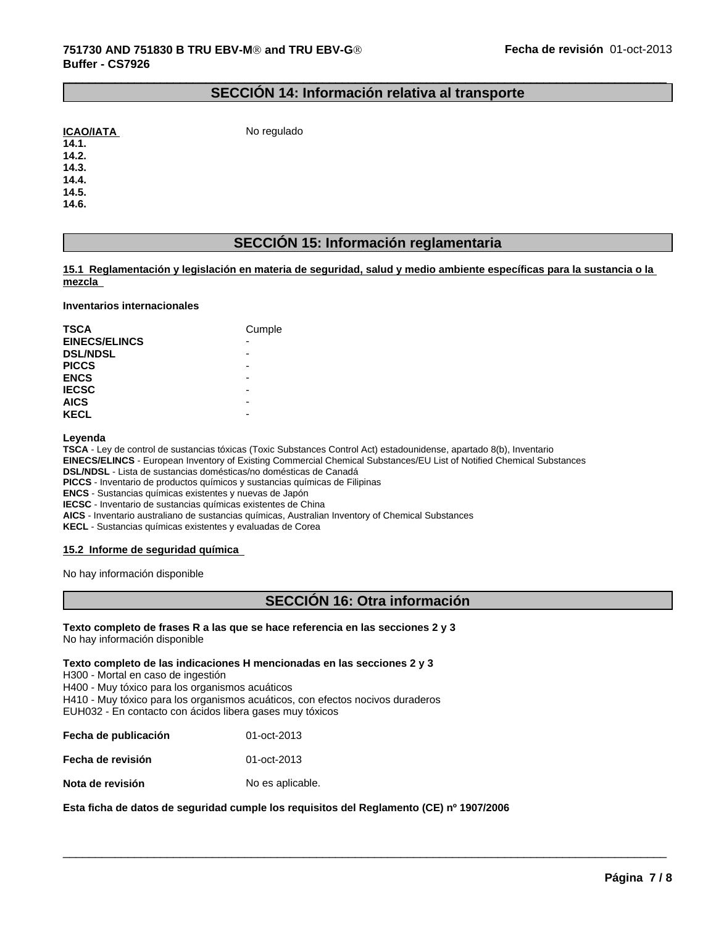# **SECCIÓN 14: Información relativa al transporte**

 $\_$  ,  $\_$  ,  $\_$  ,  $\_$  ,  $\_$  ,  $\_$  ,  $\_$  ,  $\_$  ,  $\_$  ,  $\_$  ,  $\_$  ,  $\_$  ,  $\_$  ,  $\_$  ,  $\_$  ,  $\_$  ,  $\_$  ,  $\_$  ,  $\_$  ,  $\_$  ,  $\_$  ,  $\_$  ,  $\_$  ,  $\_$  ,  $\_$  ,  $\_$  ,  $\_$  ,  $\_$  ,  $\_$  ,  $\_$  ,  $\_$  ,  $\_$  ,  $\_$  ,  $\_$  ,  $\_$  ,  $\_$  ,  $\_$  ,

No regulado

**14.1. 14.2.**

**14.3.**

**14.4.**

**14.5. 14.6.**

# **SECCIÓN 15: Información reglamentaria**

15.1 Reglamentación y legislación en materia de seguridad, salud y medio ambiente específicas para la sustancia o la **mezcla** 

#### **Inventarios internacionales**

| <b>TSCA</b>          | Cumple |
|----------------------|--------|
| <b>EINECS/ELINCS</b> | -      |
| <b>DSL/NDSL</b>      |        |
| <b>PICCS</b>         |        |
| <b>ENCS</b>          | -      |
| <b>IECSC</b>         |        |
| <b>AICS</b>          | ۰      |
| <b>KECL</b>          | -      |

**Leyenda**

**TSCA** - Ley de control de sustancias tóxicas (Toxic Substances Control Act) estadounidense, apartado 8(b), Inventario

**EINECS/ELINCS** - European Inventory of Existing Commercial Chemical Substances/EU List of Notified Chemical Substances

**DSL/NDSL** - Lista de sustancias domésticas/no domésticas de Canadá **PICCS** - Inventario de productos químicos y sustancias químicas de Filipinas

**ENCS** - Sustancias químicas existentes y nuevas de Japón

**IECSC** - Inventario de sustancias químicas existentes de China

**AICS** - Inventario australiano de sustancias químicas, Australian Inventory of Chemical Substances

**KECL** - Sustancias químicas existentes y evaluadas de Corea

#### **15.2 Informe de seguridad química**

No hay información disponible

# **SECCIÓN 16: Otra información**

 $\overline{\phantom{a}}$  ,  $\overline{\phantom{a}}$  ,  $\overline{\phantom{a}}$  ,  $\overline{\phantom{a}}$  ,  $\overline{\phantom{a}}$  ,  $\overline{\phantom{a}}$  ,  $\overline{\phantom{a}}$  ,  $\overline{\phantom{a}}$  ,  $\overline{\phantom{a}}$  ,  $\overline{\phantom{a}}$  ,  $\overline{\phantom{a}}$  ,  $\overline{\phantom{a}}$  ,  $\overline{\phantom{a}}$  ,  $\overline{\phantom{a}}$  ,  $\overline{\phantom{a}}$  ,  $\overline{\phantom{a}}$ 

**Texto completo de frases R a las que se hace referencia en las secciones 2 y 3** No hay información disponible

**Texto completo de las indicaciones H mencionadas en las secciones 2 y 3**

H300 - Mortal en caso de ingestión

H400 - Muy tóxico para los organismos acuáticos

H410 - Muy tóxico para los organismos acuáticos, con efectos nocivos duraderos EUH032 - En contacto con ácidos libera gases muy tóxicos

**Fecha de publicación** 01-oct-2013

**Fecha de revisión** 01-oct-2013

**Nota de revisión** No es aplicable.

**Esta ficha de datos de seguridad cumple los requisitos del Reglamento (CE) nº 1907/2006**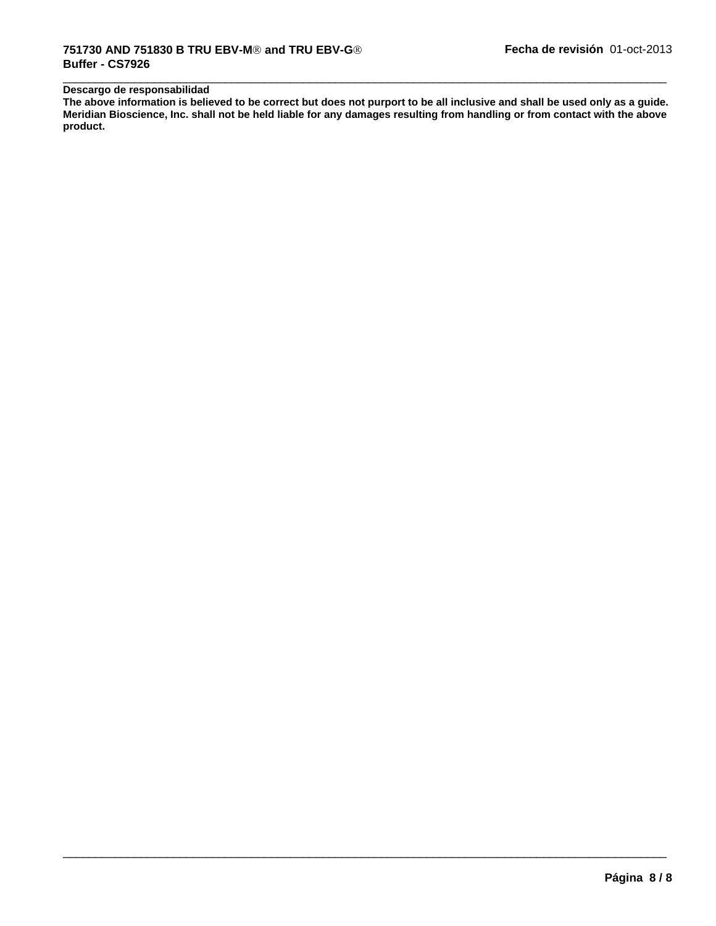# **Descargo de responsabilidad**

**The above information is believed to be correct but does not purport to be all inclusive and shall be used only as a guide. Meridian Bioscience, Inc. shall not be held liable for any damages resulting from handling or from contact with the above product.**

 $\overline{\phantom{a}}$  ,  $\overline{\phantom{a}}$  ,  $\overline{\phantom{a}}$  ,  $\overline{\phantom{a}}$  ,  $\overline{\phantom{a}}$  ,  $\overline{\phantom{a}}$  ,  $\overline{\phantom{a}}$  ,  $\overline{\phantom{a}}$  ,  $\overline{\phantom{a}}$  ,  $\overline{\phantom{a}}$  ,  $\overline{\phantom{a}}$  ,  $\overline{\phantom{a}}$  ,  $\overline{\phantom{a}}$  ,  $\overline{\phantom{a}}$  ,  $\overline{\phantom{a}}$  ,  $\overline{\phantom{a}}$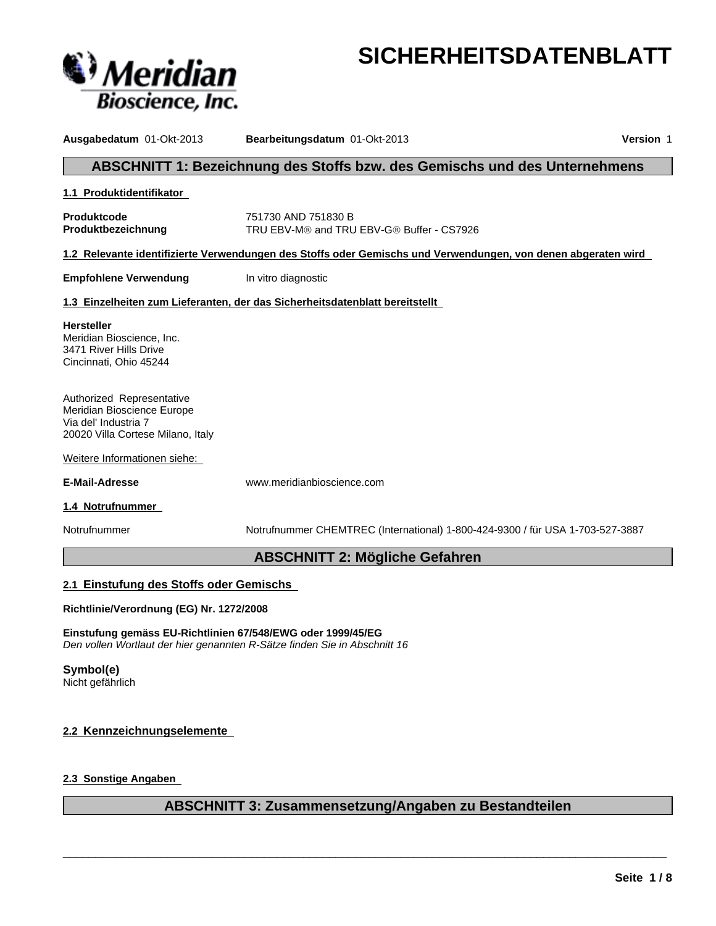

# **SICHERHEITSDATENBLATT**

**Ausgabedatum** 01-Okt-2013 **Bearbeitungsdatum** 01-Okt-2013 **Version** 1 **ABSCHNITT 1: Bezeichnung des Stoffs bzw. des Gemischs und des Unternehmens 1.1 Produktidentifikator Produktcode** 751730 AND 751830 B **Produktbezeichnung TRU EBV-M® and TRU EBV-G® Buffer - CS7926 1.2 Relevante identifizierte Verwendungen des Stoffs oder Gemischs und Verwendungen, von denen abgeraten wird Empfohlene Verwendung** In vitro diagnostic **1.3 Einzelheiten zum Lieferanten, der das Sicherheitsdatenblatt bereitstellt**  Weitere Informationen siehe: **E-Mail-Adresse** www.meridianbioscience.com **1.4 Notrufnummer**  Notrufnummer Notrufnummer CHEMTREC (International) 1-800-424-9300 / für USA 1-703-527-3887 **ABSCHNITT 2: Mögliche Gefahren 2.1 Einstufung des Stoffs oder Gemischs Richtlinie/Verordnung (EG) Nr. 1272/2008 Hersteller** Meridian Bioscience, Inc. 3471 River Hills Drive Cincinnati, Ohio 45244 Authorized Representative Meridian Bioscience Europe Via del' Industria 7 20020 Villa Cortese Milano, Italy

**Einstufung gemäss EU-Richtlinien 67/548/EWG oder 1999/45/EG** *Den vollen Wortlaut der hier genannten R-Sätze finden Sie in Abschnitt 16*

**Symbol(e)** Nicht gefährlich

# **2.2 Kennzeichnungselemente**

**2.3 Sonstige Angaben** 

# **ABSCHNITT 3: Zusammensetzung/Angaben zu Bestandteilen**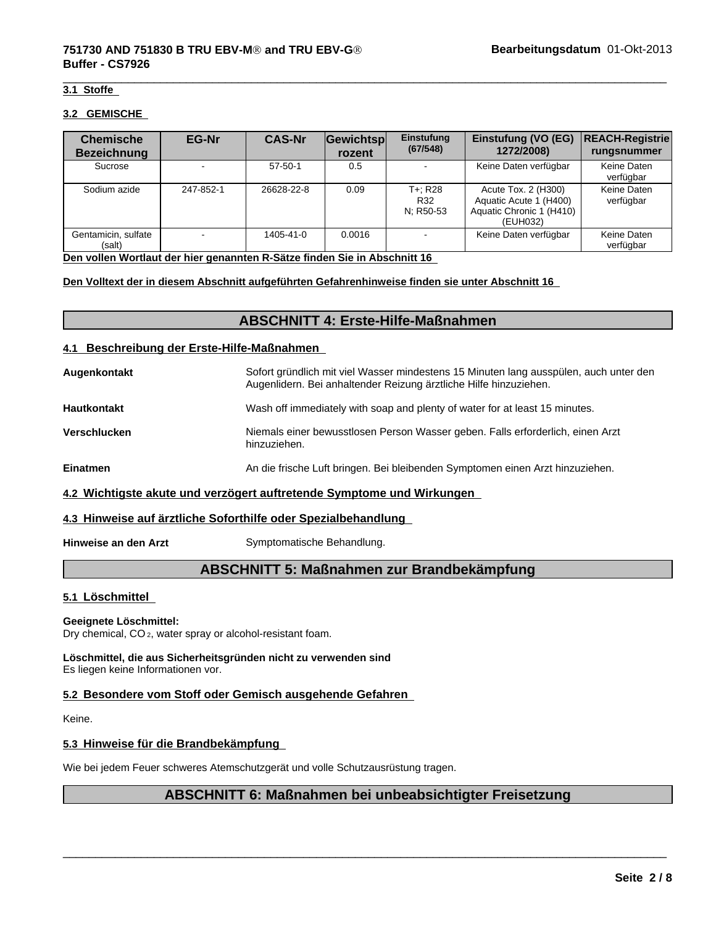#### **3.1 Stoffe**

#### **3.2 GEMISCHE**

| <b>Chemische</b><br><b>Bezeichnung</b> | <b>EG-Nr</b>             | <b>CAS-Nr</b> | Gewichtsp<br>rozent | Einstufung<br>(67/548)      | Einstufung (VO (EG)<br>1272/2008)                                                     | <b>REACH-Registrie</b><br>rungsnummer |
|----------------------------------------|--------------------------|---------------|---------------------|-----------------------------|---------------------------------------------------------------------------------------|---------------------------------------|
| Sucrose                                | $\overline{\phantom{a}}$ | $57 - 50 - 1$ | 0.5                 |                             | Keine Daten verfügbar                                                                 | Keine Daten<br>verfügbar              |
| Sodium azide                           | 247-852-1                | 26628-22-8    | 0.09                | T+: R28<br>R32<br>N: R50-53 | Acute Tox. 2 (H300)<br>Aquatic Acute 1 (H400)<br>Aquatic Chronic 1 (H410)<br>(EUH032) | Keine Daten<br>verfügbar              |
| Gentamicin, sulfate<br>(salt)          |                          | 1405-41-0     | 0.0016              |                             | Keine Daten verfügbar                                                                 | Keine Daten<br>verfügbar              |

**Den vollen Wortlaut der hier genannten R-Sätze finden Sie in Abschnitt 16**

#### **Den Volltext der in diesem Abschnitt aufgeführten Gefahrenhinweise finden sie unter Abschnitt 16**

# **ABSCHNITT 4: Erste-Hilfe-Maßnahmen**

#### **4.1 Beschreibung der Erste-Hilfe-Maßnahmen**

| Augenkontakt                                                          | Sofort gründlich mit viel Wasser mindestens 15 Minuten lang ausspülen, auch unter den<br>Augenlidern. Bei anhaltender Reizung ärztliche Hilfe hinzuziehen. |  |
|-----------------------------------------------------------------------|------------------------------------------------------------------------------------------------------------------------------------------------------------|--|
| <b>Hautkontakt</b>                                                    | Wash off immediately with soap and plenty of water for at least 15 minutes.                                                                                |  |
| Verschlucken                                                          | Niemals einer bewusstlosen Person Wasser geben. Falls erforderlich, einen Arzt<br>hinzuziehen.                                                             |  |
| <b>Einatmen</b>                                                       | An die frische Luft bringen. Bei bleibenden Symptomen einen Arzt hinzuziehen.                                                                              |  |
| 4.2 Wichtigste akute und verzögert auftretende Symptome und Wirkungen |                                                                                                                                                            |  |

#### **4.3 Hinweise auf ärztliche Soforthilfe oder Spezialbehandlung**

**Hinweise an den Arzt** Symptomatische Behandlung.

# **ABSCHNITT 5: Maßnahmen zur Brandbekämpfung**

#### **5.1 Löschmittel**

#### **Geeignete Löschmittel:**

Dry chemical, CO 2, water spray or alcohol-resistant foam.

**Löschmittel, die aus Sicherheitsgründen nicht zu verwenden sind** Es liegen keine Informationen vor.

#### **5.2 Besondere vom Stoff oder Gemisch ausgehende Gefahren**

Keine.

#### **5.3 Hinweise für die Brandbekämpfung**

Wie bei jedem Feuer schweres Atemschutzgerät und volle Schutzausrüstung tragen.

# **ABSCHNITT 6: Maßnahmen bei unbeabsichtigter Freisetzung**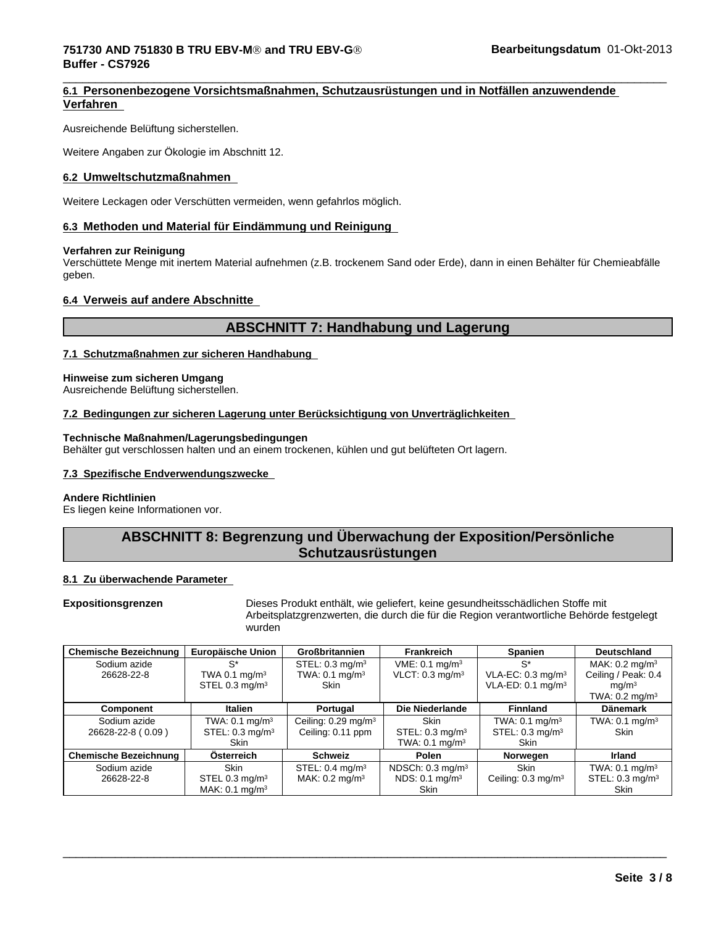#### $\overline{\phantom{a}}$  ,  $\overline{\phantom{a}}$  ,  $\overline{\phantom{a}}$  ,  $\overline{\phantom{a}}$  ,  $\overline{\phantom{a}}$  ,  $\overline{\phantom{a}}$  ,  $\overline{\phantom{a}}$  ,  $\overline{\phantom{a}}$  ,  $\overline{\phantom{a}}$  ,  $\overline{\phantom{a}}$  ,  $\overline{\phantom{a}}$  ,  $\overline{\phantom{a}}$  ,  $\overline{\phantom{a}}$  ,  $\overline{\phantom{a}}$  ,  $\overline{\phantom{a}}$  ,  $\overline{\phantom{a}}$ **751730 AND 751830 B TRU EBV-MÒ and TRU EBV-GÒ Buffer - CS7926**

# **6.1 Personenbezogene Vorsichtsmaßnahmen, Schutzausrüstungen und in Notfällen anzuwendende Verfahren**

Ausreichende Belüftung sicherstellen.

Weitere Angaben zur Ökologie im Abschnitt 12.

#### **6.2 Umweltschutzmaßnahmen**

Weitere Leckagen oder Verschütten vermeiden, wenn gefahrlos möglich.

#### **6.3 Methoden und Material für Eindämmung und Reinigung**

#### **Verfahren zur Reinigung**

Verschüttete Menge mit inertem Material aufnehmen (z.B. trockenem Sand oder Erde), dann in einen Behälter für Chemieabfälle geben.

### **6.4 Verweis auf andere Abschnitte**

# **ABSCHNITT 7: Handhabung und Lagerung**

#### **7.1 Schutzmaßnahmen zur sicheren Handhabung**

#### **Hinweise zum sicheren Umgang**

Ausreichende Belüftung sicherstellen.

#### **7.2 Bedingungen zur sicheren Lagerung unter Berücksichtigung von Unverträglichkeiten**

#### **Technische Maßnahmen/Lagerungsbedingungen**

Behälter gut verschlossen halten und an einem trockenen, kühlen und gut belüfteten Ort lagern.

#### **7.3 Spezifische Endverwendungszwecke**

#### **Andere Richtlinien**

Es liegen keine Informationen vor.

# **ABSCHNITT 8: Begrenzung und Überwachung der Exposition/Persönliche Schutzausrüstungen**

#### **8.1 Zu überwachende Parameter**

**Expositionsgrenzen** Dieses Produkt enthält, wie geliefert, keine gesundheitsschädlichen Stoffe mit Arbeitsplatzgrenzwerten, die durch die für die Region verantwortliche Behörde festgelegt wurden

| <b>Chemische Bezeichnung</b> | <b>Europäische Union</b>     | <b>Großbritannien</b>             | <b>Frankreich</b>             | Spanien                       | <b>Deutschland</b>           |
|------------------------------|------------------------------|-----------------------------------|-------------------------------|-------------------------------|------------------------------|
| Sodium azide                 | $S^*$                        | STEL: $0.3 \text{ mg/m}^3$        | $VME: 0.1$ mg/m <sup>3</sup>  | $S^*$                         | MAK: $0.2 \text{ mg/m}^3$    |
| 26628-22-8                   | TWA 0.1 $mq/m3$              | TWA: $0.1 \text{ mg/m}^3$         | $VLOT: 0.3$ mg/m <sup>3</sup> | VLA-EC: $0.3 \text{ mg/m}^3$  | Ceiling / Peak: 0.4          |
|                              | STEL 0.3 mg/m <sup>3</sup>   | <b>Skin</b>                       |                               | VLA-ED: $0.1 \text{ mg/m}^3$  | mq/m <sup>3</sup>            |
|                              |                              |                                   |                               |                               | TWA: $0.2 \text{ mg/m}^3$    |
| Component                    | Italien                      | Portugal                          | Die Niederlande               | <b>Finnland</b>               | <b>Dänemark</b>              |
| Sodium azide                 | TWA: $0.1 \text{ mg/m}^3$    | Ceiling: $0.29$ mg/m <sup>3</sup> | Skin                          | TWA: $0.1 \text{ mg/m}^3$     | TWA: $0.1$ mg/m <sup>3</sup> |
| 26628-22-8 (0.09)            | STEL: $0.3 \text{ mg/m}^3$   | Ceiling: 0.11 ppm                 | STEL: $0.3 \text{ mg/m}^3$    | STEL: $0.3 \text{ mg/m}^3$    | <b>Skin</b>                  |
|                              | <b>Skin</b>                  |                                   | TWA: $0.1 \text{ mg/m}^3$     | Skin                          |                              |
| <b>Chemische Bezeichnung</b> | Österreich                   | <b>Schweiz</b>                    | Polen                         | Norwegen                      | <b>Irland</b>                |
| Sodium azide                 | <b>Skin</b>                  | STEL: $0.4 \text{ mg/m}^3$        | NDSCh: $0.3 \text{ mg/m}^3$   | <b>Skin</b>                   | TWA: $0.1$ mg/m <sup>3</sup> |
| 26628-22-8                   | STEL $0.3 \text{ mg/m}^3$    | MAK: $0.2 \text{ mg/m}^3$         | NDS: 0.1 mg/m <sup>3</sup>    | Ceiling: $0.3 \text{ mg/m}^3$ | STEL: $0.3 \text{ mg/m}^3$   |
|                              | MAK: $0.1$ mg/m <sup>3</sup> |                                   | Skin                          |                               | Skin                         |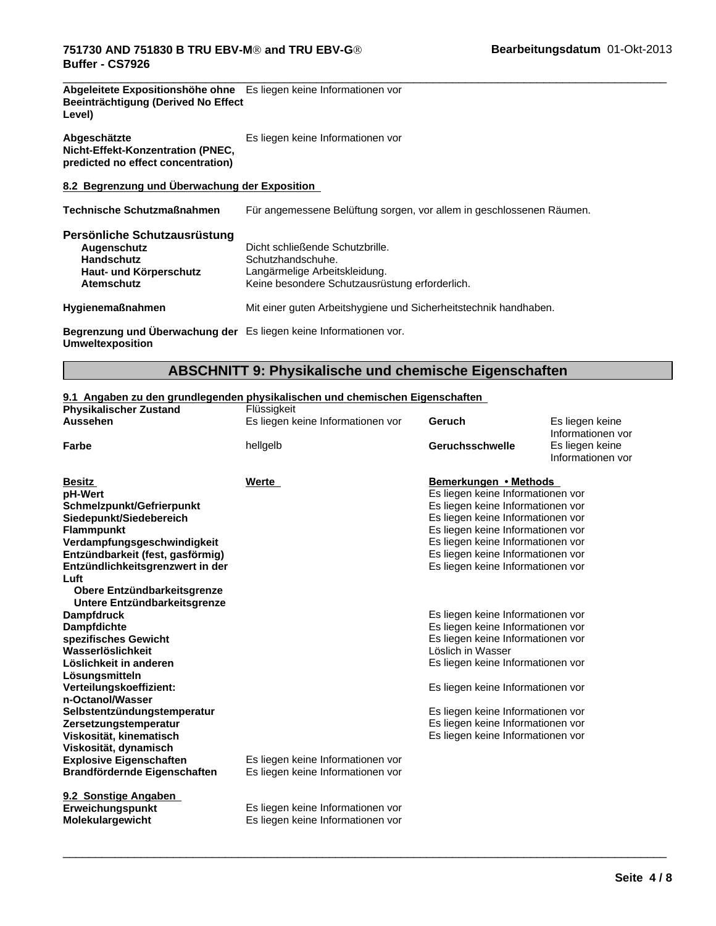| Abgeleitete Expositionshöhe ohne Es liegen keine Informationen vor |  |
|--------------------------------------------------------------------|--|
| Beeinträchtigung (Derived No Effect                                |  |
| Level)                                                             |  |

| Abgeschätzte                       | Es liegen keine Informationen vor |
|------------------------------------|-----------------------------------|
| Nicht-Effekt-Konzentration (PNEC,  |                                   |
| predicted no effect concentration) |                                   |

# **8.2 Begrenzung und Überwachung der Exposition**

**Technische Schutzmaßnahmen** Für angemessene Belüftung sorgen, vor allem in geschlossenen Räumen.

| Persönliche Schutzausrüstung<br>Augenschutz<br><b>Handschutz</b><br>Haut- und Körperschutz<br><b>Atemschutz</b> | Dicht schließende Schutzbrille.<br>Schutzhandschuhe.<br>Langärmelige Arbeitskleidung.<br>Keine besondere Schutzausrüstung erforderlich. |
|-----------------------------------------------------------------------------------------------------------------|-----------------------------------------------------------------------------------------------------------------------------------------|
| <b>Hygienemaßnahmen</b>                                                                                         | Mit einer guten Arbeitshygiene und Sicherheitstechnik handhaben.                                                                        |
| Begrenzung und Überwachung der Es liegen keine Informationen vor.                                               |                                                                                                                                         |

**Umweltexposition**

# **ABSCHNITT 9: Physikalische und chemische Eigenschaften**

#### **9.1 Angaben zu den grundlegenden physikalischen und chemischen Eigenschaften**

| <b>Physikalischer Zustand</b>                                  | Flüssigkeit                                                            |                                   |                                      |
|----------------------------------------------------------------|------------------------------------------------------------------------|-----------------------------------|--------------------------------------|
| <b>Aussehen</b>                                                | Es liegen keine Informationen vor                                      | Geruch                            | Es liegen keine<br>Informationen vor |
| Farbe                                                          | hellgelb                                                               | <b>Geruchsschwelle</b>            | Es liegen keine<br>Informationen vor |
| <b>Besitz</b>                                                  | Werte                                                                  | Bemerkungen • Methods             |                                      |
| pH-Wert                                                        |                                                                        | Es liegen keine Informationen vor |                                      |
| Schmelzpunkt/Gefrierpunkt                                      |                                                                        | Es liegen keine Informationen vor |                                      |
| Siedepunkt/Siedebereich                                        |                                                                        | Es liegen keine Informationen vor |                                      |
| <b>Flammpunkt</b>                                              |                                                                        | Es liegen keine Informationen vor |                                      |
| Verdampfungsgeschwindigkeit                                    |                                                                        | Es liegen keine Informationen vor |                                      |
| Entzündbarkeit (fest, gasförmig)                               |                                                                        | Es liegen keine Informationen vor |                                      |
| Entzündlichkeitsgrenzwert in der<br>Luft                       |                                                                        | Es liegen keine Informationen vor |                                      |
| Obere Entzündbarkeitsgrenze<br>Untere Entzündbarkeitsgrenze    |                                                                        |                                   |                                      |
| <b>Dampfdruck</b>                                              |                                                                        | Es liegen keine Informationen vor |                                      |
| <b>Dampfdichte</b>                                             |                                                                        | Es liegen keine Informationen vor |                                      |
| spezifisches Gewicht                                           |                                                                        | Es liegen keine Informationen vor |                                      |
| Wasserlöslichkeit                                              |                                                                        | Löslich in Wasser                 |                                      |
| Löslichkeit in anderen                                         |                                                                        | Es liegen keine Informationen vor |                                      |
| Lösungsmitteln                                                 |                                                                        |                                   |                                      |
| Verteilungskoeffizient:                                        |                                                                        | Es liegen keine Informationen vor |                                      |
| n-Octanol/Wasser                                               |                                                                        |                                   |                                      |
| Selbstentzündungstemperatur                                    |                                                                        | Es liegen keine Informationen vor |                                      |
| Zersetzungstemperatur                                          |                                                                        | Es liegen keine Informationen vor |                                      |
| Viskosität, kinematisch                                        |                                                                        | Es liegen keine Informationen vor |                                      |
| Viskosität, dynamisch                                          |                                                                        |                                   |                                      |
| <b>Explosive Eigenschaften</b><br>Brandfördernde Eigenschaften | Es liegen keine Informationen vor<br>Es liegen keine Informationen vor |                                   |                                      |
| 9.2 Sonstige Angaben                                           |                                                                        |                                   |                                      |
| Erweichungspunkt<br><b>Molekulargewicht</b>                    | Es liegen keine Informationen vor<br>Es liegen keine Informationen vor |                                   |                                      |
|                                                                |                                                                        |                                   |                                      |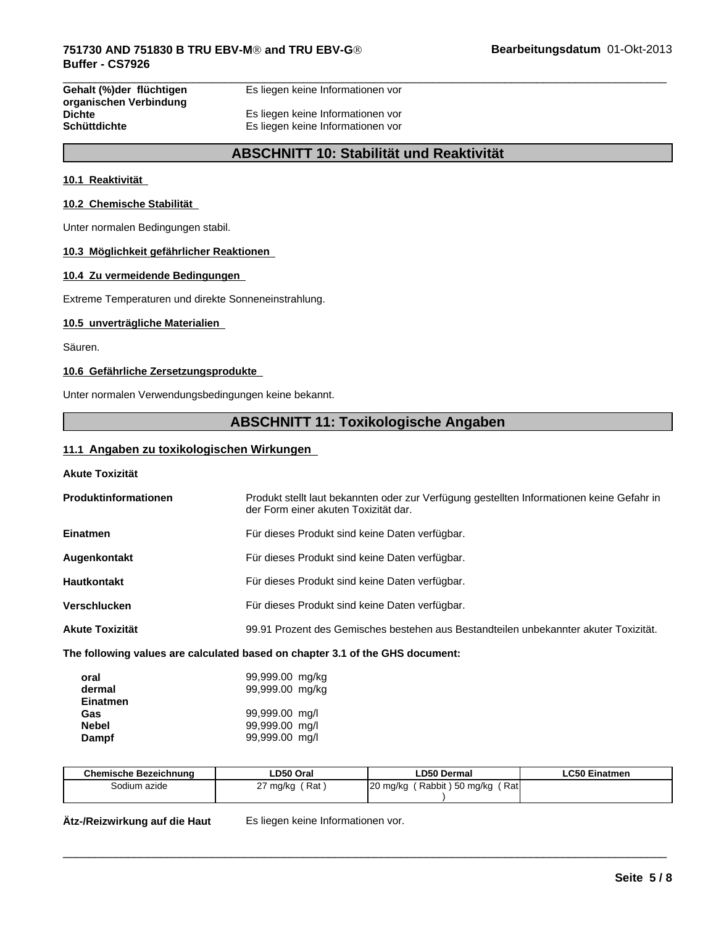**Gehalt (%)der flüchtigen organischen Verbindung** Es liegen keine Informationen vor

**Dichte** Es liegen keine Informationen vor **Schüttdichte** Es liegen keine Informationen vor

# **ABSCHNITT 10: Stabilität und Reaktivität**

#### **10.1 Reaktivität**

#### **10.2 Chemische Stabilität**

Unter normalen Bedingungen stabil.

#### **10.3 Möglichkeit gefährlicher Reaktionen**

#### **10.4 Zu vermeidende Bedingungen**

Extreme Temperaturen und direkte Sonneneinstrahlung.

#### **10.5 unverträgliche Materialien**

Säuren.

#### **10.6 Gefährliche Zersetzungsprodukte**

Unter normalen Verwendungsbedingungen keine bekannt.

# **ABSCHNITT 11: Toxikologische Angaben**

#### **11.1 Angaben zu toxikologischen Wirkungen**

**Akute Toxizität**

| Produktinformationen   | Produkt stellt laut bekannten oder zur Verfügung gestellten Informationen keine Gefahr in<br>der Form einer akuten Toxizität dar. |
|------------------------|-----------------------------------------------------------------------------------------------------------------------------------|
| <b>Einatmen</b>        | Für dieses Produkt sind keine Daten verfügbar.                                                                                    |
| Augenkontakt           | Für dieses Produkt sind keine Daten verfügbar.                                                                                    |
| <b>Hautkontakt</b>     | Für dieses Produkt sind keine Daten verfügbar.                                                                                    |
| <b>Verschlucken</b>    | Für dieses Produkt sind keine Daten verfügbar.                                                                                    |
| <b>Akute Toxizität</b> | 99.91 Prozent des Gemisches bestehen aus Bestandteilen unbekannter akuter Toxizität.                                              |
|                        |                                                                                                                                   |

#### **The following values are calculated based on chapter 3.1 of the GHS document:**

| oral         | 99,999.00 mg/kg |
|--------------|-----------------|
| dermal       | 99,999.00 mg/kg |
| Einatmen     |                 |
| Gas          | 99,999.00 mg/l  |
| <b>Nebel</b> | 99,999.00 mg/l  |
| Dampf        | 99,999.00 mg/l  |

| <b>Chemische Bezeichnung</b> | ∟D50 Oral       | ∟D50 Dermal                           | <b>LC50 Einatmen</b> |
|------------------------------|-----------------|---------------------------------------|----------------------|
| Sodium azide                 | Rat<br>27 mg/kg | Rati<br>(Rabbit)50 mg/kg<br>120 mg/kg |                      |
|                              |                 |                                       |                      |

 $\overline{\phantom{a}}$  ,  $\overline{\phantom{a}}$  ,  $\overline{\phantom{a}}$  ,  $\overline{\phantom{a}}$  ,  $\overline{\phantom{a}}$  ,  $\overline{\phantom{a}}$  ,  $\overline{\phantom{a}}$  ,  $\overline{\phantom{a}}$  ,  $\overline{\phantom{a}}$  ,  $\overline{\phantom{a}}$  ,  $\overline{\phantom{a}}$  ,  $\overline{\phantom{a}}$  ,  $\overline{\phantom{a}}$  ,  $\overline{\phantom{a}}$  ,  $\overline{\phantom{a}}$  ,  $\overline{\phantom{a}}$ 

**Ätz-/Reizwirkung auf die Haut** Es liegen keine Informationen vor.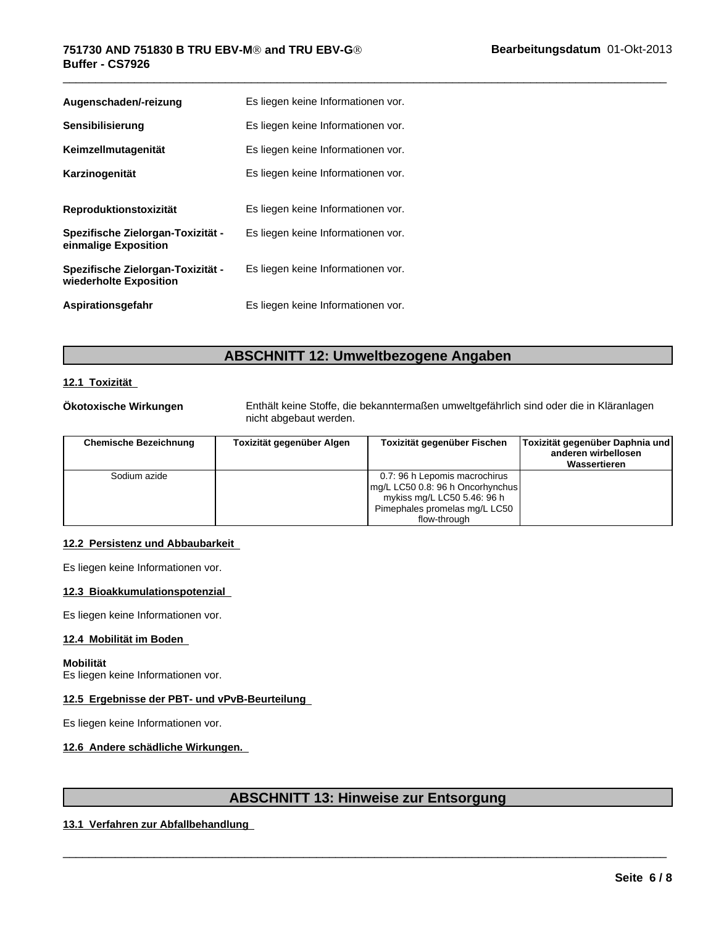#### $\overline{\phantom{a}}$  ,  $\overline{\phantom{a}}$  ,  $\overline{\phantom{a}}$  ,  $\overline{\phantom{a}}$  ,  $\overline{\phantom{a}}$  ,  $\overline{\phantom{a}}$  ,  $\overline{\phantom{a}}$  ,  $\overline{\phantom{a}}$  ,  $\overline{\phantom{a}}$  ,  $\overline{\phantom{a}}$  ,  $\overline{\phantom{a}}$  ,  $\overline{\phantom{a}}$  ,  $\overline{\phantom{a}}$  ,  $\overline{\phantom{a}}$  ,  $\overline{\phantom{a}}$  ,  $\overline{\phantom{a}}$ **751730 AND 751830 B TRU EBV-MÒ and TRU EBV-GÒ Buffer - CS7926**

| Augenschaden/-reizung                                       | Es liegen keine Informationen vor. |
|-------------------------------------------------------------|------------------------------------|
| Sensibilisierung                                            | Es liegen keine Informationen vor. |
| Keimzellmutagenität                                         | Es liegen keine Informationen vor. |
| Karzinogenität                                              | Es liegen keine Informationen vor. |
|                                                             |                                    |
| Reproduktionstoxizität                                      | Es liegen keine Informationen vor. |
| Spezifische Zielorgan-Toxizität -<br>einmalige Exposition   | Es liegen keine Informationen vor. |
| Spezifische Zielorgan-Toxizität -<br>wiederholte Exposition | Es liegen keine Informationen vor. |
| Aspirationsgefahr                                           | Es liegen keine Informationen vor. |

# **ABSCHNITT 12: Umweltbezogene Angaben**

# **12.1 Toxizität**

**Ökotoxische Wirkungen** Enthält keine Stoffe, die bekanntermaßen umweltgefährlich sind oder die in Kläranlagen nicht abgebaut werden.

| <b>Chemische Bezeichnung</b> | Toxizität gegenüber Algen | Toxizität gegenüber Fischen                                                                                                                       | Toxizität gegenüber Daphnia und<br>anderen wirbellosen<br>Wassertieren |
|------------------------------|---------------------------|---------------------------------------------------------------------------------------------------------------------------------------------------|------------------------------------------------------------------------|
| Sodium azide                 |                           | 0.7: 96 h Lepomis macrochirus<br>mg/L LC50 0.8: 96 h Oncorhynchus<br>mykiss mg/L LC50 5.46: 96 h<br>Pimephales promelas mg/L LC50<br>flow-through |                                                                        |

#### **12.2 Persistenz und Abbaubarkeit**

Es liegen keine Informationen vor.

#### **12.3 Bioakkumulationspotenzial**

Es liegen keine Informationen vor.

#### **12.4 Mobilität im Boden**

#### **Mobilität**

Es liegen keine Informationen vor.

### **12.5 Ergebnisse der PBT- und vPvB-Beurteilung**

Es liegen keine Informationen vor.

### **12.6 Andere schädliche Wirkungen.**

# **ABSCHNITT 13: Hinweise zur Entsorgung**

 $\overline{\phantom{a}}$  ,  $\overline{\phantom{a}}$  ,  $\overline{\phantom{a}}$  ,  $\overline{\phantom{a}}$  ,  $\overline{\phantom{a}}$  ,  $\overline{\phantom{a}}$  ,  $\overline{\phantom{a}}$  ,  $\overline{\phantom{a}}$  ,  $\overline{\phantom{a}}$  ,  $\overline{\phantom{a}}$  ,  $\overline{\phantom{a}}$  ,  $\overline{\phantom{a}}$  ,  $\overline{\phantom{a}}$  ,  $\overline{\phantom{a}}$  ,  $\overline{\phantom{a}}$  ,  $\overline{\phantom{a}}$ 

#### **13.1 Verfahren zur Abfallbehandlung**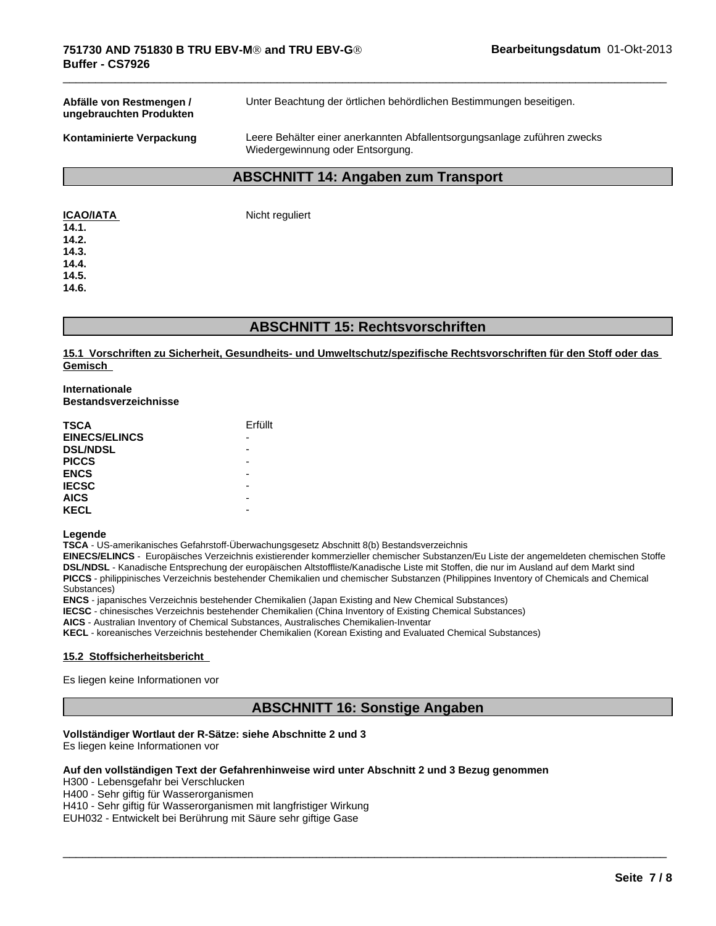**Abfälle von Restmengen / ungebrauchten Produkten** Unter Beachtung der örtlichen behördlichen Bestimmungen beseitigen.

**Kontaminierte Verpackung** Leere Behälter einer anerkannten Abfallentsorgungsanlage zuführen zwecks Wiedergewinnung oder Entsorgung.

 $\overline{\phantom{a}}$  ,  $\overline{\phantom{a}}$  ,  $\overline{\phantom{a}}$  ,  $\overline{\phantom{a}}$  ,  $\overline{\phantom{a}}$  ,  $\overline{\phantom{a}}$  ,  $\overline{\phantom{a}}$  ,  $\overline{\phantom{a}}$  ,  $\overline{\phantom{a}}$  ,  $\overline{\phantom{a}}$  ,  $\overline{\phantom{a}}$  ,  $\overline{\phantom{a}}$  ,  $\overline{\phantom{a}}$  ,  $\overline{\phantom{a}}$  ,  $\overline{\phantom{a}}$  ,  $\overline{\phantom{a}}$ 

# **ABSCHNITT 14: Angaben zum Transport**

| <b>ICAO/IATA</b> |  |
|------------------|--|
|                  |  |

**Nicht reguliert** 

**14.1. 14.2.**

**14.3. 14.4.**

**14.5.**

**14.6.**

# **ABSCHNITT 15: Rechtsvorschriften**

**15.1 Vorschriften zu Sicherheit, Gesundheits- und Umweltschutz/spezifische Rechtsvorschriften für den Stoff oder das Gemisch** 

#### **Internationale Bestandsverzeichnisse**

| <b>TSCA</b>          | Erfüllt |
|----------------------|---------|
| <b>EINECS/ELINCS</b> |         |
| <b>DSL/NDSL</b>      |         |
| <b>PICCS</b>         |         |
| <b>ENCS</b>          |         |
| <b>IECSC</b>         |         |
| <b>AICS</b>          |         |
| <b>KECL</b>          |         |

#### **Legende**

**TSCA** - US-amerikanisches Gefahrstoff-Überwachungsgesetz Abschnitt 8(b) Bestandsverzeichnis

**EINECS/ELINCS** - Europäisches Verzeichnis existierender kommerzieller chemischer Substanzen/Eu Liste der angemeldeten chemischen Stoffe DSL/NDSL - Kanadische Entsprechung der europäischen Altstoffliste/Kanadische Liste mit Stoffen, die nur im Ausland auf dem Markt sind **PICCS** - philippinisches Verzeichnis bestehender Chemikalien und chemischer Substanzen (Philippines Inventory of Chemicals and Chemical Substances)

**ENCS** - japanisches Verzeichnis bestehender Chemikalien (Japan Existing and New Chemical Substances)

**IECSC** - chinesisches Verzeichnis bestehender Chemikalien (China Inventory of Existing Chemical Substances)

**AICS** - Australian Inventory of Chemical Substances, Australisches Chemikalien-Inventar

**KECL** - koreanisches Verzeichnis bestehender Chemikalien (Korean Existing and Evaluated Chemical Substances)

#### **15.2 Stoffsicherheitsbericht**

Es liegen keine Informationen vor

# **ABSCHNITT 16: Sonstige Angaben**

 $\overline{\phantom{a}}$  ,  $\overline{\phantom{a}}$  ,  $\overline{\phantom{a}}$  ,  $\overline{\phantom{a}}$  ,  $\overline{\phantom{a}}$  ,  $\overline{\phantom{a}}$  ,  $\overline{\phantom{a}}$  ,  $\overline{\phantom{a}}$  ,  $\overline{\phantom{a}}$  ,  $\overline{\phantom{a}}$  ,  $\overline{\phantom{a}}$  ,  $\overline{\phantom{a}}$  ,  $\overline{\phantom{a}}$  ,  $\overline{\phantom{a}}$  ,  $\overline{\phantom{a}}$  ,  $\overline{\phantom{a}}$ 

#### **Vollständiger Wortlaut der R-Sätze: siehe Abschnitte 2 und 3**

Es liegen keine Informationen vor

#### **Auf den vollständigen Text derGefahrenhinweise wird unter Abschnitt 2 und 3 Bezug genommen**

H300 - Lebensgefahr bei Verschlucken

H400 - Sehr giftig für Wasserorganismen

H410 - Sehr giftig für Wasserorganismen mit langfristiger Wirkung

EUH032 - Entwickelt bei Berührung mit Säure sehr giftige Gase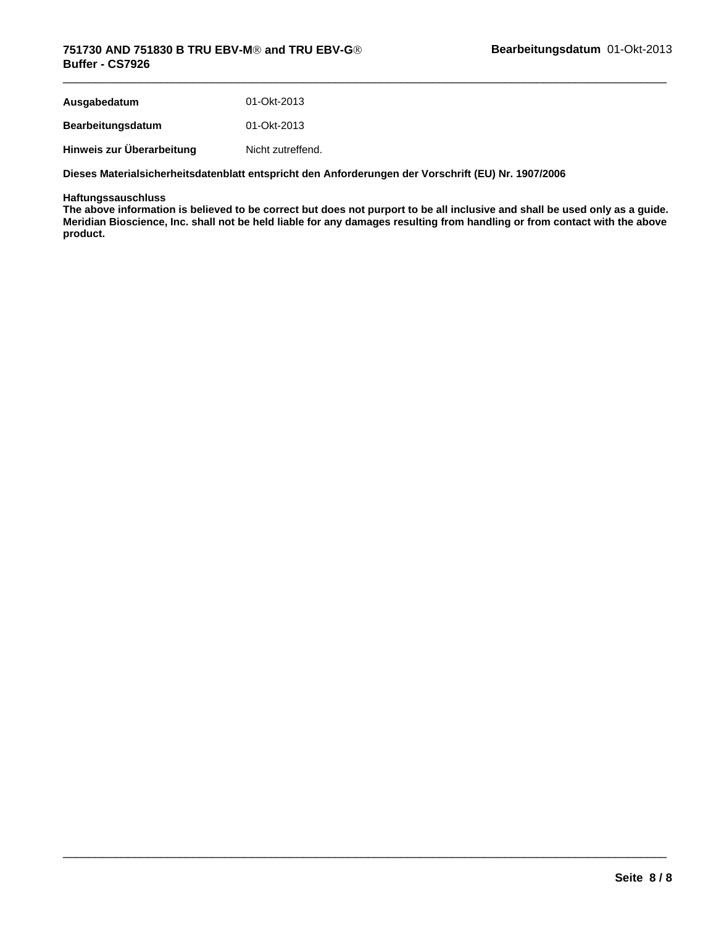| Ausgabedatum              | 01-Okt-2013       |
|---------------------------|-------------------|
| <b>Bearbeitungsdatum</b>  | 01-Okt-2013       |
| Hinweis zur Überarbeitung | Nicht zutreffend. |

**Dieses Materialsicherheitsdatenblatt entspricht den Anforderungen der Vorschrift (EU) Nr. 1907/2006**

#### **Haftungssauschluss**

**The above information is believed to be correct but does not purport to be all inclusive and shall be used only as a guide. Meridian Bioscience, Inc. shall not be held liable for any damages resulting from handling or from contact with the above product.**

 $\overline{\phantom{a}}$  ,  $\overline{\phantom{a}}$  ,  $\overline{\phantom{a}}$  ,  $\overline{\phantom{a}}$  ,  $\overline{\phantom{a}}$  ,  $\overline{\phantom{a}}$  ,  $\overline{\phantom{a}}$  ,  $\overline{\phantom{a}}$  ,  $\overline{\phantom{a}}$  ,  $\overline{\phantom{a}}$  ,  $\overline{\phantom{a}}$  ,  $\overline{\phantom{a}}$  ,  $\overline{\phantom{a}}$  ,  $\overline{\phantom{a}}$  ,  $\overline{\phantom{a}}$  ,  $\overline{\phantom{a}}$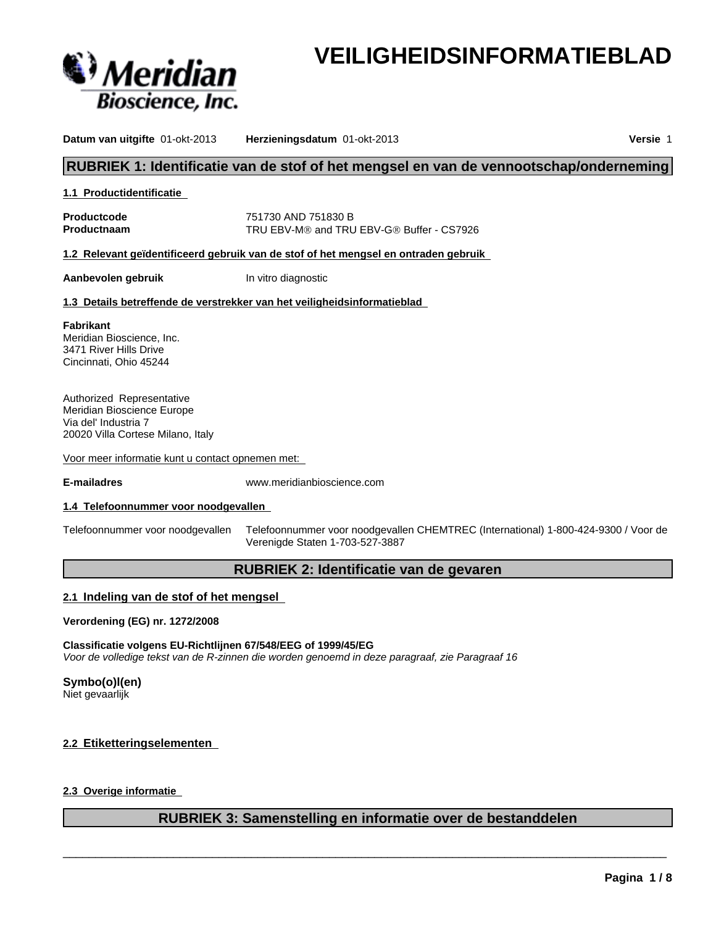

# **VEILIGHEIDSINFORMATIEBLAD**

**Datum van uitgifte** 01-okt-2013 **Herzieningsdatum** 01-okt-2013 **Versie** 1

# **RUBRIEK 1: Identificatie van de stof of het mengsel en van de vennootschap/onderneming**

#### **1.1 Productidentificatie**

**Productcode** 751730 AND 751830 B **Productnaam** TRU EBV-M® and TRU EBV-G® Buffer - CS7926

**1.2 Relevant geïdentificeerd gebruik van de stof of het mengsel en ontraden gebruik**

**Aanbevolen gebruik** In vitro diagnostic

#### **1.3 Details betreffende de verstrekker van het veiligheidsinformatieblad**

**Fabrikant** Meridian Bioscience, Inc. 3471 River Hills Drive Cincinnati, Ohio 45244

Authorized Representative Meridian Bioscience Europe Via del' Industria 7 20020 Villa Cortese Milano, Italy

Voor meer informatie kunt u contact opnemen met:

**E-mailadres** www.meridianbioscience.com

#### **1.4 Telefoonnummer voor noodgevallen**

Telefoonnummer voor noodgevallen Telefoonnummer voor noodgevallen CHEMTREC (International) 1-800-424-9300 / Voor de Verenigde Staten 1-703-527-3887

# **RUBRIEK 2: Identificatie van de gevaren**

#### **2.1 Indeling van de stof of het mengsel**

**Verordening (EG) nr. 1272/2008**

#### **Classificatie volgens EU-Richtlijnen 67/548/EEG of 1999/45/EG** *Voor de volledige tekst van de R-zinnen die worden genoemd in deze paragraaf, zie Paragraaf 16*

#### **Symbo(o)l(en)**

Niet gevaarlijk

#### **2.2 Etiketteringselementen**

#### **2.3 Overige informatie**

# **RUBRIEK 3: Samenstelling en informatie over de bestanddelen**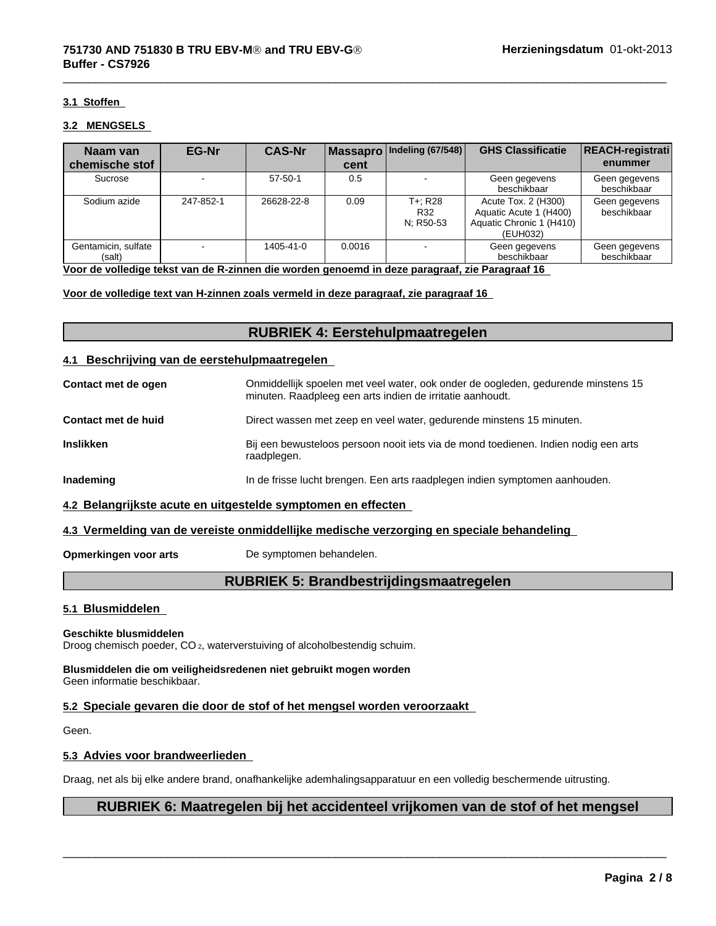#### **3.1 Stoffen**

#### **3.2 MENGSELS**

| Naam van                      | EG-Nr     | <b>CAS-Nr</b> |        | Massapro   Indeling (67/548) | <b>GHS Classificatie</b>                                                              | <b>REACH-registrati</b>      |
|-------------------------------|-----------|---------------|--------|------------------------------|---------------------------------------------------------------------------------------|------------------------------|
| chemische stof                |           |               | cent   |                              |                                                                                       | enummer                      |
| Sucrose                       |           | $57 - 50 - 1$ | 0.5    |                              | Geen gegevens<br>beschikbaar                                                          | Geen gegevens<br>beschikbaar |
| Sodium azide                  | 247-852-1 | 26628-22-8    | 0.09   | T+: R28<br>R32<br>N; R50-53  | Acute Tox. 2 (H300)<br>Aquatic Acute 1 (H400)<br>Aquatic Chronic 1 (H410)<br>(EUH032) | Geen gegevens<br>beschikbaar |
| Gentamicin, sulfate<br>(salt) |           | 1405-41-0     | 0.0016 |                              | Geen gegevens<br>beschikbaar                                                          | Geen gegevens<br>beschikbaar |

**Voor de volledige tekst van de R-zinnen die worden genoemd in deze paragraaf, zie Paragraaf 16** 

**Voor de volledige text van H-zinnen zoals vermeld in deze paragraaf, zie paragraaf 16** 

# **RUBRIEK 4: Eerstehulpmaatregelen**

#### **4.1 Beschrijving van de eerstehulpmaatregelen**

| Contact met de ogen | Onmiddellijk spoelen met veel water, ook onder de oogleden, gedurende minstens 15<br>minuten. Raadpleeg een arts indien de irritatie aanhoudt. |
|---------------------|------------------------------------------------------------------------------------------------------------------------------------------------|
| Contact met de huid | Direct wassen met zeep en veel water, gedurende minstens 15 minuten.                                                                           |
| <b>Inslikken</b>    | Bij een bewusteloos persoon nooit iets via de mond toedienen. Indien nodig een arts<br>raadplegen.                                             |
| Inademing           | In de frisse lucht brengen. Een arts raadplegen indien symptomen aanhouden.                                                                    |

#### **4.2 Belangrijkste acute en uitgestelde symptomen en effecten**

#### **4.3 Vermelding van de vereiste onmiddellijke medische verzorging en speciale behandeling**

**Opmerkingen voor arts** De symptomen behandelen.

# **RUBRIEK 5: Brandbestrijdingsmaatregelen**

#### **5.1 Blusmiddelen**

#### **Geschikte blusmiddelen**

Droog chemisch poeder, CO 2, waterverstuiving of alcoholbestendig schuim.

**Blusmiddelen die om veiligheidsredenen niet gebruikt mogen worden** Geen informatie beschikbaar.

#### **5.2 Speciale gevaren die door de stof of het mengsel worden veroorzaakt**

Geen.

#### **5.3 Advies voor brandweerlieden**

Draag, net als bij elke andere brand, onafhankelijke ademhalingsapparatuur en een volledig beschermende uitrusting.

# **RUBRIEK 6: Maatregelen bij het accidenteel vrijkomen van de stof of het mengsel**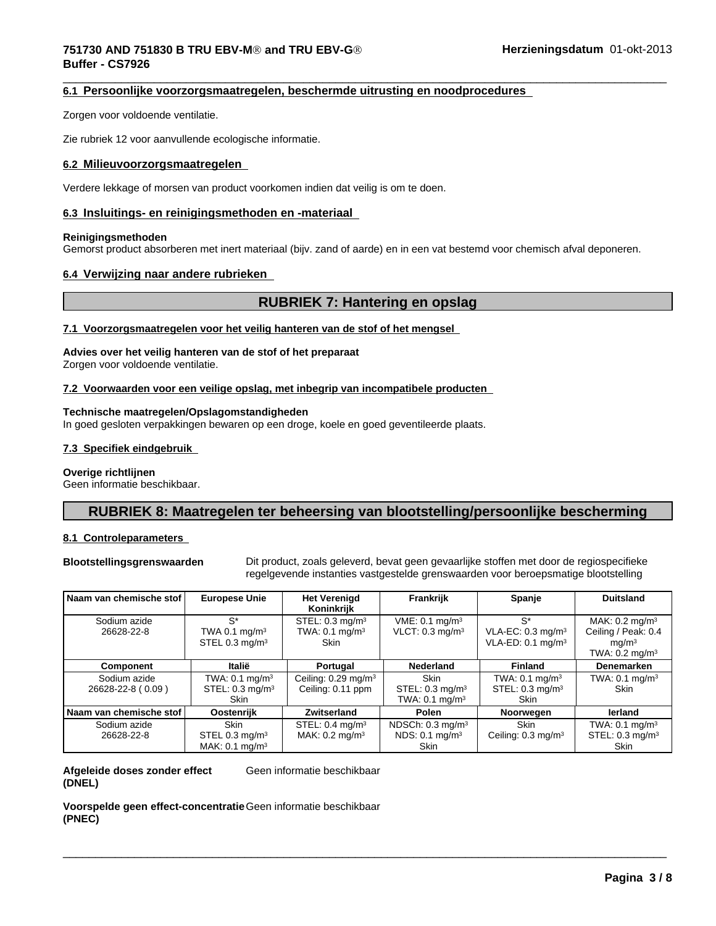# **751730 AND 751830 B TRU EBV-MÒ and TRU EBV-GÒ Buffer - CS7926**

#### $\overline{\phantom{a}}$  ,  $\overline{\phantom{a}}$  ,  $\overline{\phantom{a}}$  ,  $\overline{\phantom{a}}$  ,  $\overline{\phantom{a}}$  ,  $\overline{\phantom{a}}$  ,  $\overline{\phantom{a}}$  ,  $\overline{\phantom{a}}$  ,  $\overline{\phantom{a}}$  ,  $\overline{\phantom{a}}$  ,  $\overline{\phantom{a}}$  ,  $\overline{\phantom{a}}$  ,  $\overline{\phantom{a}}$  ,  $\overline{\phantom{a}}$  ,  $\overline{\phantom{a}}$  ,  $\overline{\phantom{a}}$ **6.1 Persoonlijke voorzorgsmaatregelen, beschermde uitrusting en noodprocedures**

Zorgen voor voldoende ventilatie.

Zie rubriek 12 voor aanvullende ecologische informatie.

#### **6.2 Milieuvoorzorgsmaatregelen**

Verdere lekkage of morsen van product voorkomen indien dat veilig is om te doen.

#### **6.3 Insluitings- en reinigingsmethoden en -materiaal**

#### **Reinigingsmethoden**

Gemorst product absorberen met inert materiaal (bijv. zand of aarde) en in een vat bestemd voor chemisch afval deponeren.

#### **6.4 Verwijzing naar andere rubrieken**

# **RUBRIEK 7: Hantering en opslag**

#### **7.1 Voorzorgsmaatregelen voor het veilig hanteren van de stof of het mengsel**

#### **Advies over het veilig hanteren van de stof of het preparaat**

Zorgen voor voldoende ventilatie.

#### **7.2 Voorwaarden voor een veilige opslag, met inbegrip van incompatibele producten**

#### **Technische maatregelen/Opslagomstandigheden**

In goed gesloten verpakkingen bewaren op een droge, koele en goed geventileerde plaats.

#### **7.3 Specifiek eindgebruik**

#### **Overige richtlijnen**

Geen informatie beschikbaar.

# **RUBRIEK 8: Maatregelen ter beheersing van blootstelling/persoonlijke bescherming**

#### **8.1 Controleparameters**

**Blootstellingsgrenswaarden** Dit product, zoals geleverd, bevat geen gevaarlijke stoffen met door de regiospecifieke regelgevende instanties vastgestelde grenswaarden voor beroepsmatige blootstelling

 $\overline{\phantom{a}}$  ,  $\overline{\phantom{a}}$  ,  $\overline{\phantom{a}}$  ,  $\overline{\phantom{a}}$  ,  $\overline{\phantom{a}}$  ,  $\overline{\phantom{a}}$  ,  $\overline{\phantom{a}}$  ,  $\overline{\phantom{a}}$  ,  $\overline{\phantom{a}}$  ,  $\overline{\phantom{a}}$  ,  $\overline{\phantom{a}}$  ,  $\overline{\phantom{a}}$  ,  $\overline{\phantom{a}}$  ,  $\overline{\phantom{a}}$  ,  $\overline{\phantom{a}}$  ,  $\overline{\phantom{a}}$ 

| Naam van chemische stof           | <b>Europese Unie</b>                                                      | <b>Het Verenigd</b><br>Koninkrijk                                      | Frankrijk                                                                 | Spanje                                                                     | <b>Duitsland</b>                                                                                   |
|-----------------------------------|---------------------------------------------------------------------------|------------------------------------------------------------------------|---------------------------------------------------------------------------|----------------------------------------------------------------------------|----------------------------------------------------------------------------------------------------|
| Sodium azide<br>26628-22-8        | $S^*$<br>TWA 0.1 mg/m <sup>3</sup><br>STEL 0.3 mg/ $m3$                   | STEL: $0.3 \text{ mg/m}^3$<br>TWA: $0.1 \text{ mg/m}^3$<br><b>Skin</b> | VME: 0.1 mg/m <sup>3</sup><br>VLCT: $0.3 \text{ mg/m}^3$                  | $S^*$<br>VLA-EC: 0.3 mg/m <sup>3</sup><br>VLA-ED: $0.1 \text{ mg/m}^3$     | MAK: $0.2 \text{ mg/m}^3$<br>Ceiling / Peak: 0.4<br>mq/m <sup>3</sup><br>TWA: $0.2 \text{ mg/m}^3$ |
| Component                         | Italië                                                                    | Portugal                                                               | Nederland                                                                 | <b>Finland</b>                                                             | Denemarken                                                                                         |
| Sodium azide<br>26628-22-8 (0.09) | TWA: $0.1$ mg/m <sup>3</sup><br>STEL: $0.3 \text{ mg/m}^3$<br><b>Skin</b> | Ceiling: $0.29$ mg/m <sup>3</sup><br>Ceiling: 0.11 ppm                 | <b>Skin</b><br>STEL: $0.3 \text{ mg/m}^3$<br>TWA: $0.1$ mg/m <sup>3</sup> | TWA: $0.1$ mg/m <sup>3</sup><br>STEL: 0.3 mg/m <sup>3</sup><br><b>Skin</b> | TWA: $0.1 \text{ mg/m}^3$<br>Skin                                                                  |
| l Naam van chemische stof l       | Oostenrijk                                                                | Zwitserland                                                            | Polen                                                                     | Noorwegen                                                                  | lerland                                                                                            |
| Sodium azide<br>26628-22-8        | <b>Skin</b><br>STEL 0.3 $mg/m3$<br>MAK: $0.1$ mg/m <sup>3</sup>           | STEL: $0.4 \text{ mg/m}^3$<br>MAK: $0.2 \text{ mg/m}^3$                | NDSCh: $0.3 \text{ mg/m}^3$<br>NDS: 0.1 mg/m <sup>3</sup><br><b>Skin</b>  | <b>Skin</b><br>Ceiling: $0.3 \text{ mg/m}^3$                               | TWA: $0.1 \text{ mg/m}^3$<br>STEL: $0.3 \text{ mg/m}^3$<br><b>Skin</b>                             |

#### **Afgeleide doses zonder effect (DNEL)** Geen informatie beschikbaar

**Voorspelde geen effect-concentratie** Geen informatie beschikbaar**(PNEC)**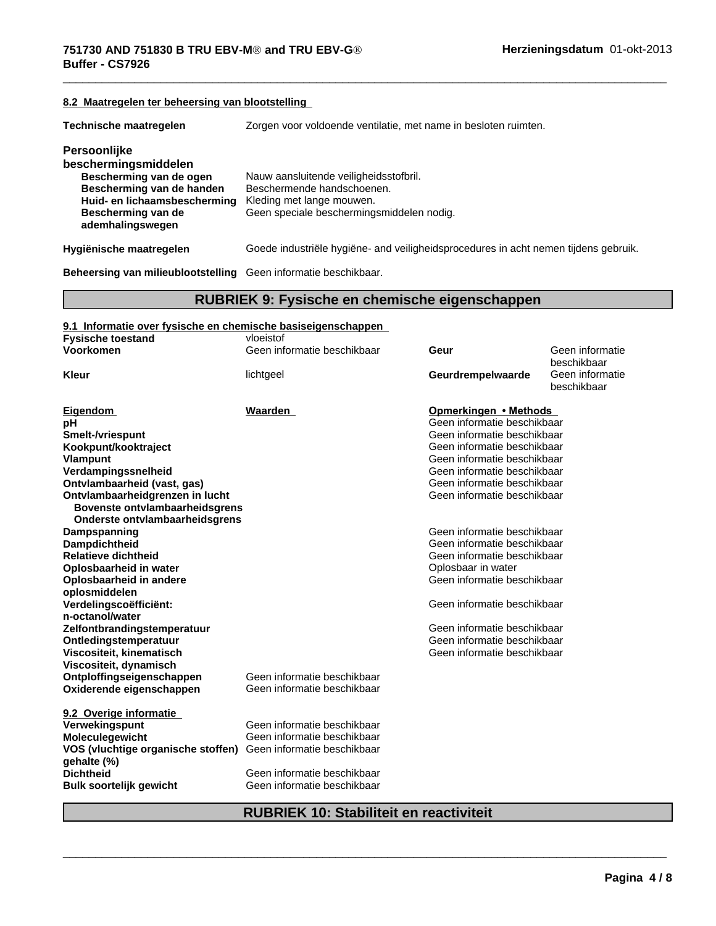# **8.2 Maatregelen ter beheersing van blootstelling Technische maatregelen** Zorgen voor voldoende ventilatie, met name in besloten ruimten. **Persoonlijke beschermingsmiddelen Nauw aansluitende veiligheidsstofbril.** Bescherming van de handen Beschermende handschoenen. **Huid- en lichaamsbescherming** Kleding met lange mouwen. **Bescherming van de ademhalingswegen** Geen speciale beschermingsmiddelen nodig. **Hygiënische maatregelen** Goede industriële hygiëne- and veiligheidsprocedures in acht nemen tijdens gebruik.

**Beheersing van milieublootstelling** Geen informatie beschikbaar.

#### **RUBRIEK 9: Fysische en chemische eigenschappen**

 $\overline{\phantom{a}}$  ,  $\overline{\phantom{a}}$  ,  $\overline{\phantom{a}}$  ,  $\overline{\phantom{a}}$  ,  $\overline{\phantom{a}}$  ,  $\overline{\phantom{a}}$  ,  $\overline{\phantom{a}}$  ,  $\overline{\phantom{a}}$  ,  $\overline{\phantom{a}}$  ,  $\overline{\phantom{a}}$  ,  $\overline{\phantom{a}}$  ,  $\overline{\phantom{a}}$  ,  $\overline{\phantom{a}}$  ,  $\overline{\phantom{a}}$  ,  $\overline{\phantom{a}}$  ,  $\overline{\phantom{a}}$ 

| 9.1 Informatie over fysische en chemische basiseigenschappen   |                             |                             |                                |
|----------------------------------------------------------------|-----------------------------|-----------------------------|--------------------------------|
| <b>Fysische toestand</b>                                       | vloeistof                   |                             |                                |
| Voorkomen                                                      | Geen informatie beschikbaar | Geur                        | Geen informatie<br>beschikbaar |
| <b>Kleur</b>                                                   | lichtgeel                   | Geurdrempelwaarde           | Geen informatie<br>beschikbaar |
| Eigendom                                                       | Waarden                     | Opmerkingen • Methods       |                                |
| рH                                                             |                             | Geen informatie beschikbaar |                                |
| <b>Smelt-/vriespunt</b>                                        |                             | Geen informatie beschikbaar |                                |
| Kookpunt/kooktraject                                           |                             | Geen informatie beschikbaar |                                |
| <b>Vlampunt</b>                                                |                             | Geen informatie beschikbaar |                                |
| Verdampingssnelheid                                            |                             | Geen informatie beschikbaar |                                |
| Ontvlambaarheid (vast, gas)                                    |                             | Geen informatie beschikbaar |                                |
| Ontvlambaarheidgrenzen in lucht                                |                             | Geen informatie beschikbaar |                                |
| Bovenste ontvlambaarheidsgrens                                 |                             |                             |                                |
| Onderste ontvlambaarheidsgrens                                 |                             |                             |                                |
| Dampspanning                                                   |                             | Geen informatie beschikbaar |                                |
| <b>Dampdichtheid</b>                                           |                             | Geen informatie beschikbaar |                                |
| <b>Relatieve dichtheid</b>                                     |                             | Geen informatie beschikbaar |                                |
| Oplosbaarheid in water                                         |                             | Oplosbaar in water          |                                |
| Oplosbaarheid in andere                                        |                             | Geen informatie beschikbaar |                                |
| oplosmiddelen                                                  |                             |                             |                                |
| Verdelingscoëfficiënt:                                         |                             | Geen informatie beschikbaar |                                |
| n-octanol/water                                                |                             |                             |                                |
| Zelfontbrandingstemperatuur                                    |                             | Geen informatie beschikbaar |                                |
| Ontledingstemperatuur                                          |                             | Geen informatie beschikbaar |                                |
| Viscositeit, kinematisch                                       |                             | Geen informatie beschikbaar |                                |
| Viscositeit, dynamisch                                         |                             |                             |                                |
| Ontploffingseigenschappen                                      | Geen informatie beschikbaar |                             |                                |
| Oxiderende eigenschappen                                       | Geen informatie beschikbaar |                             |                                |
| 9.2 Overige informatie                                         |                             |                             |                                |
| Verwekingspunt                                                 | Geen informatie beschikbaar |                             |                                |
| Moleculegewicht                                                | Geen informatie beschikbaar |                             |                                |
| VOS (vluchtige organische stoffen) Geen informatie beschikbaar |                             |                             |                                |
| gehalte (%)                                                    |                             |                             |                                |
| <b>Dichtheid</b>                                               | Geen informatie beschikbaar |                             |                                |
| <b>Bulk soortelijk gewicht</b>                                 | Geen informatie beschikbaar |                             |                                |
|                                                                |                             |                             |                                |

# **RUBRIEK 10: Stabiliteit en reactiviteit**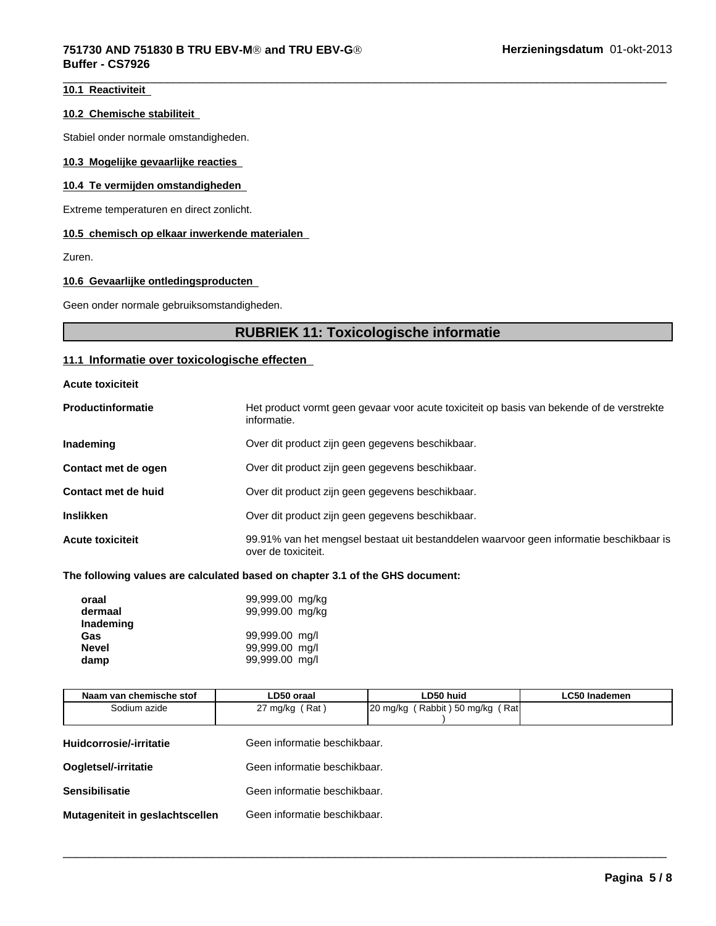#### **10.1 Reactiviteit**

#### **10.2 Chemische stabiliteit**

Stabiel onder normale omstandigheden.

#### **10.3 Mogelijke gevaarlijke reacties**

#### **10.4 Te vermijden omstandigheden**

Extreme temperaturen en direct zonlicht.

#### **10.5 chemisch op elkaar inwerkende materialen**

Zuren.

#### **10.6 Gevaarlijke ontledingsproducten**

Geen onder normale gebruiksomstandigheden.

# **RUBRIEK 11: Toxicologische informatie**

 $\overline{\phantom{a}}$  ,  $\overline{\phantom{a}}$  ,  $\overline{\phantom{a}}$  ,  $\overline{\phantom{a}}$  ,  $\overline{\phantom{a}}$  ,  $\overline{\phantom{a}}$  ,  $\overline{\phantom{a}}$  ,  $\overline{\phantom{a}}$  ,  $\overline{\phantom{a}}$  ,  $\overline{\phantom{a}}$  ,  $\overline{\phantom{a}}$  ,  $\overline{\phantom{a}}$  ,  $\overline{\phantom{a}}$  ,  $\overline{\phantom{a}}$  ,  $\overline{\phantom{a}}$  ,  $\overline{\phantom{a}}$ 

# **11.1 Informatie over toxicologische effecten**

|  | Acute toxiciteit |  |
|--|------------------|--|
|--|------------------|--|

| <b>Productinformatie</b> | Het product vormt geen gevaar voor acute toxiciteit op basis van bekende of de verstrekte<br>informatie.       |
|--------------------------|----------------------------------------------------------------------------------------------------------------|
| Inademing                | Over dit product zijn geen gegevens beschikbaar.                                                               |
| Contact met de ogen      | Over dit product zijn geen gegevens beschikbaar.                                                               |
| Contact met de huid      | Over dit product zijn geen gegevens beschikbaar.                                                               |
| <b>Inslikken</b>         | Over dit product zijn geen gegevens beschikbaar.                                                               |
| <b>Acute toxiciteit</b>  | 99.91% van het mengsel bestaat uit bestanddelen waarvoor geen informatie beschikbaar is<br>over de toxiciteit. |

#### **The following values are calculated based on chapter 3.1 of the GHS document:**

| oraal<br>dermaal<br>Inademing | 99,999.00 mg/kg<br>99,999.00 mg/kg |
|-------------------------------|------------------------------------|
| Gas                           | 99,999.00 mg/l                     |
| <b>Nevel</b><br>damp          | 99,999.00 mg/l<br>99,999.00 mg/l   |

| Naam van chemische stof         | LD50 oraal                   | LD50 huid                       | <b>LC50 Inademen</b> |
|---------------------------------|------------------------------|---------------------------------|----------------------|
| Sodium azide                    | 27 mg/kg (Rat)               | 20 mg/kg (Rabbit) 50 mg/kg (Rat |                      |
| Huidcorrosie/-irritatie         | Geen informatie beschikbaar. |                                 |                      |
| Oogletsel/-irritatie            | Geen informatie beschikbaar. |                                 |                      |
| <b>Sensibilisatie</b>           | Geen informatie beschikbaar. |                                 |                      |
| Mutageniteit in geslachtscellen | Geen informatie beschikbaar. |                                 |                      |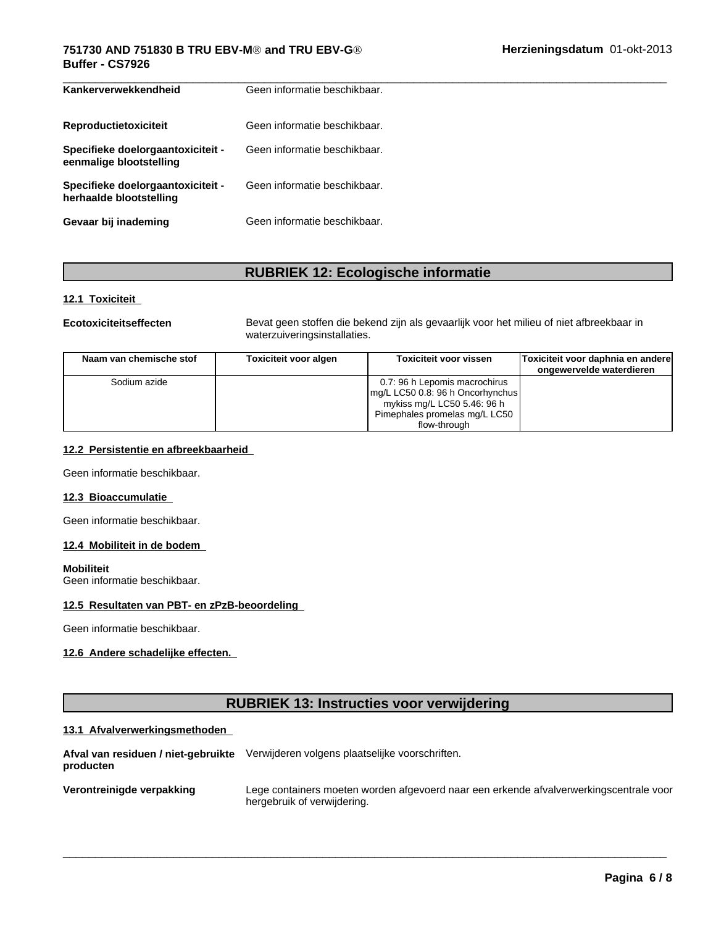# **751730 AND 751830 B TRU EBV-MÒ and TRU EBV-GÒ Buffer - CS7926**

| Kankerverwekkendheid                                         | Geen informatie beschikbaar. |
|--------------------------------------------------------------|------------------------------|
| Reproductietoxiciteit                                        | Geen informatie beschikbaar. |
| Specifieke doelorgaantoxiciteit -<br>eenmalige blootstelling | Geen informatie beschikbaar. |
| Specifieke doelorgaantoxiciteit -<br>herhaalde blootstelling | Geen informatie beschikbaar. |
| Gevaar bij inademing                                         | Geen informatie beschikbaar. |

# **RUBRIEK 12: Ecologische informatie**

#### **12.1 Toxiciteit**

**Ecotoxiciteitseffecten** Bevat geen stoffen die bekend zijn als gevaarlijk voor het milieu of niet afbreekbaar in waterzuiveringsinstallaties.

| Naam van chemische stof | Toxiciteit voor algen | <b>Toxiciteit voor vissen</b>    | Toxiciteit voor daphnia en andere |
|-------------------------|-----------------------|----------------------------------|-----------------------------------|
|                         |                       |                                  | ongewervelde waterdieren          |
| Sodium azide            |                       | 0.7: 96 h Lepomis macrochirus    |                                   |
|                         |                       | mg/L LC50 0.8: 96 h Oncorhynchus |                                   |
|                         |                       | mykiss mg/L LC50 5.46: 96 h      |                                   |
|                         |                       | Pimephales promelas mg/L LC50    |                                   |
|                         |                       | flow-through                     |                                   |

## **12.2 Persistentie en afbreekbaarheid**

Geen informatie beschikbaar.

#### **12.3 Bioaccumulatie**

Geen informatie beschikbaar.

#### **12.4 Mobiliteit in de bodem**

#### **Mobiliteit**

Geen informatie beschikbaar.

### **12.5 Resultaten van PBT- en zPzB-beoordeling**

Geen informatie beschikbaar.

# **12.6 Andere schadelijke effecten.**

# **RUBRIEK 13: Instructies voor verwijdering**

#### **13.1 Afvalverwerkingsmethoden**

| Afval van residuen / niet-gebruikte<br>producten | Verwijderen volgens plaatselijke voorschriften.                                                                       |
|--------------------------------------------------|-----------------------------------------------------------------------------------------------------------------------|
| Verontreinigde verpakking                        | Lege containers moeten worden afgevoerd naar een erkende afvalverwerkingscentrale voor<br>hergebruik of verwijdering. |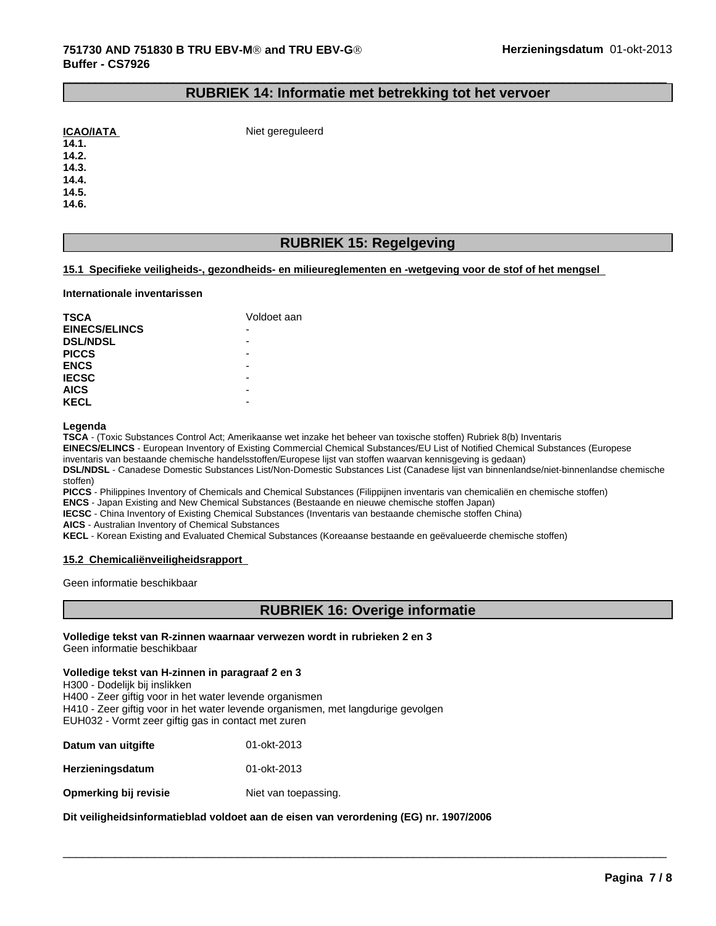#### **RUBRIEK 14: Informatie met betrekking tot het vervoer**

 $\_$  ,  $\_$  ,  $\_$  ,  $\_$  ,  $\_$  ,  $\_$  ,  $\_$  ,  $\_$  ,  $\_$  ,  $\_$  ,  $\_$  ,  $\_$  ,  $\_$  ,  $\_$  ,  $\_$  ,  $\_$  ,  $\_$  ,  $\_$  ,  $\_$  ,  $\_$  ,  $\_$  ,  $\_$  ,  $\_$  ,  $\_$  ,  $\_$  ,  $\_$  ,  $\_$  ,  $\_$  ,  $\_$  ,  $\_$  ,  $\_$  ,  $\_$  ,  $\_$  ,  $\_$  ,  $\_$  ,  $\_$  ,  $\_$  ,

| <b>ICAO/IATA</b> |  |
|------------------|--|
|                  |  |

**Niet gereguleerd** 

**14.2.**

**14.3.**

**14.4.**

**14.5.**

**14.6.**

# **RUBRIEK 15: Regelgeving**

#### **15.1 Specifieke veiligheids-, gezondheids- en milieureglementen en -wetgeving voor de stof of het mengsel**

#### **Internationale inventarissen**

| <b>TSCA</b>          | Voldoet aan              |
|----------------------|--------------------------|
| <b>EINECS/ELINCS</b> | $\overline{\phantom{0}}$ |
| <b>DSL/NDSL</b>      | -                        |
| <b>PICCS</b>         | -                        |
| <b>ENCS</b>          | -                        |
| <b>IECSC</b>         | -                        |
| <b>AICS</b>          | -                        |
| <b>KECL</b>          | -                        |

#### **Legenda**

**TSCA** - (Toxic Substances Control Act; Amerikaanse wet inzake het beheer van toxische stoffen) Rubriek 8(b) Inventaris

**EINECS/ELINCS** - European Inventory of Existing Commercial Chemical Substances/EU List of Notified Chemical Substances (Europese

inventaris van bestaande chemische handelsstoffen/Europese lijst van stoffen waarvan kennisgeving is gedaan)

**DSL/NDSL** - Canadese Domestic Substances List/Non-Domestic Substances List (Canadese lijst van binnenlandse/niet-binnenlandse chemische stoffen)

**PICCS** - Philippines Inventory of Chemicals and Chemical Substances (Filippijnen inventaris van chemicaliën en chemische stoffen)

**ENCS** - Japan Existing and New Chemical Substances (Bestaande en nieuwe chemische stoffen Japan)

**IECSC** - China Inventory of Existing Chemical Substances (Inventaris van bestaande chemische stoffen China)

**AICS** - Australian Inventory of Chemical Substances

**KECL** - Korean Existing and Evaluated Chemical Substances (Koreaanse bestaande en geëvalueerde chemische stoffen)

#### **15.2 Chemicaliënveiligheidsrapport**

Geen informatie beschikbaar

# **RUBRIEK 16: Overige informatie**

 $\overline{\phantom{a}}$  ,  $\overline{\phantom{a}}$  ,  $\overline{\phantom{a}}$  ,  $\overline{\phantom{a}}$  ,  $\overline{\phantom{a}}$  ,  $\overline{\phantom{a}}$  ,  $\overline{\phantom{a}}$  ,  $\overline{\phantom{a}}$  ,  $\overline{\phantom{a}}$  ,  $\overline{\phantom{a}}$  ,  $\overline{\phantom{a}}$  ,  $\overline{\phantom{a}}$  ,  $\overline{\phantom{a}}$  ,  $\overline{\phantom{a}}$  ,  $\overline{\phantom{a}}$  ,  $\overline{\phantom{a}}$ 

#### **Volledige tekst van R-zinnen waarnaar verwezen wordt in rubrieken 2 en 3** Geen informatie beschikbaar

**Volledige tekst van H-zinnen in paragraaf 2 en 3**

H300 - Dodelijk bij inslikken

H400 - Zeer giftig voor in het water levende organismen

H410 - Zeer giftig voor in het water levende organismen, met langdurige gevolgen EUH032 - Vormt zeer giftig gas in contact met zuren

| Datum van uitgifte      | 01-okt-2013          |
|-------------------------|----------------------|
| <b>Herzieningsdatum</b> | 01-okt-2013          |
| Opmerking bij revisie   | Niet van toepassing. |

**Dit veiligheidsinformatieblad voldoet aan de eisen van verordening (EG) nr. 1907/2006**